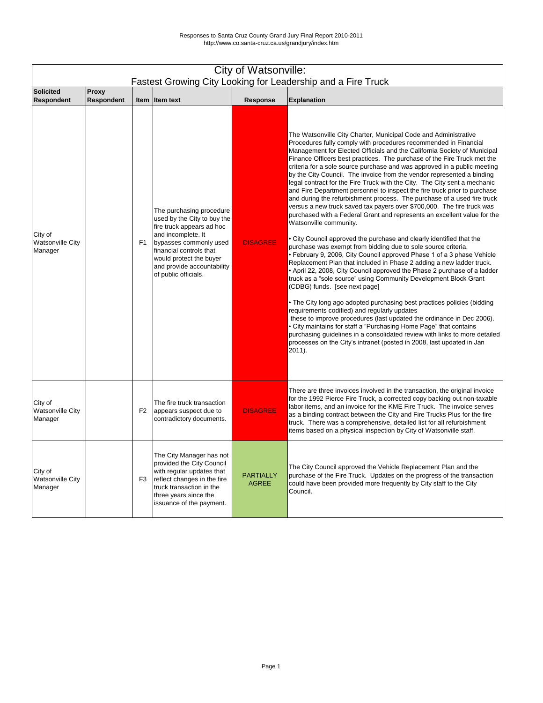|                                               | City of Watsonville:<br>Fastest Growing City Looking for Leadership and a Fire Truck |                |                                                                                                                                                                                                                                                  |                                  |                                                                                                                                                                                                                                                                                                                                                                                                                                                                                                                                                                                                                                                                                                                                                                                                                                                                                                                                                                                                                                                                                                                                                                                                                                                                                                                                                                                                                                                                                                                                                                                                                                                                                                                                                                                             |  |  |  |
|-----------------------------------------------|--------------------------------------------------------------------------------------|----------------|--------------------------------------------------------------------------------------------------------------------------------------------------------------------------------------------------------------------------------------------------|----------------------------------|---------------------------------------------------------------------------------------------------------------------------------------------------------------------------------------------------------------------------------------------------------------------------------------------------------------------------------------------------------------------------------------------------------------------------------------------------------------------------------------------------------------------------------------------------------------------------------------------------------------------------------------------------------------------------------------------------------------------------------------------------------------------------------------------------------------------------------------------------------------------------------------------------------------------------------------------------------------------------------------------------------------------------------------------------------------------------------------------------------------------------------------------------------------------------------------------------------------------------------------------------------------------------------------------------------------------------------------------------------------------------------------------------------------------------------------------------------------------------------------------------------------------------------------------------------------------------------------------------------------------------------------------------------------------------------------------------------------------------------------------------------------------------------------------|--|--|--|
| <b>Solicited</b>                              | <b>Proxy</b>                                                                         |                |                                                                                                                                                                                                                                                  |                                  |                                                                                                                                                                                                                                                                                                                                                                                                                                                                                                                                                                                                                                                                                                                                                                                                                                                                                                                                                                                                                                                                                                                                                                                                                                                                                                                                                                                                                                                                                                                                                                                                                                                                                                                                                                                             |  |  |  |
| <b>Respondent</b>                             | <b>Respondent</b>                                                                    |                | Item Item text                                                                                                                                                                                                                                   | <b>Response</b>                  | <b>Explanation</b>                                                                                                                                                                                                                                                                                                                                                                                                                                                                                                                                                                                                                                                                                                                                                                                                                                                                                                                                                                                                                                                                                                                                                                                                                                                                                                                                                                                                                                                                                                                                                                                                                                                                                                                                                                          |  |  |  |
| City of<br><b>Watsonville City</b><br>Manager |                                                                                      | F <sub>1</sub> | The purchasing procedure<br>used by the City to buy the<br>fire truck appears ad hoc<br>and incomplete. It<br>bypasses commonly used<br>financial controls that<br>would protect the buyer<br>and provide accountability<br>of public officials. | <b>DISAGREE</b>                  | The Watsonville City Charter, Municipal Code and Administrative<br>Procedures fully comply with procedures recommended in Financial<br>Management for Elected Officials and the California Society of Municipal<br>Finance Officers best practices. The purchase of the Fire Truck met the<br>criteria for a sole source purchase and was approved in a public meeting<br>by the City Council. The invoice from the vendor represented a binding<br>legal contract for the Fire Truck with the City. The City sent a mechanic<br>and Fire Department personnel to inspect the fire truck prior to purchase<br>and during the refurbishment process. The purchase of a used fire truck<br>versus a new truck saved tax payers over \$700,000. The fire truck was<br>purchased with a Federal Grant and represents an excellent value for the<br>Watsonville community.<br>• City Council approved the purchase and clearly identified that the<br>purchase was exempt from bidding due to sole source criteria.<br>• February 9, 2006, City Council approved Phase 1 of a 3 phase Vehicle<br>Replacement Plan that included in Phase 2 adding a new ladder truck.<br>• April 22, 2008, City Council approved the Phase 2 purchase of a ladder<br>truck as a "sole source" using Community Development Block Grant<br>(CDBG) funds. [see next page]<br>• The City long ago adopted purchasing best practices policies (bidding<br>requirements codified) and regularly updates<br>these to improve procedures (last updated the ordinance in Dec 2006).<br>• City maintains for staff a "Purchasing Home Page" that contains<br>purchasing guidelines in a consolidated review with links to more detailed<br>processes on the City's intranet (posted in 2008, last updated in Jan<br>2011). |  |  |  |
| City of<br><b>Watsonville City</b><br>Manager |                                                                                      | F <sub>2</sub> | The fire truck transaction<br>appears suspect due to<br>contradictory documents.                                                                                                                                                                 | <b>DISAGREE</b>                  | There are three invoices involved in the transaction, the original invoice<br>for the 1992 Pierce Fire Truck, a corrected copy backing out non-taxable<br>labor items, and an invoice for the KME Fire Truck. The invoice serves<br>as a binding contract between the City and Fire Trucks Plus for the fire<br>truck. There was a comprehensive, detailed list for all refurbishment<br>items based on a physical inspection by City of Watsonville staff.                                                                                                                                                                                                                                                                                                                                                                                                                                                                                                                                                                                                                                                                                                                                                                                                                                                                                                                                                                                                                                                                                                                                                                                                                                                                                                                                 |  |  |  |
| City of<br><b>Watsonville City</b><br>Manager |                                                                                      | F <sub>3</sub> | The City Manager has not<br>provided the City Council<br>with regular updates that<br>reflect changes in the fire<br>truck transaction in the<br>three years since the<br>issuance of the payment.                                               | <b>PARTIALLY</b><br><b>AGREE</b> | The City Council approved the Vehicle Replacement Plan and the<br>purchase of the Fire Truck. Updates on the progress of the transaction<br>could have been provided more frequently by City staff to the City<br>Council.                                                                                                                                                                                                                                                                                                                                                                                                                                                                                                                                                                                                                                                                                                                                                                                                                                                                                                                                                                                                                                                                                                                                                                                                                                                                                                                                                                                                                                                                                                                                                                  |  |  |  |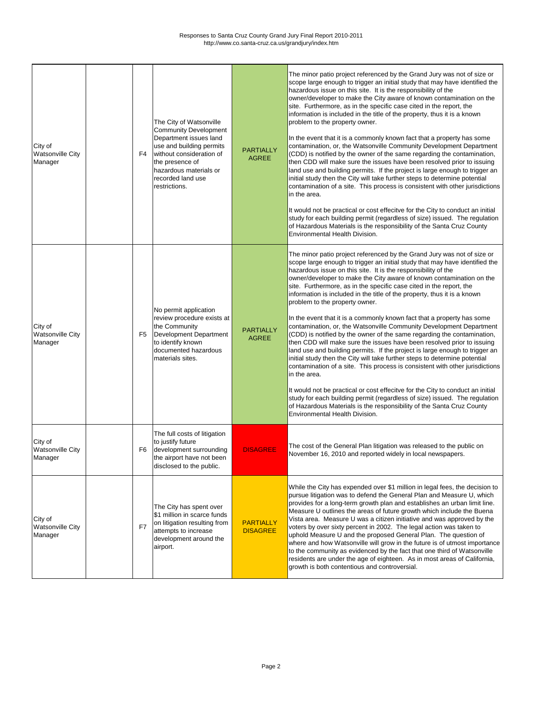uphold Measure U and the proposed General Plan. The question of where and how Watsonville will grow in the future is of utmost importance to the community as evidenced by the fact that one third of Watsonville esidents are under the age of eighteen. As in most areas of California, rowth is both contentious and controversial.

| City of<br><b>Watsonville City</b><br>Manager | F4             | The City of Watsonville<br><b>Community Development</b><br>Department issues land<br>use and building permits<br>without consideration of<br>the presence of<br>hazardous materials or<br>recorded land use<br>restrictions. | <b>PARTIALLY</b><br><b>AGREE</b>    | The minor patio project referenced by the Grand Jury was not of size or<br>scope large enough to trigger an initial study that may have identified the<br>hazardous issue on this site. It is the responsibility of the<br>owner/developer to make the City aware of known contamination on the<br>site. Furthermore, as in the specific case cited in the report, the<br>information is included in the title of the property, thus it is a known<br>problem to the property owner.<br>In the event that it is a commonly known fact that a property has some<br>contamination, or, the Watsonville Community Development Department<br>(CDD) is notified by the owner of the same regarding the contamination,<br>then CDD will make sure the issues have been resolved prior to issuing<br>land use and building permits. If the project is large enough to trigger an<br>initial study then the City will take further steps to determine potential<br>contamination of a site. This process is consistent with other jurisdictions<br>in the area.<br>It would not be practical or cost effecitve for the City to conduct an initial<br>study for each building permit (regardless of size) issued. The regulation<br>of Hazardous Materials is the responsibility of the Santa Cruz County<br><b>Environmental Health Division.</b> |
|-----------------------------------------------|----------------|------------------------------------------------------------------------------------------------------------------------------------------------------------------------------------------------------------------------------|-------------------------------------|-------------------------------------------------------------------------------------------------------------------------------------------------------------------------------------------------------------------------------------------------------------------------------------------------------------------------------------------------------------------------------------------------------------------------------------------------------------------------------------------------------------------------------------------------------------------------------------------------------------------------------------------------------------------------------------------------------------------------------------------------------------------------------------------------------------------------------------------------------------------------------------------------------------------------------------------------------------------------------------------------------------------------------------------------------------------------------------------------------------------------------------------------------------------------------------------------------------------------------------------------------------------------------------------------------------------------------------------|
| City of<br><b>Watsonville City</b><br>Manager | F5             | No permit application<br>review procedure exists at<br>the Community<br>Development Department<br>to identify known<br>documented hazardous<br>materials sites.                                                              | <b>PARTIALLY</b><br><b>AGREE</b>    | The minor patio project referenced by the Grand Jury was not of size or<br>scope large enough to trigger an initial study that may have identified the<br>hazardous issue on this site. It is the responsibility of the<br>owner/developer to make the City aware of known contamination on the<br>site. Furthermore, as in the specific case cited in the report, the<br>information is included in the title of the property, thus it is a known<br>problem to the property owner.<br>In the event that it is a commonly known fact that a property has some<br>contamination, or, the Watsonville Community Development Department<br>(CDD) is notified by the owner of the same regarding the contamination,<br>then CDD will make sure the issues have been resolved prior to issuing<br>land use and building permits. If the project is large enough to trigger an<br>initial study then the City will take further steps to determine potential<br>contamination of a site. This process is consistent with other jurisdictions<br>in the area.<br>It would not be practical or cost effecitve for the City to conduct an initial<br>study for each building permit (regardless of size) issued. The regulation<br>of Hazardous Materials is the responsibility of the Santa Cruz County<br>Environmental Health Division.        |
| City of<br><b>Watsonville City</b><br>Manager | F6             | The full costs of litigation<br>to justify future<br>development surrounding<br>the airport have not been<br>disclosed to the public.                                                                                        | <b>DISAGREE</b>                     | The cost of the General Plan litigation was released to the public on<br>November 16, 2010 and reported widely in local newspapers.                                                                                                                                                                                                                                                                                                                                                                                                                                                                                                                                                                                                                                                                                                                                                                                                                                                                                                                                                                                                                                                                                                                                                                                                       |
| City of<br><b>Watsonville City</b>            | F <sub>7</sub> | The City has spent over<br>\$1 million in scarce funds<br>on litigation resulting from<br>attempts to increase                                                                                                               | <b>PARTIALLY</b><br><b>DISAGREE</b> | While the City has expended over \$1 million in legal fees, the decision to<br>pursue litigation was to defend the General Plan and Measure U, which<br>provides for a long-term growth plan and establishes an urban limit line.<br>Measure U outlines the areas of future growth which include the Buena<br>Vista area. Measure U was a citizen initiative and was approved by the<br>voters by over sixty percent in 2002. The legal action was taken to<br>Lond the prepaged Coneral Dian The a                                                                                                                                                                                                                                                                                                                                                                                                                                                                                                                                                                                                                                                                                                                                                                                                                                       |

| <b>TManager</b> |  | development around the<br>airport. | ιuι<br>lw<br>to<br>re<br>g |
|-----------------|--|------------------------------------|----------------------------|
|                 |  |                                    |                            |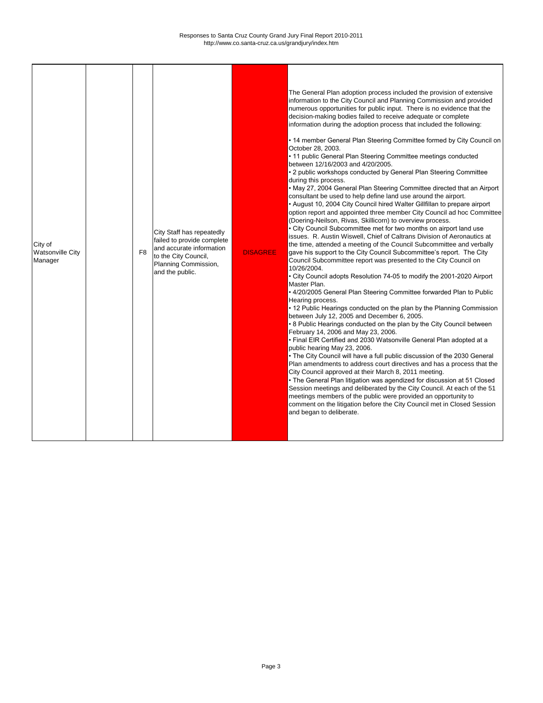| City of<br><b>Watsonville City</b><br>Manager | F <sub>8</sub> | City Staff has repeatedly<br>failed to provide complete<br>and accurate information<br>to the City Council,<br>Planning Commission,<br>and the public. | <b>DISAGREE</b> | The General Plan adoption process included the provision of extensive<br>information to the City Council and Planning Commission and provided<br>numerous opportunities for public input. There is no evidence that the<br>decision-making bodies failed to receive adequate or complete<br>information during the adoption process that included the following:<br>• 14 member General Plan Steering Committee formed by City Council on<br>October 28, 2003.<br>• 11 public General Plan Steering Committee meetings conducted<br>between 12/16/2003 and 4/20/2005.<br>• 2 public workshops conducted by General Plan Steering Committee<br>during this process.<br>• May 27, 2004 General Plan Steering Committee directed that an Airport<br>consultant be used to help define land use around the airport.<br>• August 10, 2004 City Council hired Walter Gillfillan to prepare airport<br>option report and appointed three member City Council ad hoc Committee<br>(Doering-Neilson, Rivas, Skillicorn) to overview process.<br>• City Council Subcommittee met for two months on airport land use<br>issues. R. Austin Wiswell, Chief of Caltrans Division of Aeronautics at<br>the time, attended a meeting of the Council Subcommittee and verbally<br>gave his support to the City Council Subcommittee's report. The City<br>Council Subcommittee report was presented to the City Council on<br>10/26/2004.<br>• City Council adopts Resolution 74-05 to modify the 2001-2020 Airport<br>Master Plan.<br>• 4/20/2005 General Plan Steering Committee forwarded Plan to Public<br>Hearing process.<br>• 12 Public Hearings conducted on the plan by the Planning Commission<br>between July 12, 2005 and December 6, 2005.<br>• 8 Public Hearings conducted on the plan by the City Council between<br>February 14, 2006 and May 23, 2006.<br>• Final EIR Certified and 2030 Watsonville General Plan adopted at a<br>public hearing May 23, 2006.<br>• The City Council will have a full public discussion of the 2030 General<br>Plan amendments to address court directives and has a process that the<br>City Council approved at their March 8, 2011 meeting.<br>• The General Plan litigation was agendized for discussion at 51 Closed<br>Session meetings and deliberated by the City Council. At each of the 51<br>meetings members of the public were provided an opportunity to<br>comment on the litigation before the City Council met in Closed Session<br>and began to deliberate. |
|-----------------------------------------------|----------------|--------------------------------------------------------------------------------------------------------------------------------------------------------|-----------------|---------------------------------------------------------------------------------------------------------------------------------------------------------------------------------------------------------------------------------------------------------------------------------------------------------------------------------------------------------------------------------------------------------------------------------------------------------------------------------------------------------------------------------------------------------------------------------------------------------------------------------------------------------------------------------------------------------------------------------------------------------------------------------------------------------------------------------------------------------------------------------------------------------------------------------------------------------------------------------------------------------------------------------------------------------------------------------------------------------------------------------------------------------------------------------------------------------------------------------------------------------------------------------------------------------------------------------------------------------------------------------------------------------------------------------------------------------------------------------------------------------------------------------------------------------------------------------------------------------------------------------------------------------------------------------------------------------------------------------------------------------------------------------------------------------------------------------------------------------------------------------------------------------------------------------------------------------------------------------------------------------------------------------------------------------------------------------------------------------------------------------------------------------------------------------------------------------------------------------------------------------------------------------------------------------------------------------------------------------------------------------------------------------------------------------------------------------------------------------------------------------------|
|-----------------------------------------------|----------------|--------------------------------------------------------------------------------------------------------------------------------------------------------|-----------------|---------------------------------------------------------------------------------------------------------------------------------------------------------------------------------------------------------------------------------------------------------------------------------------------------------------------------------------------------------------------------------------------------------------------------------------------------------------------------------------------------------------------------------------------------------------------------------------------------------------------------------------------------------------------------------------------------------------------------------------------------------------------------------------------------------------------------------------------------------------------------------------------------------------------------------------------------------------------------------------------------------------------------------------------------------------------------------------------------------------------------------------------------------------------------------------------------------------------------------------------------------------------------------------------------------------------------------------------------------------------------------------------------------------------------------------------------------------------------------------------------------------------------------------------------------------------------------------------------------------------------------------------------------------------------------------------------------------------------------------------------------------------------------------------------------------------------------------------------------------------------------------------------------------------------------------------------------------------------------------------------------------------------------------------------------------------------------------------------------------------------------------------------------------------------------------------------------------------------------------------------------------------------------------------------------------------------------------------------------------------------------------------------------------------------------------------------------------------------------------------------------------|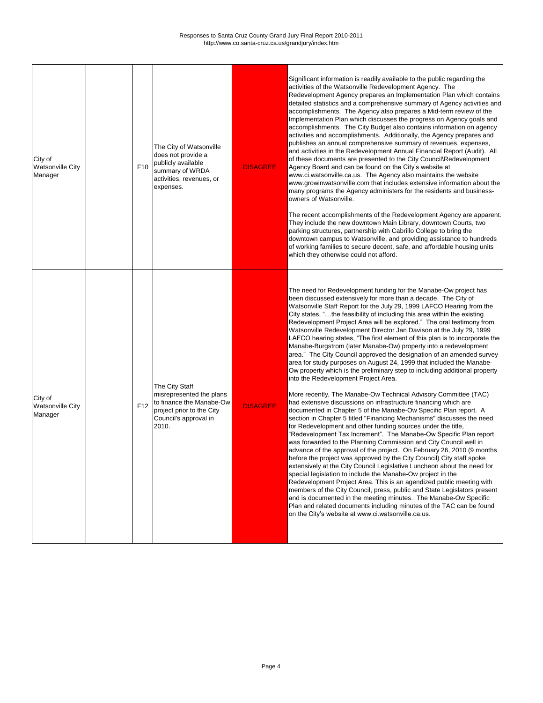| City of<br><b>Watsonville City</b><br>Manager | F <sub>10</sub> | The City of Watsonville<br>does not provide a<br>publicly available<br>summary of WRDA<br>activities, revenues, or<br>expenses.       | <b>DISAGREE</b> | Significant information is readily available to the public regarding the<br>activities of the Watsonville Redevelopment Agency. The<br>Redevelopment Agency prepares an Implementation Plan which contains<br>detailed statistics and a comprehensive summary of Agency activities and<br>accomplishments. The Agency also prepares a Mid-term review of the<br>Implementation Plan which discusses the progress on Agency goals and<br>accomplishments. The City Budget also contains information on agency<br>activities and accomplishments. Additionally, the Agency prepares and<br>publishes an annual comprehensive summary of revenues, expenses,<br>and activities in the Redevelopment Annual Financial Report (Audit). All<br>of these documents are presented to the City Council\Redevelopment<br>Agency Board and can be found on the City's website at<br>www.ci.watsonville.ca.us. The Agency also maintains the website<br>www.growinwatsonville.com that includes extensive information about the<br>many programs the Agency administers for the residents and business-<br>owners of Watsonville.<br>The recent accomplishments of the Redevelopment Agency are apparent.<br>They include the new downtown Main Library, downtown Courts, two<br>parking structures, partnership with Cabrillo College to bring the<br>downtown campus to Watsonville, and providing assistance to hundreds<br>of working families to secure decent, safe, and affordable housing units<br>which they otherwise could not afford.                                                                                                                                                                                                                                                                                                                                                                                                                                                                             |
|-----------------------------------------------|-----------------|---------------------------------------------------------------------------------------------------------------------------------------|-----------------|-------------------------------------------------------------------------------------------------------------------------------------------------------------------------------------------------------------------------------------------------------------------------------------------------------------------------------------------------------------------------------------------------------------------------------------------------------------------------------------------------------------------------------------------------------------------------------------------------------------------------------------------------------------------------------------------------------------------------------------------------------------------------------------------------------------------------------------------------------------------------------------------------------------------------------------------------------------------------------------------------------------------------------------------------------------------------------------------------------------------------------------------------------------------------------------------------------------------------------------------------------------------------------------------------------------------------------------------------------------------------------------------------------------------------------------------------------------------------------------------------------------------------------------------------------------------------------------------------------------------------------------------------------------------------------------------------------------------------------------------------------------------------------------------------------------------------------------------------------------------------------------------------------------------------------------------------------------------------------------------------------------------|
| City of<br><b>Watsonville City</b><br>Manager | F <sub>12</sub> | The City Staff<br>misrepresented the plans<br>to finance the Manabe-Ow<br>project prior to the City<br>Council's approval in<br>2010. | <b>DISAGREE</b> | The need for Redevelopment funding for the Manabe-Ow project has<br>been discussed extensively for more than a decade. The City of<br>Watsonville Staff Report for the July 29, 1999 LAFCO Hearing from the<br>City states, "the feasibility of including this area within the existing<br>Redevelopment Project Area will be explored." The oral testimony from<br>Watsonville Redevelopment Director Jan Davison at the July 29, 1999<br>LAFCO hearing states, "The first element of this plan is to incorporate the<br>Manabe-Burgstrom (later Manabe-Ow) property into a redevelopment<br>area." The City Council approved the designation of an amended survey<br>area for study purposes on August 24, 1999 that included the Manabe-<br>Ow property which is the preliminary step to including additional property<br>into the Redevelopment Project Area.<br>More recently, The Manabe-Ow Technical Advisory Committee (TAC)<br>had extensive discussions on infrastructure financing which are<br>documented in Chapter 5 of the Manabe-Ow Specific Plan report. A<br>section in Chapter 5 titled "Financing Mechanisms" discusses the need<br>for Redevelopment and other funding sources under the title,<br>'Redevelopment Tax Increment". The Manabe-Ow Specific Plan report<br>was forwarded to the Planning Commission and City Council well in<br>advance of the approval of the project. On February 26, 2010 (9 months<br>before the project was approved by the City Council) City staff spoke<br>extensively at the City Council Legislative Luncheon about the need for<br>special legislation to include the Manabe-Ow project in the<br>Redevelopment Project Area. This is an agendized public meeting with<br>members of the City Council, press, public and State Legislators present<br>and is documented in the meeting minutes. The Manabe-Ow Specific<br>Plan and related documents including minutes of the TAC can be found<br>on the City's website at www.ci.watsonville.ca.us. |

| and the contract of the contract of the contract of the contract of the contract of the contract of the contract of the contract of the contract of the contract of the contract of the contract of the contract of the contra |  |  |  |
|--------------------------------------------------------------------------------------------------------------------------------------------------------------------------------------------------------------------------------|--|--|--|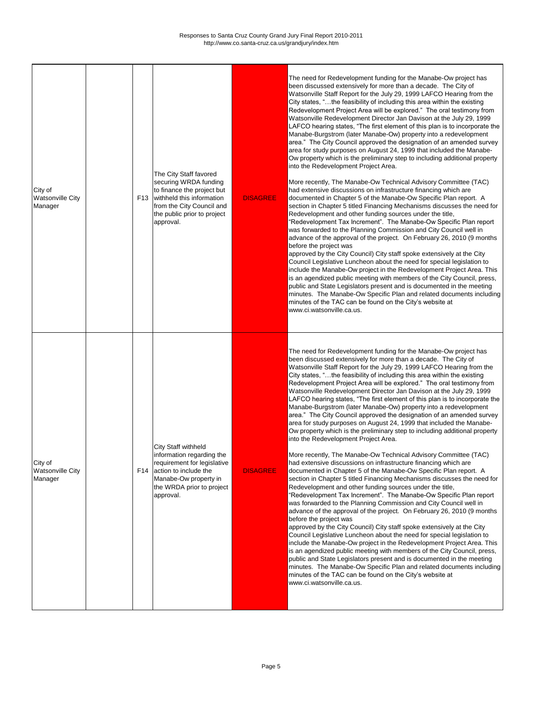| City of<br><b>Watsonville City</b><br>Manager |  | The City Staff favored<br>securing WRDA funding<br>to finance the project but<br>F13 withheld this information<br>from the City Council and<br>the public prior to project<br>approval. | <b>DISAGREE</b> | The need for Redevelopment funding for the Manabe-Ow project has<br>been discussed extensively for more than a decade. The City of<br>Watsonville Staff Report for the July 29, 1999 LAFCO Hearing from the<br>City states, "the feasibility of including this area within the existing<br>Redevelopment Project Area will be explored." The oral testimony from<br>Watsonville Redevelopment Director Jan Davison at the July 29, 1999<br>LAFCO hearing states, "The first element of this plan is to incorporate the<br>Manabe-Burgstrom (later Manabe-Ow) property into a redevelopment<br>area." The City Council approved the designation of an amended survey<br>area for study purposes on August 24, 1999 that included the Manabe-<br>Ow property which is the preliminary step to including additional property<br>into the Redevelopment Project Area.<br>More recently, The Manabe-Ow Technical Advisory Committee (TAC)<br>had extensive discussions on infrastructure financing which are<br>documented in Chapter 5 of the Manabe-Ow Specific Plan report. A<br>section in Chapter 5 titled Financing Mechanisms discusses the need for<br>Redevelopment and other funding sources under the title,<br>"Redevelopment Tax Increment". The Manabe-Ow Specific Plan report<br>was forwarded to the Planning Commission and City Council well in<br>advance of the approval of the project. On February 26, 2010 (9 months<br>before the project was<br>approved by the City Council) City staff spoke extensively at the City<br>Council Legislative Luncheon about the need for special legislation to<br>include the Manabe-Ow project in the Redevelopment Project Area. This<br>is an agendized public meeting with members of the City Council, press,<br>public and State Legislators present and is documented in the meeting<br>minutes. The Manabe-Ow Specific Plan and related documents including<br>minutes of the TAC can be found on the City's website at<br>www.ci.watsonville.ca.us. |
|-----------------------------------------------|--|-----------------------------------------------------------------------------------------------------------------------------------------------------------------------------------------|-----------------|--------------------------------------------------------------------------------------------------------------------------------------------------------------------------------------------------------------------------------------------------------------------------------------------------------------------------------------------------------------------------------------------------------------------------------------------------------------------------------------------------------------------------------------------------------------------------------------------------------------------------------------------------------------------------------------------------------------------------------------------------------------------------------------------------------------------------------------------------------------------------------------------------------------------------------------------------------------------------------------------------------------------------------------------------------------------------------------------------------------------------------------------------------------------------------------------------------------------------------------------------------------------------------------------------------------------------------------------------------------------------------------------------------------------------------------------------------------------------------------------------------------------------------------------------------------------------------------------------------------------------------------------------------------------------------------------------------------------------------------------------------------------------------------------------------------------------------------------------------------------------------------------------------------------------------------------------------------------------------------------------------------------|
| City of<br><b>Watsonville City</b><br>Manager |  | <b>City Staff withheld</b><br>information regarding the<br>requirement for legislative<br>F14 action to include the<br>Manabe-Ow property in<br>the WRDA prior to project<br>approval.  | <b>DISAGREE</b> | The need for Redevelopment funding for the Manabe-Ow project has<br>been discussed extensively for more than a decade. The City of<br>Watsonville Staff Report for the July 29, 1999 LAFCO Hearing from the<br>City states, "the feasibility of including this area within the existing<br>Redevelopment Project Area will be explored." The oral testimony from<br>Watsonville Redevelopment Director Jan Davison at the July 29, 1999<br>LAFCO hearing states, "The first element of this plan is to incorporate the<br>Manabe-Burgstrom (later Manabe-Ow) property into a redevelopment<br>area." The City Council approved the designation of an amended survey<br>area for study purposes on August 24, 1999 that included the Manabe-<br>Ow property which is the preliminary step to including additional property<br>into the Redevelopment Project Area.<br>More recently, The Manabe-Ow Technical Advisory Committee (TAC)<br>had extensive discussions on infrastructure financing which are<br>documented in Chapter 5 of the Manabe-Ow Specific Plan report. A<br>section in Chapter 5 titled Financing Mechanisms discusses the need for<br>Redevelopment and other funding sources under the title,<br>"Redevelopment Tax Increment". The Manabe-Ow Specific Plan report<br>was forwarded to the Planning Commission and City Council well in<br>advance of the approval of the project. On February 26, 2010 (9 months<br>before the project was<br>approved by the City Council) City staff spoke extensively at the City                                                                                                                                                                                                                                                                                                                                                                                                                                                                         |

Council Legislative Luncheon about the need for special legislation to include the Manabe-Ow project in the Redevelopment Project Area. This is an agendized public meeting with members of the City Council, press, public and State Legislators present and is documented in the meeting minutes. The Manabe-Ow Specific Plan and related documents including minutes of the TAC can be found on the City's website at www.ci.watsonville.ca.us.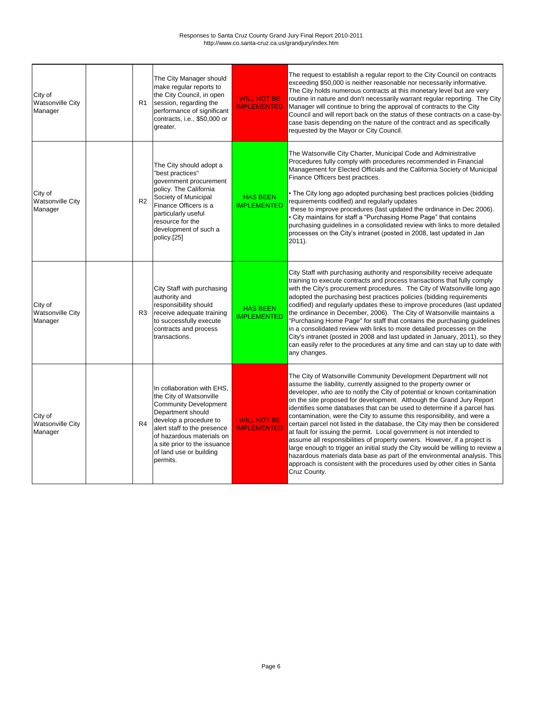| City of<br><b>Watsonville City</b><br>Manager | R <sub>1</sub> | The City Manager should<br>make regular reports to<br>the City Council, in open<br>session, regarding the<br>performance of significant<br>contracts, i.e., \$50,000 or<br>greater.                                                                                     | <b>WILL NOT BE</b><br><b>IMPLEMENTED</b> | The request to establish a regular report to the City Council on contracts<br>exceeding \$50,000 is neither reasonable nor necessarily informative.<br>The City holds numerous contracts at this monetary level but are very<br>routine in nature and don't necessarily warrant regular reporting. The City<br>Manager will continue to bring the approval of contracts to the City<br>Council and will report back on the status of these contracts on a case-by-<br>case basis depending on the nature of the contract and as specifically<br>requested by the Mayor or City Council.                                                                                                                                                                                                                                                                                                                                                       |
|-----------------------------------------------|----------------|-------------------------------------------------------------------------------------------------------------------------------------------------------------------------------------------------------------------------------------------------------------------------|------------------------------------------|-----------------------------------------------------------------------------------------------------------------------------------------------------------------------------------------------------------------------------------------------------------------------------------------------------------------------------------------------------------------------------------------------------------------------------------------------------------------------------------------------------------------------------------------------------------------------------------------------------------------------------------------------------------------------------------------------------------------------------------------------------------------------------------------------------------------------------------------------------------------------------------------------------------------------------------------------|
| City of<br><b>Watsonville City</b><br>Manager | R <sub>2</sub> | The City should adopt a<br>"best practices"<br>government procurement<br>policy. The California<br>Society of Municipal<br>Finance Officers is a<br>particularly useful<br>resource for the<br>development of such a<br>policy.[25]                                     | <b>HAS BEEN</b><br><b>IMPLEMENTED</b>    | The Watsonville City Charter, Municipal Code and Administrative<br>Procedures fully comply with procedures recommended in Financial<br>Management for Elected Officials and the California Society of Municipal<br>Finance Officers best practices.<br>• The City long ago adopted purchasing best practices policies (bidding<br>requirements codified) and regularly updates<br>these to improve procedures (last updated the ordinance in Dec 2006).<br>• City maintains for staff a "Purchasing Home Page" that contains<br>purchasing guidelines in a consolidated review with links to more detailed<br>processes on the City's intranet (posted in 2008, last updated in Jan<br>$2011$ ).                                                                                                                                                                                                                                              |
| City of<br><b>Watsonville City</b><br>Manager | R <sub>3</sub> | City Staff with purchasing<br>authority and<br>responsibility should<br>receive adequate training<br>to successfully execute<br>contracts and process<br>transactions.                                                                                                  | <b>HAS BEEN</b><br><b>IMPLEMENTED</b>    | City Staff with purchasing authority and responsibility receive adequate<br>training to execute contracts and process transactions that fully comply<br>with the City's procurement procedures. The City of Watsonville long ago<br>adopted the purchasing best practices policies (bidding requirements<br>codified) and regularly updates these to improve procedures (last updated<br>the ordinance in December, 2006). The City of Watsonville maintains a<br>"Purchasing Home Page" for staff that contains the purchasing guidelines<br>in a consolidated review with links to more detailed processes on the<br>City's intranet (posted in 2008 and last updated in January, 2011), so they<br>can easily refer to the procedures at any time and can stay up to date with<br>any changes.                                                                                                                                             |
| City of<br><b>Watsonville City</b><br>Manager | R4             | In collaboration with EHS.<br>the City of Watsonville<br><b>Community Development</b><br>Department should<br>develop a procedure to<br>alert staff to the presence<br>of hazardous materials on<br>a site prior to the issuance<br>of land use or building<br>permits. | <b>WILL NOT BE</b><br><b>IMPLEMENTED</b> | The City of Watsonville Community Development Department will not<br>assume the liability, currently assigned to the property owner or<br>developer, who are to notify the City of potential or known contamination<br>on the site proposed for development. Although the Grand Jury Report<br>identifies some databases that can be used to determine if a parcel has<br>contamination, were the City to assume this responsibility, and were a<br>certain parcel not listed in the database, the City may then be considered<br>at fault for issuing the permit. Local government is not intended to<br>assume all responsibilities of property owners. However, if a project is<br>large enough to trigger an initial study the City would be willing to review a<br>hazardous materials data base as part of the environmental analysis. This<br>approach is consistent with the procedures used by other cities in Santa<br>Cruz County. |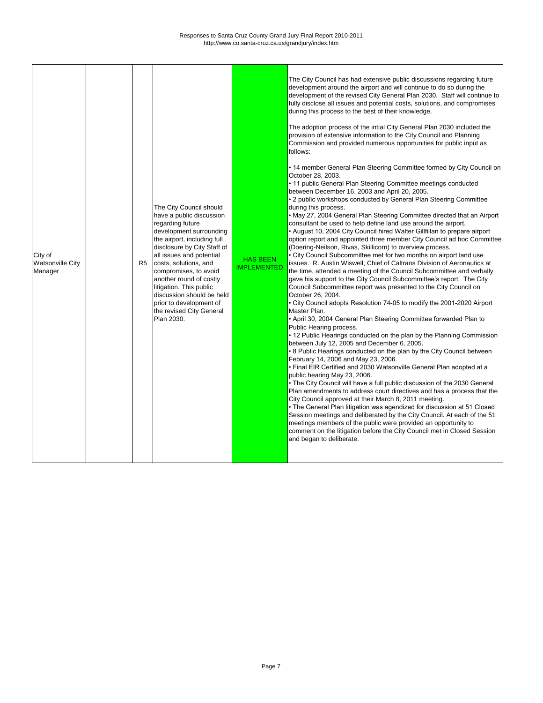| City of<br><b>Watsonville City</b><br>Manager |  | R <sub>5</sub> | The City Council should<br>have a public discussion<br>regarding future<br>development surrounding<br>the airport, including full<br>disclosure by City Staff of<br>all issues and potential<br>costs, solutions, and<br>compromises, to avoid<br>another round of costly<br>litigation. This public<br>discussion should be held<br>prior to development of<br>the revised City General<br>Plan 2030. | <b>HAS BEEN</b><br><b>IMPLEMENTED</b> | The City Council has had extensive public discussions regarding future<br>development around the airport and will continue to do so during the<br>development of the revised City General Plan 2030. Staff will continue to<br>fully disclose all issues and potential costs, solutions, and compromises<br>during this process to the best of their knowledge.<br>The adoption process of the intial City General Plan 2030 included the<br>provision of extensive information to the City Council and Planning<br>Commission and provided numerous opportunities for public input as<br>follows:<br>• 14 member General Plan Steering Committee formed by City Council on<br>October 28, 2003.<br>• 11 public General Plan Steering Committee meetings conducted<br>between December 16, 2003 and April 20, 2005.<br>• 2 public workshops conducted by General Plan Steering Committee<br>during this process.<br>• May 27, 2004 General Plan Steering Committee directed that an Airport<br>consultant be used to help define land use around the airport.<br>• August 10, 2004 City Council hired Walter Gillfillan to prepare airport<br>option report and appointed three member City Council ad hoc Committee<br>(Doering-Neilson, Rivas, Skillicorn) to overview process.<br>• City Council Subcommittee met for two months on airport land use<br>issues. R. Austin Wiswell, Chief of Caltrans Division of Aeronautics at<br>the time, attended a meeting of the Council Subcommittee and verbally<br>gave his support to the City Council Subcommittee's report. The City<br>Council Subcommittee report was presented to the City Council on<br>October 26, 2004.<br>• City Council adopts Resolution 74-05 to modify the 2001-2020 Airport<br>Master Plan.<br>• April 30, 2004 General Plan Steering Committee forwarded Plan to<br>Public Hearing process.<br>• 12 Public Hearings conducted on the plan by the Planning Commission<br>between July 12, 2005 and December 6, 2005.<br>. 8 Public Hearings conducted on the plan by the City Council between<br>February 14, 2006 and May 23, 2006.<br>• Final EIR Certified and 2030 Watsonville General Plan adopted at a<br>public hearing May 23, 2006.<br>• The City Council will have a full public discussion of the 2030 General<br>Plan amendments to address court directives and has a process that the<br>City Council approved at their March 8, 2011 meeting.<br>• The General Plan litigation was agendized for discussion at 51 Closed<br>Session meetings and deliberated by the City Council. At each of the 51<br>meetings members of the public were provided an opportunity to<br>comment on the litigation before the City Council met in Closed Session<br>and began to deliberate. |
|-----------------------------------------------|--|----------------|--------------------------------------------------------------------------------------------------------------------------------------------------------------------------------------------------------------------------------------------------------------------------------------------------------------------------------------------------------------------------------------------------------|---------------------------------------|------------------------------------------------------------------------------------------------------------------------------------------------------------------------------------------------------------------------------------------------------------------------------------------------------------------------------------------------------------------------------------------------------------------------------------------------------------------------------------------------------------------------------------------------------------------------------------------------------------------------------------------------------------------------------------------------------------------------------------------------------------------------------------------------------------------------------------------------------------------------------------------------------------------------------------------------------------------------------------------------------------------------------------------------------------------------------------------------------------------------------------------------------------------------------------------------------------------------------------------------------------------------------------------------------------------------------------------------------------------------------------------------------------------------------------------------------------------------------------------------------------------------------------------------------------------------------------------------------------------------------------------------------------------------------------------------------------------------------------------------------------------------------------------------------------------------------------------------------------------------------------------------------------------------------------------------------------------------------------------------------------------------------------------------------------------------------------------------------------------------------------------------------------------------------------------------------------------------------------------------------------------------------------------------------------------------------------------------------------------------------------------------------------------------------------------------------------------------------------------------------------------------------------------------------------------------------------------------------------------------------------------------------------------------------------------------------------------------------------------------------------------------|
|-----------------------------------------------|--|----------------|--------------------------------------------------------------------------------------------------------------------------------------------------------------------------------------------------------------------------------------------------------------------------------------------------------------------------------------------------------------------------------------------------------|---------------------------------------|------------------------------------------------------------------------------------------------------------------------------------------------------------------------------------------------------------------------------------------------------------------------------------------------------------------------------------------------------------------------------------------------------------------------------------------------------------------------------------------------------------------------------------------------------------------------------------------------------------------------------------------------------------------------------------------------------------------------------------------------------------------------------------------------------------------------------------------------------------------------------------------------------------------------------------------------------------------------------------------------------------------------------------------------------------------------------------------------------------------------------------------------------------------------------------------------------------------------------------------------------------------------------------------------------------------------------------------------------------------------------------------------------------------------------------------------------------------------------------------------------------------------------------------------------------------------------------------------------------------------------------------------------------------------------------------------------------------------------------------------------------------------------------------------------------------------------------------------------------------------------------------------------------------------------------------------------------------------------------------------------------------------------------------------------------------------------------------------------------------------------------------------------------------------------------------------------------------------------------------------------------------------------------------------------------------------------------------------------------------------------------------------------------------------------------------------------------------------------------------------------------------------------------------------------------------------------------------------------------------------------------------------------------------------------------------------------------------------------------------------------------------------|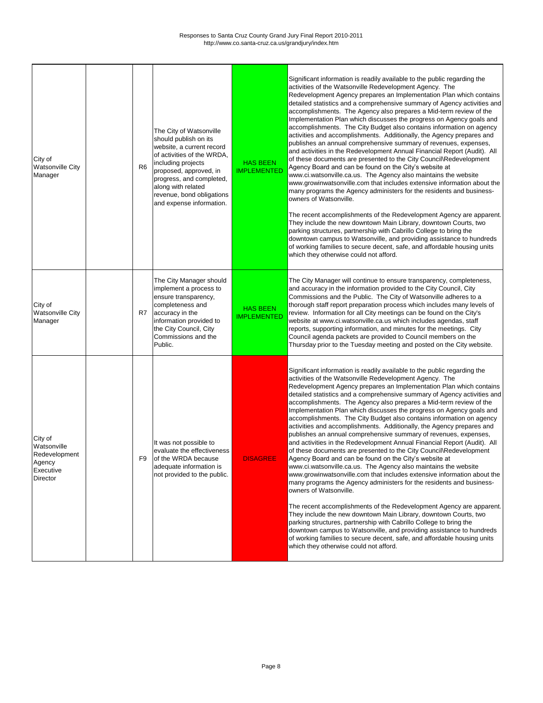| City of<br><b>Watsonville City</b><br>Manager                                     | R <sub>6</sub> | The City of Watsonville<br>should publish on its<br>website, a current record<br>of activities of the WRDA,<br>including projects<br>proposed, approved, in<br>progress, and completed,<br>along with related<br>revenue, bond obligations<br>and expense information. | <b>HAS BEEN</b><br><b>IMPLEMENTED</b> | Significant information is readily available to the public regarding the<br>activities of the Watsonville Redevelopment Agency. The<br>Redevelopment Agency prepares an Implementation Plan which contains<br>detailed statistics and a comprehensive summary of Agency activities and<br>accomplishments. The Agency also prepares a Mid-term review of the<br>Implementation Plan which discusses the progress on Agency goals and<br>accomplishments. The City Budget also contains information on agency<br>activities and accomplishments. Additionally, the Agency prepares and<br>publishes an annual comprehensive summary of revenues, expenses,<br>and activities in the Redevelopment Annual Financial Report (Audit). All<br>of these documents are presented to the City Council\Redevelopment<br>Agency Board and can be found on the City's website at<br>www.ci.watsonville.ca.us. The Agency also maintains the website<br>www.growinwatsonville.com that includes extensive information about the<br>many programs the Agency administers for the residents and business-<br>owners of Watsonville.<br>The recent accomplishments of the Redevelopment Agency are apparent.<br>They include the new downtown Main Library, downtown Courts, two<br>parking structures, partnership with Cabrillo College to bring the<br>downtown campus to Watsonville, and providing assistance to hundreds<br>of working families to secure decent, safe, and affordable housing units<br>which they otherwise could not afford. |
|-----------------------------------------------------------------------------------|----------------|------------------------------------------------------------------------------------------------------------------------------------------------------------------------------------------------------------------------------------------------------------------------|---------------------------------------|---------------------------------------------------------------------------------------------------------------------------------------------------------------------------------------------------------------------------------------------------------------------------------------------------------------------------------------------------------------------------------------------------------------------------------------------------------------------------------------------------------------------------------------------------------------------------------------------------------------------------------------------------------------------------------------------------------------------------------------------------------------------------------------------------------------------------------------------------------------------------------------------------------------------------------------------------------------------------------------------------------------------------------------------------------------------------------------------------------------------------------------------------------------------------------------------------------------------------------------------------------------------------------------------------------------------------------------------------------------------------------------------------------------------------------------------------------------------------------------------------------------------------------------|
| City of<br><b>Watsonville City</b><br>Manager                                     | R7             | The City Manager should<br>implement a process to<br>ensure transparency,<br>completeness and<br>accuracy in the<br>information provided to<br>the City Council, City<br>Commissions and the<br>Public.                                                                | <b>HAS BEEN</b><br><b>IMPLEMENTED</b> | The City Manager will continue to ensure transparency, completeness,<br>and accuracy in the information provided to the City Council, City<br>Commissions and the Public. The City of Watsonville adheres to a<br>thorough staff report preparation process which includes many levels of<br>review. Information for all City meetings can be found on the City's<br>website at www.ci.watsonville.ca.us which includes agendas, staff<br>reports, supporting information, and minutes for the meetings. City<br>Council agenda packets are provided to Council members on the<br>Thursday prior to the Tuesday meeting and posted on the City website.                                                                                                                                                                                                                                                                                                                                                                                                                                                                                                                                                                                                                                                                                                                                                                                                                                                                               |
| City of<br>Watsonville<br>Redevelopment<br>Agency<br>Executive<br><b>Director</b> | F9             | It was not possible to<br>evaluate the effectiveness<br>of the WRDA because<br>adequate information is<br>not provided to the public.                                                                                                                                  | <b>DISAGREE</b>                       | Significant information is readily available to the public regarding the<br>activities of the Watsonville Redevelopment Agency. The<br>Redevelopment Agency prepares an Implementation Plan which contains<br>detailed statistics and a comprehensive summary of Agency activities and<br>accomplishments. The Agency also prepares a Mid-term review of the<br>Implementation Plan which discusses the progress on Agency goals and<br>accomplishments. The City Budget also contains information on agency<br>activities and accomplishments. Additionally, the Agency prepares and<br>publishes an annual comprehensive summary of revenues, expenses,<br>and activities in the Redevelopment Annual Financial Report (Audit). All<br>of these documents are presented to the City Council\Redevelopment<br>Agency Board and can be found on the City's website at<br>www.ci.watsonville.ca.us. The Agency also maintains the website<br>www.growinwatsonville.com that includes extensive information about the<br>many programs the Agency administers for the residents and business-<br>owners of Watsonville.<br>The recent accomplishments of the Redevelopment Agency are apparent.<br>They include the new downtown Main Library, downtown Courts, two<br>parking structures, partnership with Cabrillo College to bring the<br>downtown campus to Watsonville, and providing assistance to hundreds                                                                                                                       |

|  |  |  | of working families to secure decent, safe, and affordable housing units |
|--|--|--|--------------------------------------------------------------------------|
|  |  |  | which they otherwise could not afford.                                   |
|  |  |  |                                                                          |
|  |  |  |                                                                          |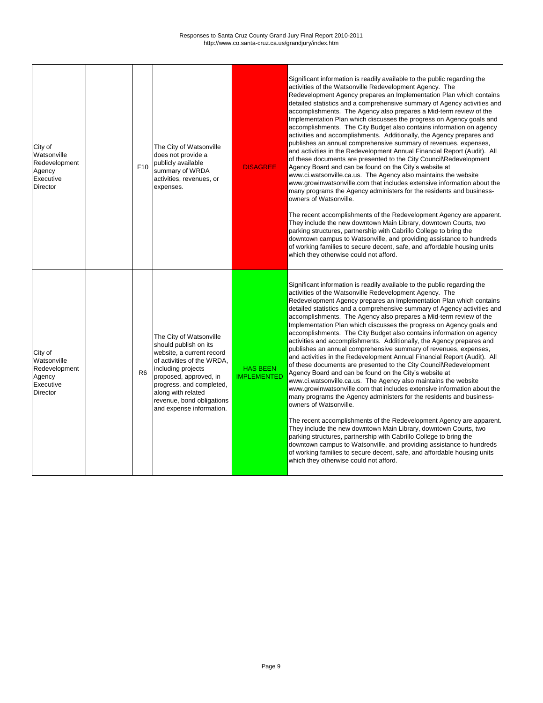| City of<br>Watsonville<br>Redevelopment<br>Agency<br>Executive<br><b>Director</b> | F <sub>10</sub> | The City of Watsonville<br>does not provide a<br>publicly available<br>summary of WRDA<br>activities, revenues, or<br>expenses.                                                                                                                                        | <b>DISAGREE</b>                       | Significant information is readily available to the public regarding the<br>activities of the Watsonville Redevelopment Agency. The<br>Redevelopment Agency prepares an Implementation Plan which contains<br>detailed statistics and a comprehensive summary of Agency activities and<br>accomplishments. The Agency also prepares a Mid-term review of the<br>Implementation Plan which discusses the progress on Agency goals and<br>accomplishments. The City Budget also contains information on agency<br>activities and accomplishments. Additionally, the Agency prepares and<br>publishes an annual comprehensive summary of revenues, expenses,<br>and activities in the Redevelopment Annual Financial Report (Audit). All<br>of these documents are presented to the City Council\Redevelopment<br>Agency Board and can be found on the City's website at<br>www.ci.watsonville.ca.us. The Agency also maintains the website<br>www.growinwatsonville.com that includes extensive information about the<br>many programs the Agency administers for the residents and business-<br>owners of Watsonville.<br>The recent accomplishments of the Redevelopment Agency are apparent.<br>They include the new downtown Main Library, downtown Courts, two<br>parking structures, partnership with Cabrillo College to bring the<br>downtown campus to Watsonville, and providing assistance to hundreds<br>of working families to secure decent, safe, and affordable housing units<br>which they otherwise could not afford. |
|-----------------------------------------------------------------------------------|-----------------|------------------------------------------------------------------------------------------------------------------------------------------------------------------------------------------------------------------------------------------------------------------------|---------------------------------------|---------------------------------------------------------------------------------------------------------------------------------------------------------------------------------------------------------------------------------------------------------------------------------------------------------------------------------------------------------------------------------------------------------------------------------------------------------------------------------------------------------------------------------------------------------------------------------------------------------------------------------------------------------------------------------------------------------------------------------------------------------------------------------------------------------------------------------------------------------------------------------------------------------------------------------------------------------------------------------------------------------------------------------------------------------------------------------------------------------------------------------------------------------------------------------------------------------------------------------------------------------------------------------------------------------------------------------------------------------------------------------------------------------------------------------------------------------------------------------------------------------------------------------------|
| City of<br>Watsonville<br>Redevelopment<br>Agency<br>Executive<br><b>Director</b> | R <sub>6</sub>  | The City of Watsonville<br>should publish on its<br>website, a current record<br>of activities of the WRDA,<br>including projects<br>proposed, approved, in<br>progress, and completed,<br>along with related<br>revenue, bond obligations<br>and expense information. | <b>HAS BEEN</b><br><b>IMPLEMENTED</b> | Significant information is readily available to the public regarding the<br>activities of the Watsonville Redevelopment Agency. The<br>Redevelopment Agency prepares an Implementation Plan which contains<br>detailed statistics and a comprehensive summary of Agency activities and<br>accomplishments. The Agency also prepares a Mid-term review of the<br>Implementation Plan which discusses the progress on Agency goals and<br>accomplishments. The City Budget also contains information on agency<br>activities and accomplishments. Additionally, the Agency prepares and<br>publishes an annual comprehensive summary of revenues, expenses,<br>and activities in the Redevelopment Annual Financial Report (Audit). All<br>of these documents are presented to the City Council\Redevelopment<br>Agency Board and can be found on the City's website at<br>www.ci.watsonville.ca.us. The Agency also maintains the website<br>www.growinwatsonville.com that includes extensive information about the<br>many programs the Agency administers for the residents and business-<br>owners of Watsonville.<br>The recent accomplishments of the Redevelopment Agency are apparent.<br>They include the new downtown Main Library, downtown Courts, two<br>parking structures, partnership with Cabrillo College to bring the<br>downtown campus to Watsonville, and providing assistance to hundreds<br>of working families to secure decent, safe, and affordable housing units<br>which they otherwise could not afford. |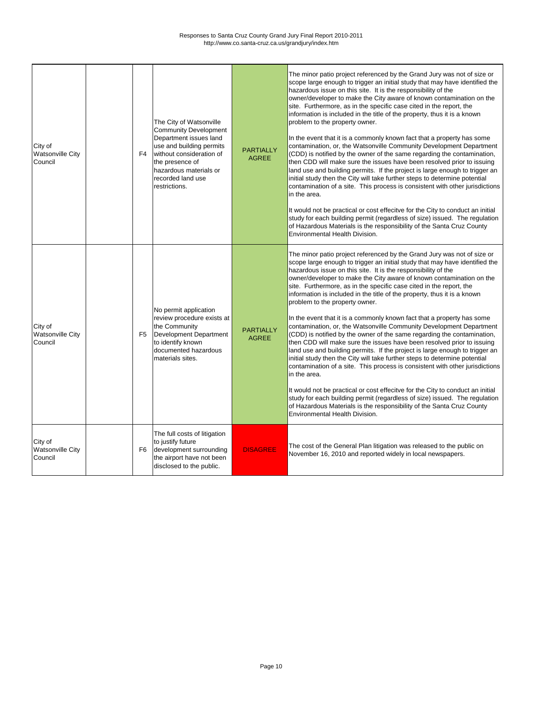| City of<br><b>Watsonville City</b><br>Council | F4             | The City of Watsonville<br><b>Community Development</b><br>Department issues land<br>use and building permits<br>without consideration of<br>the presence of<br>hazardous materials or<br>recorded land use<br>restrictions. | <b>PARTIALLY</b><br><b>AGREE</b> | The minor patio project referenced by the Grand Jury was not of size or<br>scope large enough to trigger an initial study that may have identified the<br>hazardous issue on this site. It is the responsibility of the<br>owner/developer to make the City aware of known contamination on the<br>site. Furthermore, as in the specific case cited in the report, the<br>information is included in the title of the property, thus it is a known<br>problem to the property owner.<br>In the event that it is a commonly known fact that a property has some<br>contamination, or, the Watsonville Community Development Department<br>(CDD) is notified by the owner of the same regarding the contamination,<br>then CDD will make sure the issues have been resolved prior to issuing<br>land use and building permits. If the project is large enough to trigger an<br>initial study then the City will take further steps to determine potential<br>contamination of a site. This process is consistent with other jurisdictions<br>in the area.<br>It would not be practical or cost effecitve for the City to conduct an initial<br>study for each building permit (regardless of size) issued. The regulation<br>of Hazardous Materials is the responsibility of the Santa Cruz County<br>Environmental Health Division. |
|-----------------------------------------------|----------------|------------------------------------------------------------------------------------------------------------------------------------------------------------------------------------------------------------------------------|----------------------------------|------------------------------------------------------------------------------------------------------------------------------------------------------------------------------------------------------------------------------------------------------------------------------------------------------------------------------------------------------------------------------------------------------------------------------------------------------------------------------------------------------------------------------------------------------------------------------------------------------------------------------------------------------------------------------------------------------------------------------------------------------------------------------------------------------------------------------------------------------------------------------------------------------------------------------------------------------------------------------------------------------------------------------------------------------------------------------------------------------------------------------------------------------------------------------------------------------------------------------------------------------------------------------------------------------------------------------------|
| City of<br><b>Watsonville City</b><br>Council | F <sub>5</sub> | No permit application<br>review procedure exists at<br>the Community<br>Development Department<br>to identify known<br>documented hazardous<br>materials sites.                                                              | <b>PARTIALLY</b><br><b>AGREE</b> | The minor patio project referenced by the Grand Jury was not of size or<br>scope large enough to trigger an initial study that may have identified the<br>hazardous issue on this site. It is the responsibility of the<br>owner/developer to make the City aware of known contamination on the<br>site. Furthermore, as in the specific case cited in the report, the<br>information is included in the title of the property, thus it is a known<br>problem to the property owner.<br>In the event that it is a commonly known fact that a property has some<br>contamination, or, the Watsonville Community Development Department<br>(CDD) is notified by the owner of the same regarding the contamination,<br>then CDD will make sure the issues have been resolved prior to issuing<br>land use and building permits. If the project is large enough to trigger an<br>initial study then the City will take further steps to determine potential<br>contamination of a site. This process is consistent with other jurisdictions<br>in the area.<br>It would not be practical or cost effecitve for the City to conduct an initial<br>study for each building permit (regardless of size) issued. The regulation<br>of Hazardous Materials is the responsibility of the Santa Cruz County<br>Environmental Health Division. |
| City of<br><b>Watsonville City</b><br>Council | F6             | The full costs of litigation<br>to justify future<br>development surrounding<br>the airport have not been<br>disclosed to the public.                                                                                        | <b>DISAGREE</b>                  | The cost of the General Plan litigation was released to the public on<br>November 16, 2010 and reported widely in local newspapers.                                                                                                                                                                                                                                                                                                                                                                                                                                                                                                                                                                                                                                                                                                                                                                                                                                                                                                                                                                                                                                                                                                                                                                                                |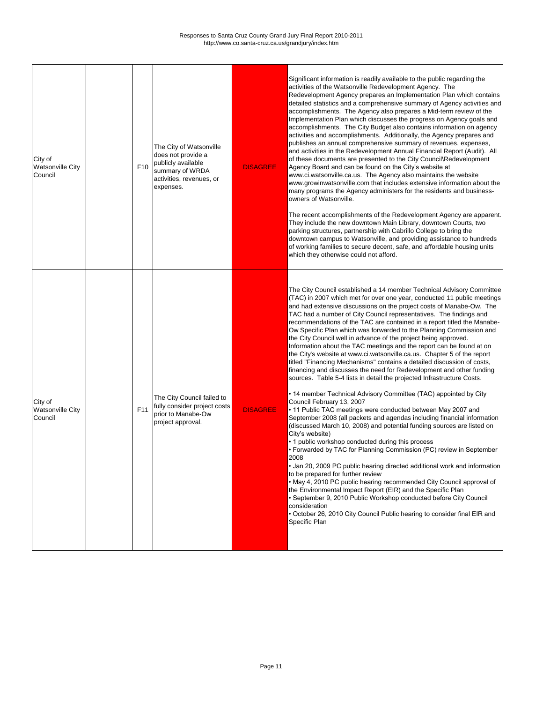| City of<br><b>Watsonville City</b><br>Council | F <sub>10</sub> | The City of Watsonville<br>does not provide a<br>publicly available<br>summary of WRDA<br>activities, revenues, or<br>expenses. | <b>DISAGREE</b> | Significant information is readily available to the public regarding the<br>activities of the Watsonville Redevelopment Agency. The<br>Redevelopment Agency prepares an Implementation Plan which contains<br>detailed statistics and a comprehensive summary of Agency activities and<br>accomplishments. The Agency also prepares a Mid-term review of the<br>Implementation Plan which discusses the progress on Agency goals and<br>accomplishments. The City Budget also contains information on agency<br>activities and accomplishments. Additionally, the Agency prepares and<br>publishes an annual comprehensive summary of revenues, expenses,<br>and activities in the Redevelopment Annual Financial Report (Audit). All<br>of these documents are presented to the City Council\Redevelopment<br>Agency Board and can be found on the City's website at<br>www.ci.watsonville.ca.us. The Agency also maintains the website<br>www.growinwatsonville.com that includes extensive information about the<br>many programs the Agency administers for the residents and business-<br>owners of Watsonville.<br>The recent accomplishments of the Redevelopment Agency are apparent.<br>They include the new downtown Main Library, downtown Courts, two<br>parking structures, partnership with Cabrillo College to bring the<br>downtown campus to Watsonville, and providing assistance to hundreds<br>of working families to secure decent, safe, and affordable housing units<br>which they otherwise could not afford.                                                                                                                                                                                                                                                                                              |
|-----------------------------------------------|-----------------|---------------------------------------------------------------------------------------------------------------------------------|-----------------|------------------------------------------------------------------------------------------------------------------------------------------------------------------------------------------------------------------------------------------------------------------------------------------------------------------------------------------------------------------------------------------------------------------------------------------------------------------------------------------------------------------------------------------------------------------------------------------------------------------------------------------------------------------------------------------------------------------------------------------------------------------------------------------------------------------------------------------------------------------------------------------------------------------------------------------------------------------------------------------------------------------------------------------------------------------------------------------------------------------------------------------------------------------------------------------------------------------------------------------------------------------------------------------------------------------------------------------------------------------------------------------------------------------------------------------------------------------------------------------------------------------------------------------------------------------------------------------------------------------------------------------------------------------------------------------------------------------------------------------------------------------------------------------------------------------------------------|
| City of<br><b>Watsonville City</b><br>Council | F <sub>11</sub> | The City Council failed to<br>fully consider project costs<br>prior to Manabe-Ow<br>project approval.                           | <b>DISAGREE</b> | The City Council established a 14 member Technical Advisory Committee<br>(TAC) in 2007 which met for over one year, conducted 11 public meetings<br>and had extensive discussions on the project costs of Manabe-Ow. The<br>TAC had a number of City Council representatives. The findings and<br>recommendations of the TAC are contained in a report titled the Manabe-<br>Ow Specific Plan which was forwarded to the Planning Commission and<br>the City Council well in advance of the project being approved.<br>Information about the TAC meetings and the report can be found at on<br>the City's website at www.ci.watsonville.ca.us. Chapter 5 of the report<br>titled "Financing Mechanisms" contains a detailed discussion of costs,<br>financing and discusses the need for Redevelopment and other funding<br>sources. Table 5-4 lists in detail the projected Infrastructure Costs.<br>• 14 member Technical Advisory Committee (TAC) appointed by City<br>Council February 13, 2007<br>• 11 Public TAC meetings were conducted between May 2007 and<br>September 2008 (all packets and agendas including financial information<br>(discussed March 10, 2008) and potential funding sources are listed on<br>City's website)<br>• 1 public workshop conducted during this process<br>• Forwarded by TAC for Planning Commission (PC) review in September<br>2008<br>• Jan 20, 2009 PC public hearing directed additional work and information<br>to be prepared for further review<br>. May 4, 2010 PC public hearing recommended City Council approval of<br>the Environmental Impact Report (EIR) and the Specific Plan<br>• September 9, 2010 Public Workshop conducted before City Council<br>consideration<br>• October 26, 2010 City Council Public hearing to consider final EIR and<br><b>Specific Plan</b> |

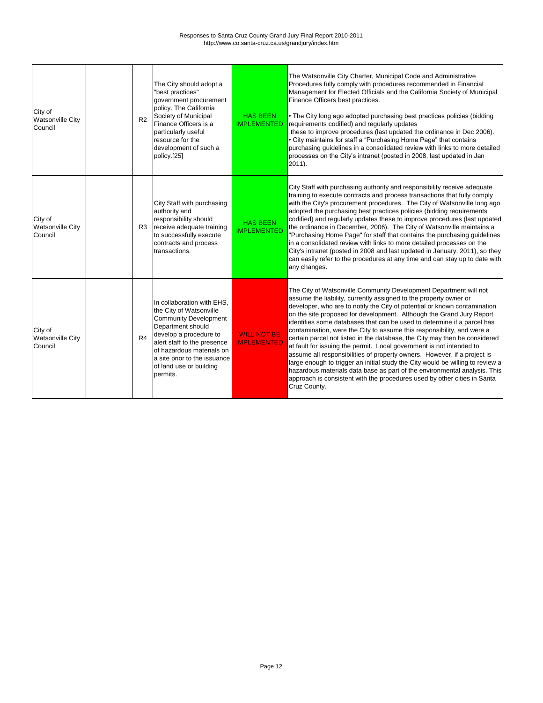| City of<br><b>Watsonville City</b><br>Council | R2             | The City should adopt a<br>"best practices"<br>government procurement<br>policy. The California<br>Society of Municipal<br>Finance Officers is a<br>particularly useful<br>resource for the<br>development of such a<br>policy.[25]                                     | <b>HAS BEEN</b><br><b>IMPLEMENTED</b>    | The Watsonville City Charter, Municipal Code and Administrative<br>Procedures fully comply with procedures recommended in Financial<br>Management for Elected Officials and the California Society of Municipal<br>Finance Officers best practices.<br>• The City long ago adopted purchasing best practices policies (bidding<br>requirements codified) and regularly updates<br>these to improve procedures (last updated the ordinance in Dec 2006).<br>• City maintains for staff a "Purchasing Home Page" that contains<br>purchasing guidelines in a consolidated review with links to more detailed<br>processes on the City's intranet (posted in 2008, last updated in Jan<br>2011).                                                                                                                                                                                                                                                 |
|-----------------------------------------------|----------------|-------------------------------------------------------------------------------------------------------------------------------------------------------------------------------------------------------------------------------------------------------------------------|------------------------------------------|-----------------------------------------------------------------------------------------------------------------------------------------------------------------------------------------------------------------------------------------------------------------------------------------------------------------------------------------------------------------------------------------------------------------------------------------------------------------------------------------------------------------------------------------------------------------------------------------------------------------------------------------------------------------------------------------------------------------------------------------------------------------------------------------------------------------------------------------------------------------------------------------------------------------------------------------------|
| City of<br><b>Watsonville City</b><br>Council | R <sub>3</sub> | City Staff with purchasing<br>authority and<br>responsibility should<br>receive adequate training<br>to successfully execute<br>contracts and process<br>transactions.                                                                                                  | <b>HAS BEEN</b><br><b>IMPLEMENTED</b>    | City Staff with purchasing authority and responsibility receive adequate<br>training to execute contracts and process transactions that fully comply<br>with the City's procurement procedures. The City of Watsonville long ago<br>adopted the purchasing best practices policies (bidding requirements<br>codified) and regularly updates these to improve procedures (last updated<br>the ordinance in December, 2006). The City of Watsonville maintains a<br>"Purchasing Home Page" for staff that contains the purchasing guidelines<br>in a consolidated review with links to more detailed processes on the<br>City's intranet (posted in 2008 and last updated in January, 2011), so they<br>can easily refer to the procedures at any time and can stay up to date with<br>any changes.                                                                                                                                             |
| City of<br><b>Watsonville City</b><br>Council | R4             | In collaboration with EHS,<br>the City of Watsonville<br><b>Community Development</b><br>Department should<br>develop a procedure to<br>alert staff to the presence<br>of hazardous materials on<br>a site prior to the issuance<br>of land use or building<br>permits. | <b>WILL NOT BE</b><br><b>IMPLEMENTED</b> | The City of Watsonville Community Development Department will not<br>assume the liability, currently assigned to the property owner or<br>developer, who are to notify the City of potential or known contamination<br>on the site proposed for development. Although the Grand Jury Report<br>identifies some databases that can be used to determine if a parcel has<br>contamination, were the City to assume this responsibility, and were a<br>certain parcel not listed in the database, the City may then be considered<br>at fault for issuing the permit. Local government is not intended to<br>assume all responsibilities of property owners. However, if a project is<br>large enough to trigger an initial study the City would be willing to review a<br>hazardous materials data base as part of the environmental analysis. This<br>approach is consistent with the procedures used by other cities in Santa<br>Cruz County. |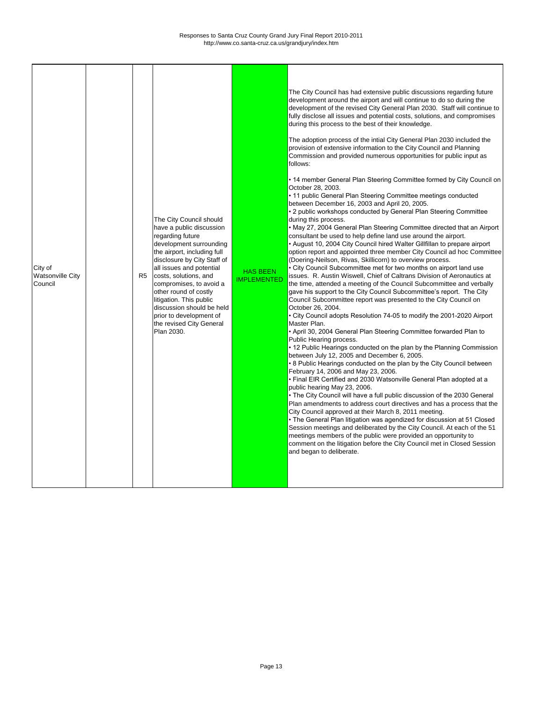| City of<br><b>Watsonville City</b><br>Council |  | R <sub>5</sub> | The City Council should<br>have a public discussion<br>regarding future<br>development surrounding<br>the airport, including full<br>disclosure by City Staff of<br>all issues and potential<br>costs, solutions, and<br>compromises, to avoid a<br>other round of costly<br>litigation. This public<br>discussion should be held<br>prior to development of<br>the revised City General<br>Plan 2030. | <b>HAS BEEN</b><br><b>IMPLEMENTED</b> | The City Council has had extensive public discussions regarding future<br>development around the airport and will continue to do so during the<br>development of the revised City General Plan 2030. Staff will continue to<br>fully disclose all issues and potential costs, solutions, and compromises<br>during this process to the best of their knowledge.<br>The adoption process of the intial City General Plan 2030 included the<br>provision of extensive information to the City Council and Planning<br>Commission and provided numerous opportunities for public input as<br>follows:<br>. 14 member General Plan Steering Committee formed by City Council on<br>October 28, 2003.<br>• 11 public General Plan Steering Committee meetings conducted<br>between December 16, 2003 and April 20, 2005.<br>• 2 public workshops conducted by General Plan Steering Committee<br>during this process.<br>• May 27, 2004 General Plan Steering Committee directed that an Airport<br>consultant be used to help define land use around the airport.<br>• August 10, 2004 City Council hired Walter Gillfillan to prepare airport<br>option report and appointed three member City Council ad hoc Committee<br>(Doering-Neilson, Rivas, Skillicorn) to overview process.<br>• City Council Subcommittee met for two months on airport land use<br>issues. R. Austin Wiswell, Chief of Caltrans Division of Aeronautics at<br>the time, attended a meeting of the Council Subcommittee and verbally<br>gave his support to the City Council Subcommittee's report. The City<br>Council Subcommittee report was presented to the City Council on<br>October 26, 2004.<br>• City Council adopts Resolution 74-05 to modify the 2001-2020 Airport<br>Master Plan.<br>• April 30, 2004 General Plan Steering Committee forwarded Plan to<br>Public Hearing process.<br>• 12 Public Hearings conducted on the plan by the Planning Commission<br>between July 12, 2005 and December 6, 2005.<br>. 8 Public Hearings conducted on the plan by the City Council between<br>February 14, 2006 and May 23, 2006.<br>• Final EIR Certified and 2030 Watsonville General Plan adopted at a<br>public hearing May 23, 2006.<br>• The City Council will have a full public discussion of the 2030 General<br>Plan amendments to address court directives and has a process that the<br>City Council approved at their March 8, 2011 meeting.<br>• The General Plan litigation was agendized for discussion at 51 Closed<br>Session meetings and deliberated by the City Council. At each of the 51<br>meetings members of the public were provided an opportunity to<br>comment on the litigation before the City Council met in Closed Session<br>and began to deliberate. |
|-----------------------------------------------|--|----------------|--------------------------------------------------------------------------------------------------------------------------------------------------------------------------------------------------------------------------------------------------------------------------------------------------------------------------------------------------------------------------------------------------------|---------------------------------------|------------------------------------------------------------------------------------------------------------------------------------------------------------------------------------------------------------------------------------------------------------------------------------------------------------------------------------------------------------------------------------------------------------------------------------------------------------------------------------------------------------------------------------------------------------------------------------------------------------------------------------------------------------------------------------------------------------------------------------------------------------------------------------------------------------------------------------------------------------------------------------------------------------------------------------------------------------------------------------------------------------------------------------------------------------------------------------------------------------------------------------------------------------------------------------------------------------------------------------------------------------------------------------------------------------------------------------------------------------------------------------------------------------------------------------------------------------------------------------------------------------------------------------------------------------------------------------------------------------------------------------------------------------------------------------------------------------------------------------------------------------------------------------------------------------------------------------------------------------------------------------------------------------------------------------------------------------------------------------------------------------------------------------------------------------------------------------------------------------------------------------------------------------------------------------------------------------------------------------------------------------------------------------------------------------------------------------------------------------------------------------------------------------------------------------------------------------------------------------------------------------------------------------------------------------------------------------------------------------------------------------------------------------------------------------------------------------------------------------------------------------------------|
|-----------------------------------------------|--|----------------|--------------------------------------------------------------------------------------------------------------------------------------------------------------------------------------------------------------------------------------------------------------------------------------------------------------------------------------------------------------------------------------------------------|---------------------------------------|------------------------------------------------------------------------------------------------------------------------------------------------------------------------------------------------------------------------------------------------------------------------------------------------------------------------------------------------------------------------------------------------------------------------------------------------------------------------------------------------------------------------------------------------------------------------------------------------------------------------------------------------------------------------------------------------------------------------------------------------------------------------------------------------------------------------------------------------------------------------------------------------------------------------------------------------------------------------------------------------------------------------------------------------------------------------------------------------------------------------------------------------------------------------------------------------------------------------------------------------------------------------------------------------------------------------------------------------------------------------------------------------------------------------------------------------------------------------------------------------------------------------------------------------------------------------------------------------------------------------------------------------------------------------------------------------------------------------------------------------------------------------------------------------------------------------------------------------------------------------------------------------------------------------------------------------------------------------------------------------------------------------------------------------------------------------------------------------------------------------------------------------------------------------------------------------------------------------------------------------------------------------------------------------------------------------------------------------------------------------------------------------------------------------------------------------------------------------------------------------------------------------------------------------------------------------------------------------------------------------------------------------------------------------------------------------------------------------------------------------------------------------|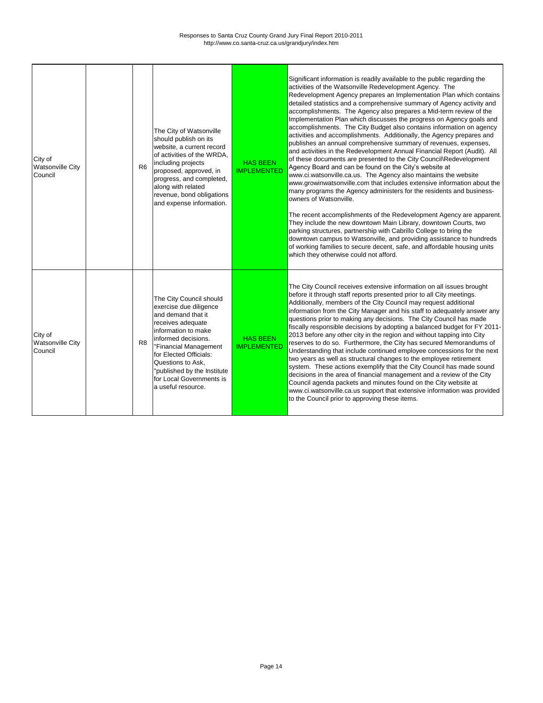| City of<br><b>Watsonville City</b><br>Council | R <sub>6</sub> | The City of Watsonville<br>should publish on its<br>website, a current record<br>of activities of the WRDA,<br>including projects<br>proposed, approved, in<br>progress, and completed,<br>along with related<br>revenue, bond obligations<br>and expense information.                             | <b>HAS BEEN</b><br><b>IMPLEMENTED</b> | Significant information is readily available to the public regarding the<br>activities of the Watsonville Redevelopment Agency. The<br>Redevelopment Agency prepares an Implementation Plan which contains<br>detailed statistics and a comprehensive summary of Agency activity and<br>accomplishments. The Agency also prepares a Mid-term review of the<br>Implementation Plan which discusses the progress on Agency goals and<br>accomplishments. The City Budget also contains information on agency<br>activities and accomplishments. Additionally, the Agency prepares and<br>publishes an annual comprehensive summary of revenues, expenses,<br>and activities in the Redevelopment Annual Financial Report (Audit). All<br>of these documents are presented to the City Council\Redevelopment<br>Agency Board and can be found on the City's website at<br>www.ci.watsonville.ca.us. The Agency also maintains the website<br>www.growinwatsonville.com that includes extensive information about the<br>many programs the Agency administers for the residents and business-<br>owners of Watsonville.<br>The recent accomplishments of the Redevelopment Agency are apparent.<br>They include the new downtown Main Library, downtown Courts, two<br>parking structures, partnership with Cabrillo College to bring the<br>downtown campus to Watsonville, and providing assistance to hundreds<br>of working families to secure decent, safe, and affordable housing units<br>which they otherwise could not afford. |
|-----------------------------------------------|----------------|----------------------------------------------------------------------------------------------------------------------------------------------------------------------------------------------------------------------------------------------------------------------------------------------------|---------------------------------------|-------------------------------------------------------------------------------------------------------------------------------------------------------------------------------------------------------------------------------------------------------------------------------------------------------------------------------------------------------------------------------------------------------------------------------------------------------------------------------------------------------------------------------------------------------------------------------------------------------------------------------------------------------------------------------------------------------------------------------------------------------------------------------------------------------------------------------------------------------------------------------------------------------------------------------------------------------------------------------------------------------------------------------------------------------------------------------------------------------------------------------------------------------------------------------------------------------------------------------------------------------------------------------------------------------------------------------------------------------------------------------------------------------------------------------------------------------------------------------------------------------------------------------------|
| City of<br><b>Watsonville City</b><br>Council | R <sub>8</sub> | The City Council should<br>exercise due diligence<br>and demand that it<br>receives adequate<br>information to make<br>informed decisions.<br>"Financial Management<br>for Elected Officials:<br>Questions to Ask,<br>published by the Institute<br>for Local Governments is<br>a useful resource. | <b>HAS BEEN</b><br><b>IMPLEMENTED</b> | The City Council receives extensive information on all issues brought<br>before it through staff reports presented prior to all City meetings.<br>Additionally, members of the City Council may request additional<br>information from the City Manager and his staff to adequately answer any<br>questions prior to making any decisions. The City Council has made<br>fiscally responsible decisions by adopting a balanced budget for FY 2011-<br>2013 before any other city in the region and without tapping into City<br>reserves to do so. Furthermore, the City has secured Memorandums of<br>Understanding that include continued employee concessions for the next<br>two years as well as structural changes to the employee retirement<br>system. These actions exemplify that the City Council has made sound<br>decisions in the area of financial management and a review of the City<br>Council agenda packets and minutes found on the City website at<br>www.ci.watsonville.ca.us support that extensive information was provided<br>to the Council prior to approving these items.                                                                                                                                                                                                                                                                                                                                                                                                                               |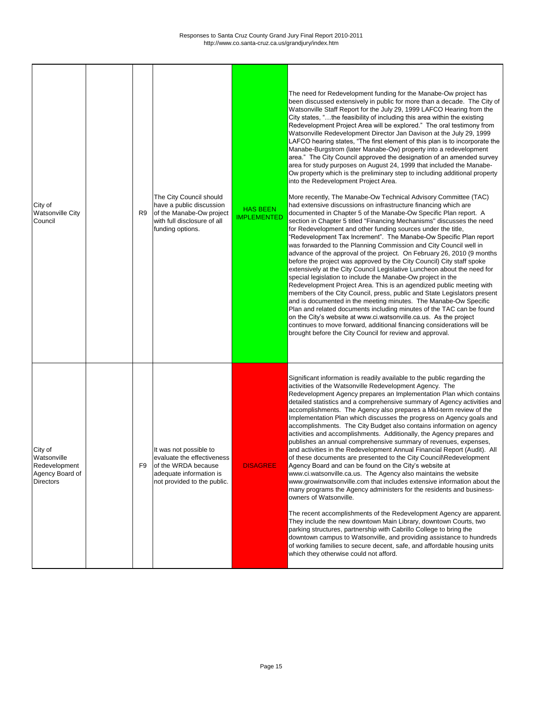| City of<br><b>Watsonville City</b><br>Council                                  | R <sub>9</sub> | The City Council should<br>have a public discussion<br>of the Manabe-Ow project<br>with full disclosure of all<br>funding options.    | <b>HAS BEEN</b><br><b>IMPLEMENTED</b> | The need for Redevelopment funding for the Manabe-Ow project has<br>been discussed extensively in public for more than a decade. The City of<br>Watsonville Staff Report for the July 29, 1999 LAFCO Hearing from the<br>City states, "the feasibility of including this area within the existing<br>Redevelopment Project Area will be explored." The oral testimony from<br>Watsonville Redevelopment Director Jan Davison at the July 29, 1999<br>LAFCO hearing states, "The first element of this plan is to incorporate the<br>Manabe-Burgstrom (later Manabe-Ow) property into a redevelopment<br>area." The City Council approved the designation of an amended survey<br>area for study purposes on August 24, 1999 that included the Manabe-<br>Ow property which is the preliminary step to including additional property<br>into the Redevelopment Project Area.<br>More recently, The Manabe-Ow Technical Advisory Committee (TAC)<br>had extensive discussions on infrastructure financing which are<br>documented in Chapter 5 of the Manabe-Ow Specific Plan report. A<br>section in Chapter 5 titled "Financing Mechanisms" discusses the need<br>for Redevelopment and other funding sources under the title,<br>"Redevelopment Tax Increment". The Manabe-Ow Specific Plan report<br>was forwarded to the Planning Commission and City Council well in<br>advance of the approval of the project. On February 26, 2010 (9 months<br>before the project was approved by the City Council) City staff spoke<br>extensively at the City Council Legislative Luncheon about the need for<br>special legislation to include the Manabe-Ow project in the<br>Redevelopment Project Area. This is an agendized public meeting with<br>members of the City Council, press, public and State Legislators present<br>and is documented in the meeting minutes. The Manabe-Ow Specific<br>Plan and related documents including minutes of the TAC can be found<br>on the City's website at www.ci.watsonville.ca.us. As the project<br>continues to move forward, additional financing considerations will be<br>brought before the City Council for review and approval. |
|--------------------------------------------------------------------------------|----------------|---------------------------------------------------------------------------------------------------------------------------------------|---------------------------------------|----------------------------------------------------------------------------------------------------------------------------------------------------------------------------------------------------------------------------------------------------------------------------------------------------------------------------------------------------------------------------------------------------------------------------------------------------------------------------------------------------------------------------------------------------------------------------------------------------------------------------------------------------------------------------------------------------------------------------------------------------------------------------------------------------------------------------------------------------------------------------------------------------------------------------------------------------------------------------------------------------------------------------------------------------------------------------------------------------------------------------------------------------------------------------------------------------------------------------------------------------------------------------------------------------------------------------------------------------------------------------------------------------------------------------------------------------------------------------------------------------------------------------------------------------------------------------------------------------------------------------------------------------------------------------------------------------------------------------------------------------------------------------------------------------------------------------------------------------------------------------------------------------------------------------------------------------------------------------------------------------------------------------------------------------------------------------------------------------------------------------------------------------------------------------------|
| City of<br>Watsonville<br>Redevelopment<br>Agency Board of<br><b>Directors</b> | F <sub>9</sub> | It was not possible to<br>evaluate the effectiveness<br>of the WRDA because<br>adequate information is<br>not provided to the public. | <b>DISAGREE</b>                       | Significant information is readily available to the public regarding the<br>activities of the Watsonville Redevelopment Agency. The<br>Redevelopment Agency prepares an Implementation Plan which contains<br>detailed statistics and a comprehensive summary of Agency activities and<br>accomplishments. The Agency also prepares a Mid-term review of the<br>Implementation Plan which discusses the progress on Agency goals and<br>accomplishments. The City Budget also contains information on agency<br>activities and accomplishments. Additionally, the Agency prepares and<br>publishes an annual comprehensive summary of revenues, expenses,<br>and activities in the Redevelopment Annual Financial Report (Audit). All<br>of these documents are presented to the City Council\Redevelopment<br>Agency Board and can be found on the City's website at<br>www.ci.watsonville.ca.us. The Agency also maintains the website<br>www.growinwatsonville.com that includes extensive information about the<br>many programs the Agency administers for the residents and business-<br>owners of Watsonville.<br>The recent accomplishments of the Redevelopment Agency are apparent.<br>They include the new downtown Main Library, downtown Courts, two<br>parking structures, partnership with Cabrillo College to bring the                                                                                                                                                                                                                                                                                                                                                                                                                                                                                                                                                                                                                                                                                                                                                                                                                                          |

|  |  |  | downtown campus to Watsonville, and providing assistance to hundreds     |
|--|--|--|--------------------------------------------------------------------------|
|  |  |  | of working families to secure decent, safe, and affordable housing units |
|  |  |  | Which they otherwise could not afford.                                   |
|  |  |  |                                                                          |
|  |  |  |                                                                          |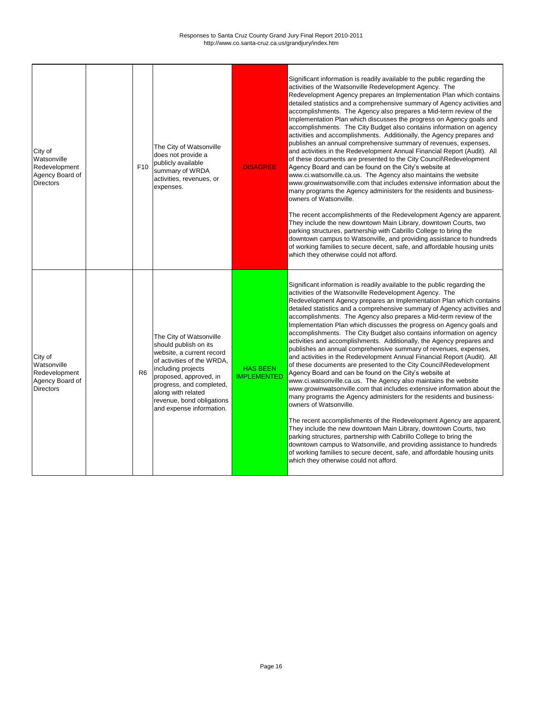| City of<br>Watsonville<br>Redevelopment<br>Agency Board of<br><b>Directors</b> | F <sub>10</sub> | The City of Watsonville<br>does not provide a<br>publicly available<br>summary of WRDA<br>activities, revenues, or<br>expenses.                                                                                                                                        | <b>DISAGREE</b>                       | Significant information is readily available to the public regarding the<br>activities of the Watsonville Redevelopment Agency. The<br>Redevelopment Agency prepares an Implementation Plan which contains<br>detailed statistics and a comprehensive summary of Agency activities and<br>accomplishments. The Agency also prepares a Mid-term review of the<br>Implementation Plan which discusses the progress on Agency goals and<br>accomplishments. The City Budget also contains information on agency<br>activities and accomplishments. Additionally, the Agency prepares and<br>publishes an annual comprehensive summary of revenues, expenses,<br>and activities in the Redevelopment Annual Financial Report (Audit). All<br>of these documents are presented to the City Council\Redevelopment<br>Agency Board and can be found on the City's website at<br>www.ci.watsonville.ca.us. The Agency also maintains the website<br>www.growinwatsonville.com that includes extensive information about the<br>many programs the Agency administers for the residents and business-<br>owners of Watsonville.<br>The recent accomplishments of the Redevelopment Agency are apparent.<br>They include the new downtown Main Library, downtown Courts, two<br>parking structures, partnership with Cabrillo College to bring the<br>downtown campus to Watsonville, and providing assistance to hundreds<br>of working families to secure decent, safe, and affordable housing units<br>which they otherwise could not afford. |
|--------------------------------------------------------------------------------|-----------------|------------------------------------------------------------------------------------------------------------------------------------------------------------------------------------------------------------------------------------------------------------------------|---------------------------------------|---------------------------------------------------------------------------------------------------------------------------------------------------------------------------------------------------------------------------------------------------------------------------------------------------------------------------------------------------------------------------------------------------------------------------------------------------------------------------------------------------------------------------------------------------------------------------------------------------------------------------------------------------------------------------------------------------------------------------------------------------------------------------------------------------------------------------------------------------------------------------------------------------------------------------------------------------------------------------------------------------------------------------------------------------------------------------------------------------------------------------------------------------------------------------------------------------------------------------------------------------------------------------------------------------------------------------------------------------------------------------------------------------------------------------------------------------------------------------------------------------------------------------------------|
| City of<br>Watsonville<br>Redevelopment<br>Agency Board of<br><b>Directors</b> | R <sub>6</sub>  | The City of Watsonville<br>should publish on its<br>website, a current record<br>of activities of the WRDA,<br>including projects<br>proposed, approved, in<br>progress, and completed,<br>along with related<br>revenue, bond obligations<br>and expense information. | <b>HAS BEEN</b><br><b>IMPLEMENTED</b> | Significant information is readily available to the public regarding the<br>activities of the Watsonville Redevelopment Agency. The<br>Redevelopment Agency prepares an Implementation Plan which contains<br>detailed statistics and a comprehensive summary of Agency activities and<br>accomplishments. The Agency also prepares a Mid-term review of the<br>Implementation Plan which discusses the progress on Agency goals and<br>accomplishments. The City Budget also contains information on agency<br>activities and accomplishments. Additionally, the Agency prepares and<br>publishes an annual comprehensive summary of revenues, expenses,<br>and activities in the Redevelopment Annual Financial Report (Audit). All<br>of these documents are presented to the City Council\Redevelopment<br>Agency Board and can be found on the City's website at<br>www.ci.watsonville.ca.us. The Agency also maintains the website<br>www.growinwatsonville.com that includes extensive information about the<br>many programs the Agency administers for the residents and business-<br>owners of Watsonville.<br>The recent accomplishments of the Redevelopment Agency are apparent.<br>They include the new downtown Main Library, downtown Courts, two<br>parking structures, partnership with Cabrillo College to bring the<br>downtown campus to Watsonville, and providing assistance to hundreds<br>of working families to secure decent, safe, and affordable housing units<br>which they otherwise could not afford. |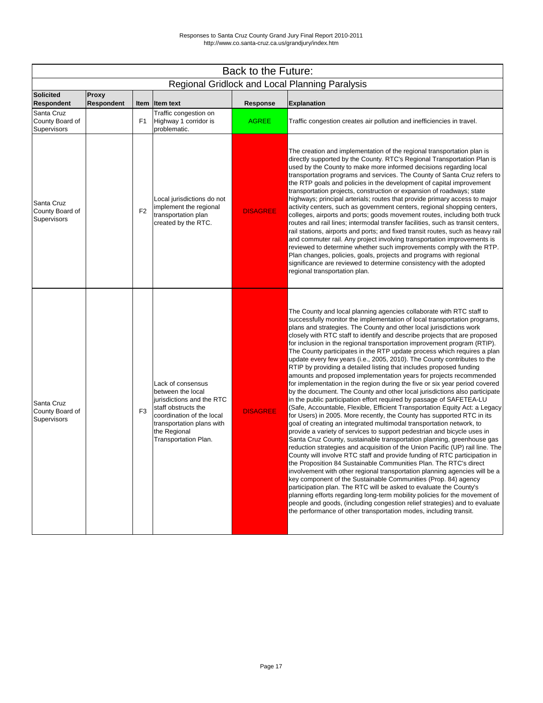| Back to the Future:                                 |                                   |                |                                                                                                                                                                                              |                 |                                                                                                                                                                                                                                                                                                                                                                                                                                                                                                                                                                                                                                                                                                                                                                                                                                                                                                                                                                                                                                                                                                                                                                                                                                                                                                                                                                                                                                                                                                                                                                                                                                                                                                                                                                                                                                                                                                                                                                                                             |  |
|-----------------------------------------------------|-----------------------------------|----------------|----------------------------------------------------------------------------------------------------------------------------------------------------------------------------------------------|-----------------|-------------------------------------------------------------------------------------------------------------------------------------------------------------------------------------------------------------------------------------------------------------------------------------------------------------------------------------------------------------------------------------------------------------------------------------------------------------------------------------------------------------------------------------------------------------------------------------------------------------------------------------------------------------------------------------------------------------------------------------------------------------------------------------------------------------------------------------------------------------------------------------------------------------------------------------------------------------------------------------------------------------------------------------------------------------------------------------------------------------------------------------------------------------------------------------------------------------------------------------------------------------------------------------------------------------------------------------------------------------------------------------------------------------------------------------------------------------------------------------------------------------------------------------------------------------------------------------------------------------------------------------------------------------------------------------------------------------------------------------------------------------------------------------------------------------------------------------------------------------------------------------------------------------------------------------------------------------------------------------------------------------|--|
|                                                     |                                   |                |                                                                                                                                                                                              |                 | <b>Regional Gridlock and Local Planning Paralysis</b>                                                                                                                                                                                                                                                                                                                                                                                                                                                                                                                                                                                                                                                                                                                                                                                                                                                                                                                                                                                                                                                                                                                                                                                                                                                                                                                                                                                                                                                                                                                                                                                                                                                                                                                                                                                                                                                                                                                                                       |  |
| Solicited<br><b>Respondent</b>                      | <b>Proxy</b><br><b>Respondent</b> |                | Item Item text                                                                                                                                                                               | <b>Response</b> | <b>Explanation</b>                                                                                                                                                                                                                                                                                                                                                                                                                                                                                                                                                                                                                                                                                                                                                                                                                                                                                                                                                                                                                                                                                                                                                                                                                                                                                                                                                                                                                                                                                                                                                                                                                                                                                                                                                                                                                                                                                                                                                                                          |  |
| Santa Cruz<br>County Board of<br>Supervisors        |                                   | F <sub>1</sub> | Traffic congestion on<br>Highway 1 corridor is<br>problematic.                                                                                                                               | <b>AGREE</b>    | Traffic congestion creates air pollution and inefficiencies in travel.                                                                                                                                                                                                                                                                                                                                                                                                                                                                                                                                                                                                                                                                                                                                                                                                                                                                                                                                                                                                                                                                                                                                                                                                                                                                                                                                                                                                                                                                                                                                                                                                                                                                                                                                                                                                                                                                                                                                      |  |
| Santa Cruz<br>County Board of<br><b>Supervisors</b> |                                   | F <sub>2</sub> | Local jurisdictions do not<br>implement the regional<br>transportation plan<br>created by the RTC.                                                                                           | <b>DISAGREE</b> | The creation and implementation of the regional transportation plan is<br>directly supported by the County. RTC's Regional Transportation Plan is<br>used by the County to make more informed decisions regarding local<br>transportation programs and services. The County of Santa Cruz refers to<br>the RTP goals and policies in the development of capital improvement<br>transportation projects, construction or expansion of roadways; state<br>highways; principal arterials; routes that provide primary access to major<br>activity centers, such as government centers, regional shopping centers,<br>colleges, airports and ports; goods movement routes, including both truck<br>routes and rail lines; intermodal transfer facilities, such as transit centers,<br>rail stations, airports and ports; and fixed transit routes, such as heavy rail<br>and commuter rail. Any project involving transportation improvements is<br>reviewed to determine whether such improvements comply with the RTP.<br>Plan changes, policies, goals, projects and programs with regional<br>significance are reviewed to determine consistency with the adopted<br>regional transportation plan.                                                                                                                                                                                                                                                                                                                                                                                                                                                                                                                                                                                                                                                                                                                                                                                                          |  |
| Santa Cruz<br>County Board of<br>Supervisors        |                                   | F <sub>3</sub> | Lack of consensus<br>between the local<br>jurisdictions and the RTC<br>staff obstructs the<br>coordination of the local<br>transportation plans with<br>the Regional<br>Transportation Plan. | <b>DISAGREE</b> | The County and local planning agencies collaborate with RTC staff to<br>successfully monitor the implementation of local transportation programs,<br>plans and strategies. The County and other local jurisdictions work<br>closely with RTC staff to identify and describe projects that are proposed<br>for inclusion in the regional transportation improvement program (RTIP).<br>The County participates in the RTP update process which requires a plan<br>update every few years (i.e., 2005, 2010). The County contributes to the<br>RTIP by providing a detailed listing that includes proposed funding<br>amounts and proposed implementation years for projects recommended<br>for implementation in the region during the five or six year period covered<br>by the document. The County and other local jurisdictions also participate<br>in the public participation effort required by passage of SAFETEA-LU<br>(Safe, Accountable, Flexible, Efficient Transportation Equity Act: a Legacy<br>for Users) in 2005. More recently, the County has supported RTC in its<br>goal of creating an integrated multimodal transportation network, to<br>provide a variety of services to support pedestrian and bicycle uses in<br>Santa Cruz County, sustainable transportation planning, greenhouse gas<br>reduction strategies and acquisition of the Union Pacific (UP) rail line. The<br>County will involve RTC staff and provide funding of RTC participation in<br>the Proposition 84 Sustainable Communities Plan. The RTC's direct<br>involvement with other regional transportation planning agencies will be a<br>key component of the Sustainable Communities (Prop. 84) agency<br>participation plan. The RTC will be asked to evaluate the County's<br>planning efforts regarding long-term mobility policies for the movement of<br>people and goods, (including congestion relief strategies) and to evaluate<br>the performance of other transportation modes, including transit. |  |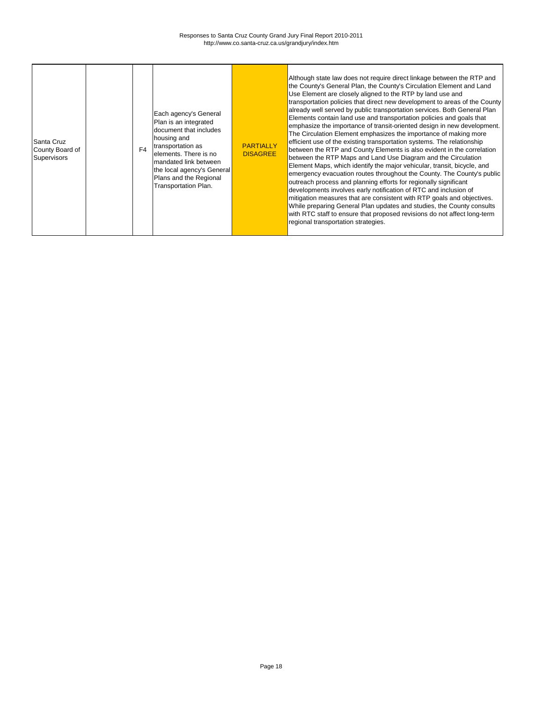| Each agency's General<br>Plan is an integrated<br>document that includes<br>housing and<br>Santa Cruz<br>transportation as<br>F <sub>4</sub><br>County Board of<br>elements. There is no<br>Supervisors<br>mandated link between<br>Plans and the Regional<br><b>Transportation Plan.</b> | <b>PARTIALLY</b><br><b>DISAGREE</b><br>the local agency's General | Although state law does not require direct linkage between the RTP and<br>the County's General Plan, the County's Circulation Element and Land<br>Use Element are closely aligned to the RTP by land use and<br>transportation policies that direct new development to areas of the County<br>already well served by public transportation services. Both General Plan<br>Elements contain land use and transportation policies and goals that<br>emphasize the importance of transit-oriented design in new development.<br>The Circulation Element emphasizes the importance of making more<br>efficient use of the existing transportation systems. The relationship<br>between the RTP and County Elements is also evident in the correlation<br>between the RTP Maps and Land Use Diagram and the Circulation<br>Element Maps, which identify the major vehicular, transit, bicycle, and<br>emergency evacuation routes throughout the County. The County's public<br>outreach process and planning efforts for regionally significant<br>developments involves early notification of RTC and inclusion of<br>mitigation measures that are consistent with RTP goals and objectives.<br>While preparing General Plan updates and studies, the County consults<br>with RTC staff to ensure that proposed revisions do not affect long-term<br>regional transportation strategies. |
|-------------------------------------------------------------------------------------------------------------------------------------------------------------------------------------------------------------------------------------------------------------------------------------------|-------------------------------------------------------------------|---------------------------------------------------------------------------------------------------------------------------------------------------------------------------------------------------------------------------------------------------------------------------------------------------------------------------------------------------------------------------------------------------------------------------------------------------------------------------------------------------------------------------------------------------------------------------------------------------------------------------------------------------------------------------------------------------------------------------------------------------------------------------------------------------------------------------------------------------------------------------------------------------------------------------------------------------------------------------------------------------------------------------------------------------------------------------------------------------------------------------------------------------------------------------------------------------------------------------------------------------------------------------------------------------------------------------------------------------------------------------------------|
|-------------------------------------------------------------------------------------------------------------------------------------------------------------------------------------------------------------------------------------------------------------------------------------------|-------------------------------------------------------------------|---------------------------------------------------------------------------------------------------------------------------------------------------------------------------------------------------------------------------------------------------------------------------------------------------------------------------------------------------------------------------------------------------------------------------------------------------------------------------------------------------------------------------------------------------------------------------------------------------------------------------------------------------------------------------------------------------------------------------------------------------------------------------------------------------------------------------------------------------------------------------------------------------------------------------------------------------------------------------------------------------------------------------------------------------------------------------------------------------------------------------------------------------------------------------------------------------------------------------------------------------------------------------------------------------------------------------------------------------------------------------------------|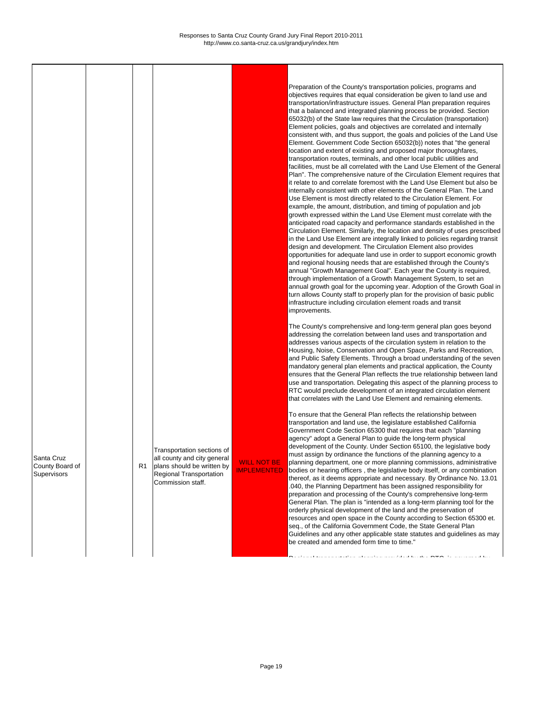Preparation of the County's transportation policies, programs and objectives requires that equal consideration be given to land use and transportation/infrastructure issues. General Plan preparation requires that a balanced and integrated planning process be provided. Section 65032(b) of the State law requires that the Circulation (transportation) Element policies, goals and objectives are correlated and internally consistent with, and thus support, the goals and policies of the Land Use Element. Government Code Section 65032(b)) notes that "the general location and extent of existing and proposed major thoroughfares, transportation routes, terminals, and other local public utilities and facilities, must be all correlated with the Land Use Element of the General Plan". The comprehensive nature of the Circulation Element requires that it relate to and correlate foremost with the Land Use Element but also be internally consistent with other elements of the General Plan. The Land Use Element is most directly related to the Circulation Element. For example, the amount, distribution, and timing of population and job growth expressed within the Land Use Element must correlate with the anticipated road capacity and performance standards established in the Circulation Element. Similarly, the location and density of uses prescribed in the Land Use Element are integrally linked to policies regarding transit design and development. The Circulation Element also provides opportunities for adequate land use in order to support economic growth and regional housing needs that are established through the County's annual "Growth Management Goal". Each year the County is required, through implementation of a Growth Management System, to set an annual growth goal for the upcoming year. Adoption of the Growth Goal in turn allows County staff to properly plan for the provision of basic public infrastructure including circulation element roads and transit improvements.

The County's comprehensive and long-term general plan goes beyond addressing the correlation between land uses and transportation and addresses various aspects of the circulation system in relation to the Housing, Noise, Conservation and Open Space, Parks and Recreation, and Public Safety Elements. Through a broad understanding of the seven mandatory general plan elements and practical application, the County ensures that the General Plan reflects the true relationship between land use and transportation. Delegating this aspect of the planning process to RTC would preclude development of an integrated circulation element that correlates with the Land Use Element and remaining elements.

Santa Cruz County Board of **Supervisors** 

To ensure that the General Plan reflects the relationship between transportation and land use, the legislature established California Government Code Section 65300 that requires that each "planning agency" adopt a General Plan to guide the long-term physical development of the County. Under Section 65100, the legislative body must assign by ordinance the functions of the planning agency to a planning department, one or more planning commissions, administrative bodies or hearing officers , the legislative body itself, or any combination thereof, as it deems appropriate and necessary. By Ordinance No. 13.01 .040, the Planning Department has been assigned responsibility for preparation and processing of the County's comprehensive long-term General Plan. The plan is "intended as a long-term planning tool for the orderly physical development of the land and the preservation of resources and open space in the County according to Section 65300 et. seq., of the California Government Code, the State General Plan Guidelines and any other applicable state statutes and guidelines as may be created and amended form time to time."

 $\blacksquare$  and a construction planning provided by the RTC, is governed by the  $\blacksquare$ 

WILL NOT BE IMPLEMENTED

Transportation sections of all county and city general plans should be written by Regional Transportation Commission staff. R1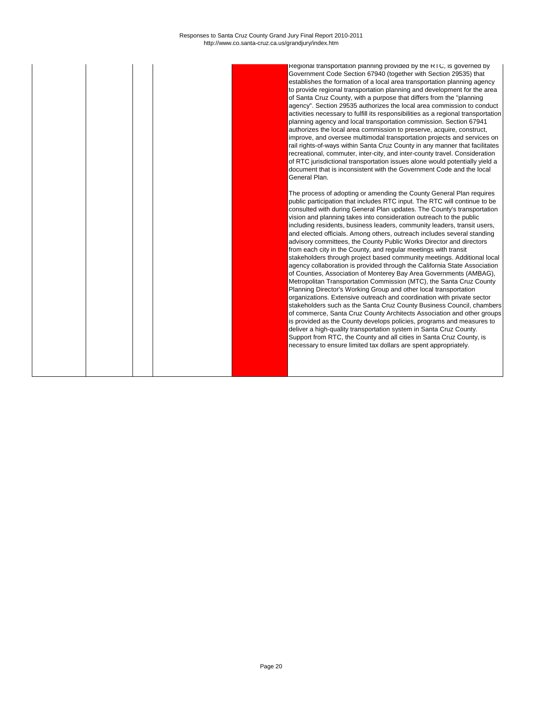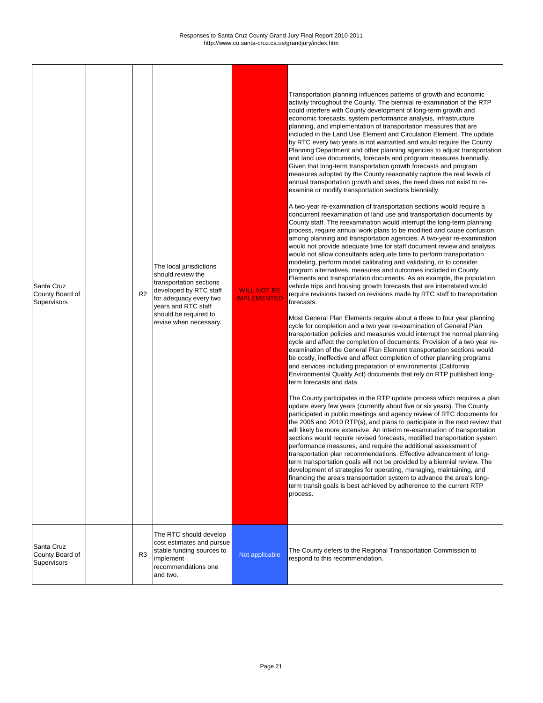| Santa Cruz<br>County Board of<br>Supervisors | R <sub>2</sub> | The local jurisdictions<br>should review the<br>transportation sections<br>developed by RTC staff<br>for adequacy every two<br>years and RTC staff<br>should be required to<br>revise when necessary. | <b>WILL NOT BE</b><br><b>IMPLEMENTED</b> | Transportation planning influences patterns of growth and economic<br>activity throughout the County. The biennial re-examination of the RTP<br>could interfere with County development of long-term growth and<br>economic forecasts, system performance analysis, infrastructure<br>planning, and implementation of transportation measures that are<br>included in the Land Use Element and Circulation Element. The update<br>by RTC every two years is not warranted and would require the County<br>Planning Department and other planning agencies to adjust transportation<br>and land use documents, forecasts and program measures biennially.<br>Given that long-term transportation growth forecasts and program<br>measures adopted by the County reasonably capture the real levels of<br>annual transportation growth and uses, the need does not exist to re-<br>examine or modify transportation sections biennially.<br>A two-year re-examination of transportation sections would require a<br>concurrent reexamination of land use and transportation documents by<br>County staff. The reexamination would interrupt the long-term planning<br>process, require annual work plans to be modified and cause confusion<br>among planning and transportation agencies. A two-year re-examination<br>would not provide adequate time for staff document review and analysis,<br>would not allow consultants adequate time to perform transportation<br>modeling, perform model calibrating and validating, or to consider<br>program alternatives, measures and outcomes included in County<br>Elements and transportation documents. As an example, the population,<br>vehicle trips and housing growth forecasts that are interrelated would<br>require revisions based on revisions made by RTC staff to transportation<br>forecasts.<br>Most General Plan Elements require about a three to four year planning<br>cycle for completion and a two year re-examination of General Plan<br>transportation policies and measures would interrupt the normal planning<br>cycle and affect the completion of documents. Provision of a two year re-<br>examination of the General Plan Element transportation sections would<br>be costly, ineffective and affect completion of other planning programs<br>and services including preparation of environmental (California<br>Environmental Quality Act) documents that rely on RTP published long-<br>term forecasts and data.<br>The County participates in the RTP update process which requires a plan<br>update every few years (currently about five or six years). The County<br>participated in public meetings and agency review of RTC documents for<br>the 2005 and 2010 RTP(s), and plans to participate in the next review that<br>will likely be more extensive. An interim re-examination of transportation<br>sections would require revised forecasts, modified transportation system<br>performance measures, and require the additional assessment of<br>transportation plan recommendations. Effective advancement of long-<br>term transportation goals will not be provided by a biennial review. The<br>development of strategies for operating, managing, maintaining, and<br>financing the area's transportation system to advance the area's long-<br>term transit goals is best achieved by adherence to the current RTP<br>process. |
|----------------------------------------------|----------------|-------------------------------------------------------------------------------------------------------------------------------------------------------------------------------------------------------|------------------------------------------|--------------------------------------------------------------------------------------------------------------------------------------------------------------------------------------------------------------------------------------------------------------------------------------------------------------------------------------------------------------------------------------------------------------------------------------------------------------------------------------------------------------------------------------------------------------------------------------------------------------------------------------------------------------------------------------------------------------------------------------------------------------------------------------------------------------------------------------------------------------------------------------------------------------------------------------------------------------------------------------------------------------------------------------------------------------------------------------------------------------------------------------------------------------------------------------------------------------------------------------------------------------------------------------------------------------------------------------------------------------------------------------------------------------------------------------------------------------------------------------------------------------------------------------------------------------------------------------------------------------------------------------------------------------------------------------------------------------------------------------------------------------------------------------------------------------------------------------------------------------------------------------------------------------------------------------------------------------------------------------------------------------------------------------------------------------------------------------------------------------------------------------------------------------------------------------------------------------------------------------------------------------------------------------------------------------------------------------------------------------------------------------------------------------------------------------------------------------------------------------------------------------------------------------------------------------------------------------------------------------------------------------------------------------------------------------------------------------------------------------------------------------------------------------------------------------------------------------------------------------------------------------------------------------------------------------------------------------------------------------------------------------------------------------------------------------------------------------------------------------------------------------------------------------------------------------------------------------------------------------------------------------------------------------------------------------------------------------------------------------------------------------------------------------------------------|
| Santa Cruz<br>County Board of<br>Supervisors | R <sub>3</sub> | The RTC should develop<br>cost estimates and pursue<br>stable funding sources to<br>implement<br>recommendations one<br>and two.                                                                      | Not applicable                           | The County defers to the Regional Transportation Commission to<br>respond to this recommendation.                                                                                                                                                                                                                                                                                                                                                                                                                                                                                                                                                                                                                                                                                                                                                                                                                                                                                                                                                                                                                                                                                                                                                                                                                                                                                                                                                                                                                                                                                                                                                                                                                                                                                                                                                                                                                                                                                                                                                                                                                                                                                                                                                                                                                                                                                                                                                                                                                                                                                                                                                                                                                                                                                                                                                                                                                                                                                                                                                                                                                                                                                                                                                                                                                                                                                                                              |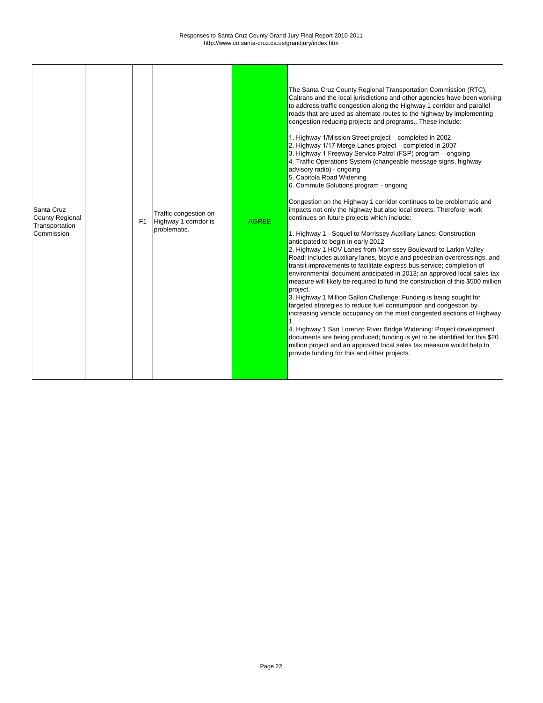**r** 

| Santa Cruz<br><b>County Regional</b><br>Transportation<br>Commission |  | F <sub>1</sub> | Traffic congestion on<br>Highway 1 corridor is<br>problematic. | <b>AGREE</b> | The Santa Cruz County Regional Transportation Commission (RTC),<br>Caltrans and the local jurisdictions and other agencies have been working<br>to address traffic congestion along the Highway 1 corridor and parallel<br>roads that are used as alternate routes to the highway by implementing<br>congestion reducing projects and programs These include:<br>1. Highway 1/Mission Street project - completed in 2002<br>2. Highway 1/17 Merge Lanes project - completed in 2007<br>3. Highway 1 Freeway Service Patrol (FSP) program - ongoing<br>4. Traffic Operations System (changeable message signs, highway<br>advisory radio) - ongoing<br>5. Capitola Road Widening<br>6. Commute Solutions program - ongoing<br>Congestion on the Highway 1 corridor continues to be problematic and<br>impacts not only the highway but also local streets. Therefore, work<br>continues on future projects which include:<br>1. Highway 1 - Soquel to Morrissey Auxiliary Lanes: Construction<br>anticipated to begin in early 2012<br>2. Highway 1 HOV Lanes from Morrissey Boulevard to Larkin Valley<br>Road: includes auxiliary lanes, bicycle and pedestrian overcrossings, and<br>transit improvements to facilitate express bus service; completion of<br>environmental document anticipated in 2013; an approved local sales tax<br>measure will likely be required to fund the construction of this \$500 million<br>project.<br>3. Highway 1 Million Gallon Challenge: Funding is being sought for<br>targeted strategies to reduce fuel consumption and congestion by<br>increasing vehicle occupancy on the most congested sections of Highway<br>4. Highway 1 San Lorenzo River Bridge Widening: Project development<br>documents are being produced; funding is yet to be identified for this \$20<br>million project and an approved local sales tax measure would help to<br>provide funding for this and other projects. |
|----------------------------------------------------------------------|--|----------------|----------------------------------------------------------------|--------------|------------------------------------------------------------------------------------------------------------------------------------------------------------------------------------------------------------------------------------------------------------------------------------------------------------------------------------------------------------------------------------------------------------------------------------------------------------------------------------------------------------------------------------------------------------------------------------------------------------------------------------------------------------------------------------------------------------------------------------------------------------------------------------------------------------------------------------------------------------------------------------------------------------------------------------------------------------------------------------------------------------------------------------------------------------------------------------------------------------------------------------------------------------------------------------------------------------------------------------------------------------------------------------------------------------------------------------------------------------------------------------------------------------------------------------------------------------------------------------------------------------------------------------------------------------------------------------------------------------------------------------------------------------------------------------------------------------------------------------------------------------------------------------------------------------------------------------------------------------------------------------------------------------------------------------------|
|----------------------------------------------------------------------|--|----------------|----------------------------------------------------------------|--------------|------------------------------------------------------------------------------------------------------------------------------------------------------------------------------------------------------------------------------------------------------------------------------------------------------------------------------------------------------------------------------------------------------------------------------------------------------------------------------------------------------------------------------------------------------------------------------------------------------------------------------------------------------------------------------------------------------------------------------------------------------------------------------------------------------------------------------------------------------------------------------------------------------------------------------------------------------------------------------------------------------------------------------------------------------------------------------------------------------------------------------------------------------------------------------------------------------------------------------------------------------------------------------------------------------------------------------------------------------------------------------------------------------------------------------------------------------------------------------------------------------------------------------------------------------------------------------------------------------------------------------------------------------------------------------------------------------------------------------------------------------------------------------------------------------------------------------------------------------------------------------------------------------------------------------------------|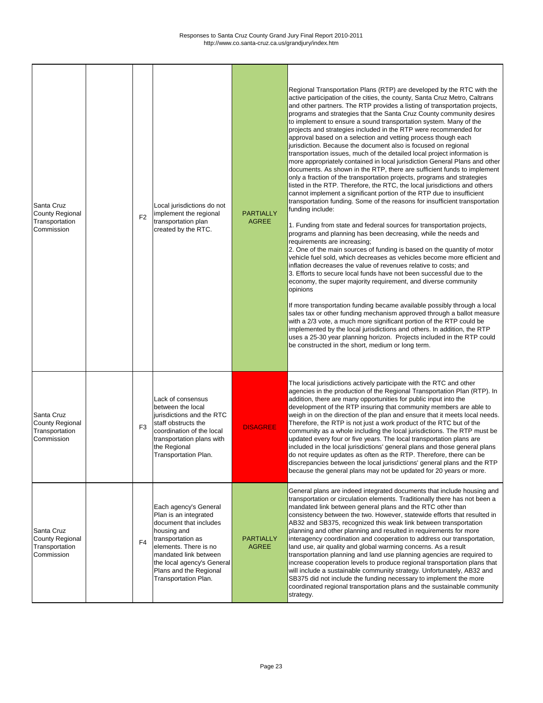| Santa Cruz<br><b>County Regional</b><br>Transportation<br>Commission | F <sub>2</sub> | Local jurisdictions do not<br>implement the regional<br>transportation plan<br>created by the RTC.                                                                                                                                             | <b>PARTIALLY</b><br><b>AGREE</b> | Regional Transportation Plans (RTP) are developed by the RTC with the<br>active participation of the cities, the county, Santa Cruz Metro, Caltrans<br>and other partners. The RTP provides a listing of transportation projects,<br>programs and strategies that the Santa Cruz County community desires<br>to implement to ensure a sound transportation system. Many of the<br>projects and strategies included in the RTP were recommended for<br>approval based on a selection and vetting process though each<br>jurisdiction. Because the document also is focused on regional<br>transportation issues, much of the detailed local project information is<br>more appropriately contained in local jurisdiction General Plans and other<br>documents. As shown in the RTP, there are sufficient funds to implement<br>only a fraction of the transportation projects, programs and strategies<br>listed in the RTP. Therefore, the RTC, the local jurisdictions and others<br>cannot implement a significant portion of the RTP due to insufficient<br>transportation funding. Some of the reasons for insufficient transportation<br>funding include:<br>1. Funding from state and federal sources for transportation projects,<br>programs and planning has been decreasing, while the needs and<br>requirements are increasing;<br>2. One of the main sources of funding is based on the quantity of motor<br>vehicle fuel sold, which decreases as vehicles become more efficient and<br>inflation decreases the value of revenues relative to costs; and<br>3. Efforts to secure local funds have not been successful due to the<br>economy, the super majority requirement, and diverse community<br>opinions<br>If more transportation funding became available possibly through a local<br>sales tax or other funding mechanism approved through a ballot measure<br>with a 2/3 vote, a much more significant portion of the RTP could be<br>implemented by the local jurisdictions and others. In addition, the RTP<br>uses a 25-30 year planning horizon. Projects included in the RTP could<br>be constructed in the short, medium or long term. |
|----------------------------------------------------------------------|----------------|------------------------------------------------------------------------------------------------------------------------------------------------------------------------------------------------------------------------------------------------|----------------------------------|---------------------------------------------------------------------------------------------------------------------------------------------------------------------------------------------------------------------------------------------------------------------------------------------------------------------------------------------------------------------------------------------------------------------------------------------------------------------------------------------------------------------------------------------------------------------------------------------------------------------------------------------------------------------------------------------------------------------------------------------------------------------------------------------------------------------------------------------------------------------------------------------------------------------------------------------------------------------------------------------------------------------------------------------------------------------------------------------------------------------------------------------------------------------------------------------------------------------------------------------------------------------------------------------------------------------------------------------------------------------------------------------------------------------------------------------------------------------------------------------------------------------------------------------------------------------------------------------------------------------------------------------------------------------------------------------------------------------------------------------------------------------------------------------------------------------------------------------------------------------------------------------------------------------------------------------------------------------------------------------------------------------------------------------------------------------------------------------------------------------------------------------------------------------|
| Santa Cruz<br><b>County Regional</b><br>Transportation<br>Commission | F <sub>3</sub> | Lack of consensus<br>between the local<br>jurisdictions and the RTC<br>staff obstructs the<br>coordination of the local<br>transportation plans with<br>the Regional<br>Transportation Plan.                                                   | <b>DISAGREE</b>                  | The local jurisdictions actively participate with the RTC and other<br>agencies in the production of the Regional Transportation Plan (RTP). In<br>addition, there are many opportunities for public input into the<br>development of the RTP insuring that community members are able to<br>weigh in on the direction of the plan and ensure that it meets local needs.<br>Therefore, the RTP is not just a work product of the RTC but of the<br>community as a whole including the local jurisdictions. The RTP must be<br>updated every four or five years. The local transportation plans are<br>included in the local jurisdictions' general plans and those general plans<br>do not require updates as often as the RTP. Therefore, there can be<br>discrepancies between the local jurisdictions' general plans and the RTP<br>because the general plans may not be updated for 20 years or more.                                                                                                                                                                                                                                                                                                                                                                                                                                                                                                                                                                                                                                                                                                                                                                                                                                                                                                                                                                                                                                                                                                                                                                                                                                                           |
| Santa Cruz<br><b>County Regional</b><br>Transportation<br>Commission | F <sub>4</sub> | Each agency's General<br>Plan is an integrated<br>document that includes<br>housing and<br>transportation as<br>elements. There is no<br>mandated link between<br>the local agency's General<br>Plans and the Regional<br>Transportation Plan. | <b>PARTIALLY</b><br><b>AGREE</b> | General plans are indeed integrated documents that include housing and<br>transportation or circulation elements. Traditionally there has not been a<br>mandated link between general plans and the RTC other than<br>consistency between the two. However, statewide efforts that resulted in<br>AB32 and SB375, recognized this weak link between transportation<br>planning and other planning and resulted in requirements for more<br>interagency coordination and cooperation to address our transportation,<br>land use, air quality and global warming concerns. As a result<br>transportation planning and land use planning agencies are required to<br>increase cooperation levels to produce regional transportation plans that<br>will include a sustainable community strategy. Unfortunately, AB32 and<br>SB375 did not include the funding necessary to implement the more<br>coordinated regional transportation plans and the sustainable community<br>strategy.                                                                                                                                                                                                                                                                                                                                                                                                                                                                                                                                                                                                                                                                                                                                                                                                                                                                                                                                                                                                                                                                                                                                                                                  |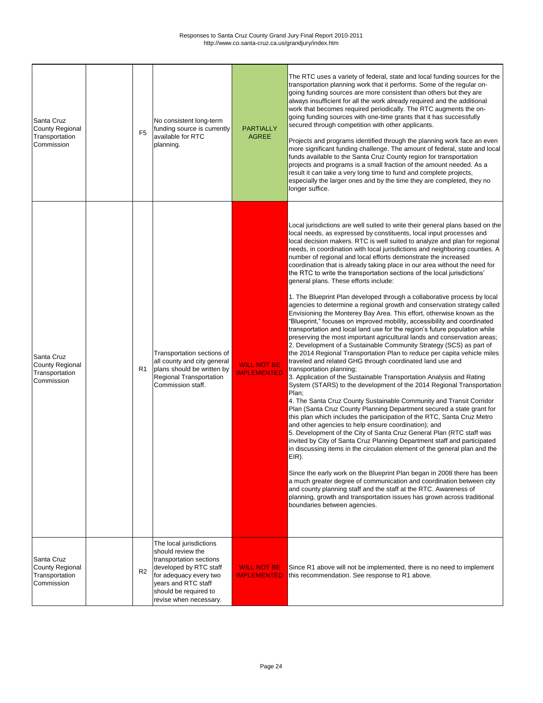| Santa Cruz<br><b>County Regional</b><br>Transportation<br>Commission | F <sub>5</sub> | No consistent long-term<br>funding source is currently<br>available for RTC<br>planning.                                                                                                              | <b>PARTIALLY</b><br><b>AGREE</b>         | The RTC uses a variety of federal, state and local funding sources for the<br>transportation planning work that it performs. Some of the regular on-<br>going funding sources are more consistent than others but they are<br>always insufficient for all the work already required and the additional<br>work that becomes required periodically. The RTC augments the on-<br>going funding sources with one-time grants that it has successfully<br>secured through competition with other applicants.<br>Projects and programs identified through the planning work face an even<br>more significant funding challenge. The amount of federal, state and local<br>funds available to the Santa Cruz County region for transportation<br>projects and programs is a small fraction of the amount needed. As a<br>result it can take a very long time to fund and complete projects,<br>especially the larger ones and by the time they are completed, they no<br>longer suffice.                                                                                                                                                                                                                                                                                                                                                                                                                                                                                                                                                                                                                                                                                                                                                                                                                                                                                                                                                                                                                                                                                                                                                                                                                                                                                                                                                   |
|----------------------------------------------------------------------|----------------|-------------------------------------------------------------------------------------------------------------------------------------------------------------------------------------------------------|------------------------------------------|--------------------------------------------------------------------------------------------------------------------------------------------------------------------------------------------------------------------------------------------------------------------------------------------------------------------------------------------------------------------------------------------------------------------------------------------------------------------------------------------------------------------------------------------------------------------------------------------------------------------------------------------------------------------------------------------------------------------------------------------------------------------------------------------------------------------------------------------------------------------------------------------------------------------------------------------------------------------------------------------------------------------------------------------------------------------------------------------------------------------------------------------------------------------------------------------------------------------------------------------------------------------------------------------------------------------------------------------------------------------------------------------------------------------------------------------------------------------------------------------------------------------------------------------------------------------------------------------------------------------------------------------------------------------------------------------------------------------------------------------------------------------------------------------------------------------------------------------------------------------------------------------------------------------------------------------------------------------------------------------------------------------------------------------------------------------------------------------------------------------------------------------------------------------------------------------------------------------------------------------------------------------------------------------------------------------------------------|
| Santa Cruz<br><b>County Regional</b><br>Transportation<br>Commission | R <sub>1</sub> | Transportation sections of<br>all county and city general<br>plans should be written by<br><b>Regional Transportation</b><br>Commission staff.                                                        | <b>WILL NOT BE</b><br><b>IMPLEMENTED</b> | Local jurisdictions are well suited to write their general plans based on the<br>local needs, as expressed by constituents, local input processes and<br>local decision makers. RTC is well suited to analyze and plan for regional<br>needs, in coordination with local jurisdictions and neighboring counties. A<br>number of regional and local efforts demonstrate the increased<br>coordination that is already taking place in our area without the need for<br>the RTC to write the transportation sections of the local jurisdictions'<br>general plans. These efforts include:<br>1. The Blueprint Plan developed through a collaborative process by local<br>agencies to determine a regional growth and conservation strategy called<br>Envisioning the Monterey Bay Area. This effort, otherwise known as the<br>Blueprint," focuses on improved mobility, accessibility and coordinated<br>transportation and local land use for the region's future population while<br>preserving the most important agricultural lands and conservation areas;<br>2. Development of a Sustainable Community Strategy (SCS) as part of<br>the 2014 Regional Transportation Plan to reduce per capita vehicle miles<br>traveled and related GHG through coordinated land use and<br>transportation planning;<br>3. Application of the Sustainable Transportation Analysis and Rating<br>System (STARS) to the development of the 2014 Regional Transportation<br>Plan;<br>4. The Santa Cruz County Sustainable Community and Transit Corridor<br>Plan (Santa Cruz County Planning Department secured a state grant for<br>this plan which includes the participation of the RTC, Santa Cruz Metro<br>and other agencies to help ensure coordination); and<br>5. Development of the City of Santa Cruz General Plan (RTC staff was<br>invited by City of Santa Cruz Planning Department staff and participated<br>in discussing items in the circulation element of the general plan and the<br>EIR).<br>Since the early work on the Blueprint Plan began in 2008 there has been<br>a much greater degree of communication and coordination between city<br>and county planning staff and the staff at the RTC. Awareness of<br>planning, growth and transportation issues has grown across traditional<br>boundaries between agencies. |
| Santa Cruz<br><b>County Regional</b><br>Transportation<br>Commission | R <sub>2</sub> | The local jurisdictions<br>should review the<br>transportation sections<br>developed by RTC staff<br>for adequacy every two<br>years and RTC staff<br>should be required to<br>revise when necessary. | <b>WILL NOT BE</b><br><b>IMPLEMENTED</b> | Since R1 above will not be implemented, there is no need to implement<br>this recommendation. See response to R1 above.                                                                                                                                                                                                                                                                                                                                                                                                                                                                                                                                                                                                                                                                                                                                                                                                                                                                                                                                                                                                                                                                                                                                                                                                                                                                                                                                                                                                                                                                                                                                                                                                                                                                                                                                                                                                                                                                                                                                                                                                                                                                                                                                                                                                              |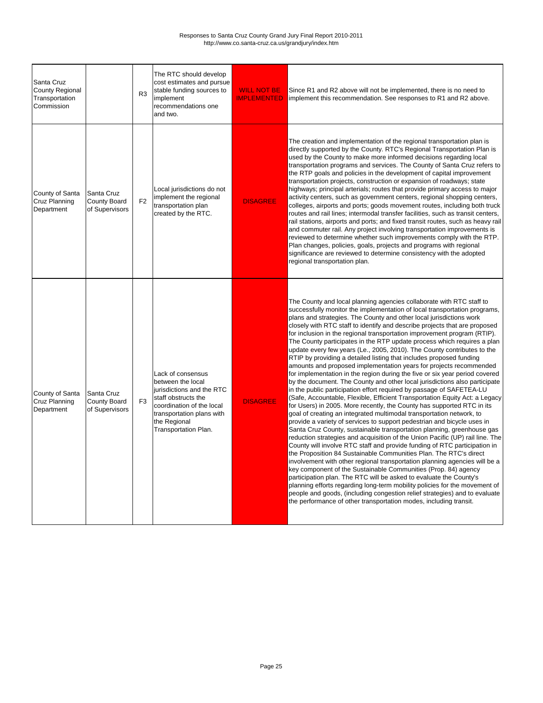| <b>Santa Cruz</b><br>County Regional<br>Transportation<br>Commission |                                                     | R <sub>3</sub> | The RTC should develop<br>cost estimates and pursue<br>stable funding sources to<br>implement<br>recommendations one<br>and two.                                                             | <b>WILL NOT BE</b><br><b>IMPLEMENTED</b> | Since R1 and R2 above will not be implemented, there is no need to<br>implement this recommendation. See responses to R1 and R2 above.                                                                                                                                                                                                                                                                                                                                                                                                                                                                                                                                                                                                                                                                                                                                                                                                                                                                                                                                                                                                                                                                                                                                                                                                                                                                                                                                                                                                                                                                                                                                                                                                                                                                                                                                                                                                                                                                     |
|----------------------------------------------------------------------|-----------------------------------------------------|----------------|----------------------------------------------------------------------------------------------------------------------------------------------------------------------------------------------|------------------------------------------|------------------------------------------------------------------------------------------------------------------------------------------------------------------------------------------------------------------------------------------------------------------------------------------------------------------------------------------------------------------------------------------------------------------------------------------------------------------------------------------------------------------------------------------------------------------------------------------------------------------------------------------------------------------------------------------------------------------------------------------------------------------------------------------------------------------------------------------------------------------------------------------------------------------------------------------------------------------------------------------------------------------------------------------------------------------------------------------------------------------------------------------------------------------------------------------------------------------------------------------------------------------------------------------------------------------------------------------------------------------------------------------------------------------------------------------------------------------------------------------------------------------------------------------------------------------------------------------------------------------------------------------------------------------------------------------------------------------------------------------------------------------------------------------------------------------------------------------------------------------------------------------------------------------------------------------------------------------------------------------------------------|
| County of Santa<br>Cruz Planning<br>Department                       | Santa Cruz<br><b>County Board</b><br>of Supervisors | F <sub>2</sub> | Local jurisdictions do not<br>implement the regional<br>transportation plan<br>created by the RTC.                                                                                           | <b>DISAGREE</b>                          | The creation and implementation of the regional transportation plan is<br>directly supported by the County. RTC's Regional Transportation Plan is<br>used by the County to make more informed decisions regarding local<br>transportation programs and services. The County of Santa Cruz refers to<br>the RTP goals and policies in the development of capital improvement<br>transportation projects, construction or expansion of roadways; state<br>highways; principal arterials; routes that provide primary access to major<br>activity centers, such as government centers, regional shopping centers,<br>colleges, airports and ports; goods movement routes, including both truck<br>routes and rail lines; intermodal transfer facilities, such as transit centers,<br>rail stations, airports and ports; and fixed transit routes, such as heavy rail<br>and commuter rail. Any project involving transportation improvements is<br>reviewed to determine whether such improvements comply with the RTP.<br>Plan changes, policies, goals, projects and programs with regional<br>significance are reviewed to determine consistency with the adopted<br>regional transportation plan.                                                                                                                                                                                                                                                                                                                                                                                                                                                                                                                                                                                                                                                                                                                                                                                                         |
| County of Santa<br>Cruz Planning<br>Department                       | Santa Cruz<br><b>County Board</b><br>of Supervisors | F <sub>3</sub> | Lack of consensus<br>between the local<br>jurisdictions and the RTC<br>staff obstructs the<br>coordination of the local<br>transportation plans with<br>the Regional<br>Transportation Plan. | <b>DISAGREE</b>                          | The County and local planning agencies collaborate with RTC staff to<br>successfully monitor the implementation of local transportation programs,<br>plans and strategies. The County and other local jurisdictions work<br>closely with RTC staff to identify and describe projects that are proposed<br>for inclusion in the regional transportation improvement program (RTIP).<br>The County participates in the RTP update process which requires a plan<br>update every few years (Le., 2005, 2010). The County contributes to the<br>RTIP by providing a detailed listing that includes proposed funding<br>amounts and proposed implementation years for projects recommended<br>for implementation in the region during the five or six year period covered<br>by the document. The County and other local jurisdictions also participate<br>in the public participation effort required by passage of SAFETEA-LU<br>(Safe, Accountable, Flexible, Efficient Transportation Equity Act: a Legacy<br>for Users) in 2005. More recently, the County has supported RTC in its<br>goal of creating an integrated multimodal transportation network, to<br>provide a variety of services to support pedestrian and bicycle uses in<br>Santa Cruz County, sustainable transportation planning, greenhouse gas<br>reduction strategies and acquisition of the Union Pacific (UP) rail line. The<br>County will involve RTC staff and provide funding of RTC participation in<br>the Proposition 84 Sustainable Communities Plan. The RTC's direct<br>involvement with other regional transportation planning agencies will be a<br>key component of the Sustainable Communities (Prop. 84) agency<br>participation plan. The RTC will be asked to evaluate the County's<br>planning efforts regarding long-term mobility policies for the movement of<br>people and goods, (including congestion relief strategies) and to evaluate<br>the performance of other transportation modes, including transit. |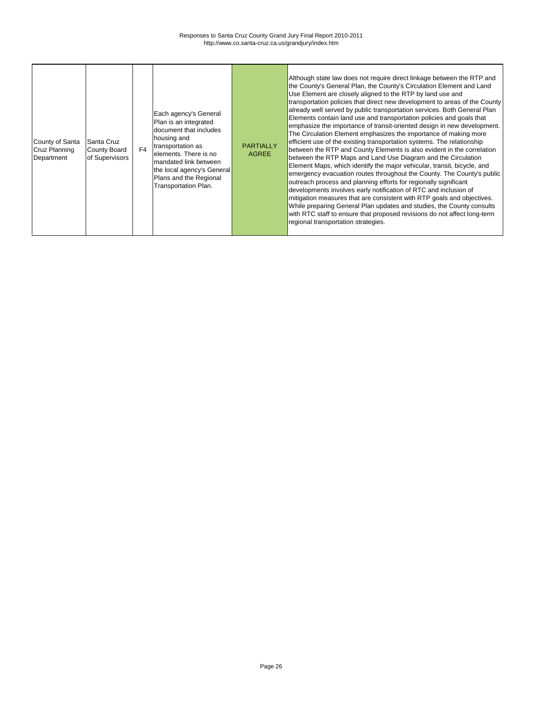| County of Santa<br><b>Cruz Planning</b><br>Department | Santa Cruz<br><b>County Board</b><br>of Supervisors | F <sub>4</sub> | Each agency's General<br>Plan is an integrated<br>document that includes<br>housing and<br>transportation as<br>elements. There is no<br>mandated link between<br>the local agency's General<br>Plans and the Regional<br><b>Transportation Plan.</b> | <b>PARTIALLY</b><br><b>AGREE</b> | Although state law does not require direct linkage between the RTP and<br>the County's General Plan, the County's Circulation Element and Land<br>Use Element are closely aligned to the RTP by land use and<br>transportation policies that direct new development to areas of the County<br>already well served by public transportation services. Both General Plan<br>Elements contain land use and transportation policies and goals that<br>emphasize the importance of transit-oriented design in new development.<br>The Circulation Element emphasizes the importance of making more<br>efficient use of the existing transportation systems. The relationship<br>between the RTP and County Elements is also evident in the correlation<br>between the RTP Maps and Land Use Diagram and the Circulation<br>Element Maps, which identify the major vehicular, transit, bicycle, and<br>emergency evacuation routes throughout the County. The County's public<br>outreach process and planning efforts for regionally significant<br>developments involves early notification of RTC and inclusion of<br>mitigation measures that are consistent with RTP goals and objectives.<br>While preparing General Plan updates and studies, the County consults<br>with RTC staff to ensure that proposed revisions do not affect long-term<br>regional transportation strategies. |
|-------------------------------------------------------|-----------------------------------------------------|----------------|-------------------------------------------------------------------------------------------------------------------------------------------------------------------------------------------------------------------------------------------------------|----------------------------------|---------------------------------------------------------------------------------------------------------------------------------------------------------------------------------------------------------------------------------------------------------------------------------------------------------------------------------------------------------------------------------------------------------------------------------------------------------------------------------------------------------------------------------------------------------------------------------------------------------------------------------------------------------------------------------------------------------------------------------------------------------------------------------------------------------------------------------------------------------------------------------------------------------------------------------------------------------------------------------------------------------------------------------------------------------------------------------------------------------------------------------------------------------------------------------------------------------------------------------------------------------------------------------------------------------------------------------------------------------------------------------------|
|-------------------------------------------------------|-----------------------------------------------------|----------------|-------------------------------------------------------------------------------------------------------------------------------------------------------------------------------------------------------------------------------------------------------|----------------------------------|---------------------------------------------------------------------------------------------------------------------------------------------------------------------------------------------------------------------------------------------------------------------------------------------------------------------------------------------------------------------------------------------------------------------------------------------------------------------------------------------------------------------------------------------------------------------------------------------------------------------------------------------------------------------------------------------------------------------------------------------------------------------------------------------------------------------------------------------------------------------------------------------------------------------------------------------------------------------------------------------------------------------------------------------------------------------------------------------------------------------------------------------------------------------------------------------------------------------------------------------------------------------------------------------------------------------------------------------------------------------------------------|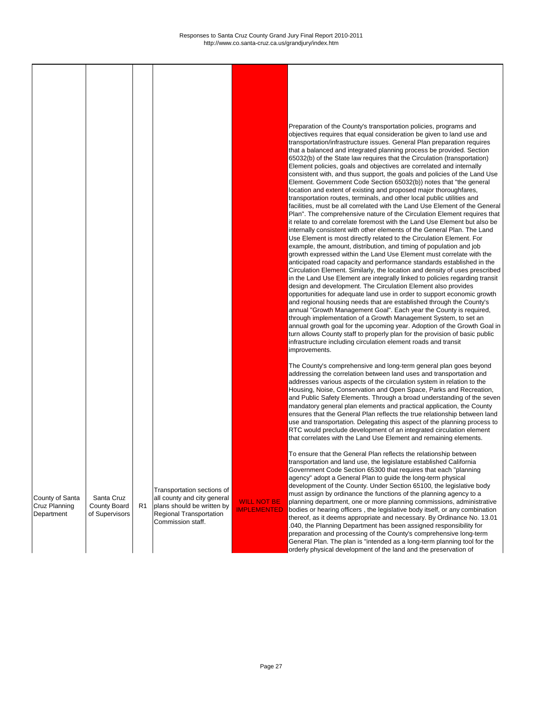WILL NOT BE IMPLEMENTED

Transportation sections of all county and city general plans should be written by Regional Transportation Commission staff.

R1

Preparation of the County's transportation policies, programs and objectives requires that equal consideration be given to land use and transportation/infrastructure issues. General Plan preparation requires that a balanced and integrated planning process be provided. Section 65032(b) of the State law requires that the Circulation (transportation) Element policies, goals and objectives are correlated and internally consistent with, and thus support, the goals and policies of the Land Use Element. Government Code Section 65032(b)) notes that "the general location and extent of existing and proposed major thoroughfares, transportation routes, terminals, and other local public utilities and facilities, must be all correlated with the Land Use Element of the General Plan". The comprehensive nature of the Circulation Element requires that it relate to and correlate foremost with the Land Use Element but also be internally consistent with other elements of the General Plan. The Land Use Element is most directly related to the Circulation Element. For example, the amount, distribution, and timing of population and job growth expressed within the Land Use Element must correlate with the anticipated road capacity and performance standards established in the Circulation Element. Similarly, the location and density of uses prescribed in the Land Use Element are integrally linked to policies regarding transit design and development. The Circulation Element also provides opportunities for adequate land use in order to support economic growth and regional housing needs that are established through the County's annual "Growth Management Goal". Each year the County is required, through implementation of a Growth Management System, to set an annual growth goal for the upcoming year. Adoption of the Growth Goal in turn allows County staff to properly plan for the provision of basic public infrastructure including circulation element roads and transit improvements.

The County's comprehensive and long-term general plan goes beyond addressing the correlation between land uses and transportation and addresses various aspects of the circulation system in relation to the Housing, Noise, Conservation and Open Space, Parks and Recreation, and Public Safety Elements. Through a broad understanding of the seven mandatory general plan elements and practical application, the County ensures that the General Plan reflects the true relationship between land use and transportation. Delegating this aspect of the planning process to RTC would preclude development of an integrated circulation element that correlates with the Land Use Element and remaining elements.

To ensure that the General Plan reflects the relationship between transportation and land use, the legislature established California Government Code Section 65300 that requires that each "planning agency" adopt a General Plan to guide the long-term physical development of the County. Under Section 65100, the legislative body must assign by ordinance the functions of the planning agency to a planning department, one or more planning commissions, administrative bodies or hearing officers , the legislative body itself, or any combination thereof, as it deems appropriate and necessary. By Ordinance No. 13.01 .040, the Planning Department has been assigned responsibility for preparation and processing of the County's comprehensive long-term

General Plan. The plan is "intended as a long-term planning tool for the orderly physical development of the land and the preservation of

| County of Santa      |
|----------------------|
| <b>Cruz Planning</b> |
| Department           |

Santa Cruz County Board of Supervisors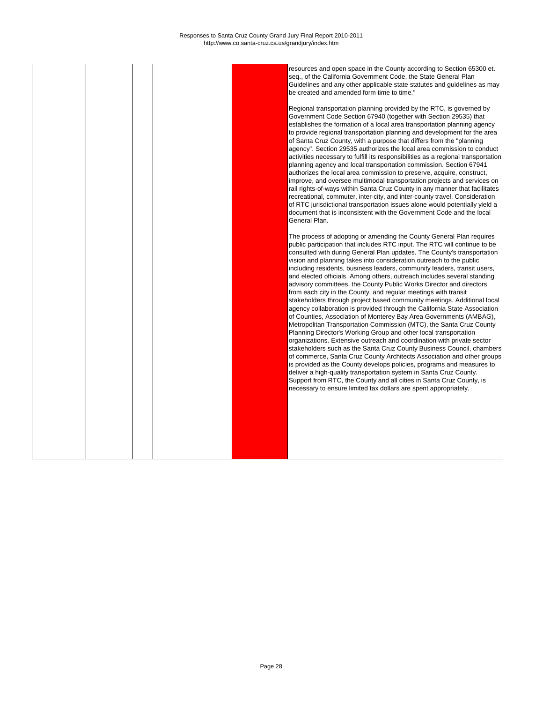resources and open space in the County according to Section 65300 et. seq., of the California Government Code, the State General Plan Guidelines and any other applicable state statutes and guidelines as may be created and amended form time to time."

Regional transportation planning provided by the RTC, is governed by Government Code Section 67940 (together with Section 29535) that establishes the formation of a local area transportation planning agency to provide regional transportation planning and development for the area of Santa Cruz County, with a purpose that differs from the "planning agency". Section 29535 authorizes the local area commission to conduct activities necessary to fulfill its responsibilities as a regional transportation planning agency and local transportation commission. Section 67941 authorizes the local area commission to preserve, acquire, construct, improve, and oversee multimodal transportation projects and services on rail rights-of-ways within Santa Cruz County in any manner that facilitates recreational, commuter, inter-city, and inter-county travel. Consideration of RTC jurisdictional transportation issues alone would potentially yield a document that is inconsistent with the Government Code and the local General Plan.

The process of adopting or amending the County General Plan requires public participation that includes RTC input. The RTC will continue to be consulted with during General Plan updates. The County's transportation vision and planning takes into consideration outreach to the public including residents, business leaders, community leaders, transit users, and elected officials. Among others, outreach includes several standing advisory committees, the County Public Works Director and directors from each city in the County, and regular meetings with transit stakeholders through project based community meetings. Additional local agency collaboration is provided through the California State Association of Counties, Association of Monterey Bay Area Governments (AMBAG), Metropolitan Transportation Commission (MTC), the Santa Cruz County Planning Director's Working Group and other local transportation organizations. Extensive outreach and coordination with private sector stakeholders such as the Santa Cruz County Business Council, chambers of commerce, Santa Cruz County Architects Association and other groups is provided as the County develops policies, programs and measures to deliver a high-quality transportation system in Santa Cruz County. Support from RTC, the County and all cities in Santa Cruz County, is necessary to ensure limited tax dollars are spent appropriately.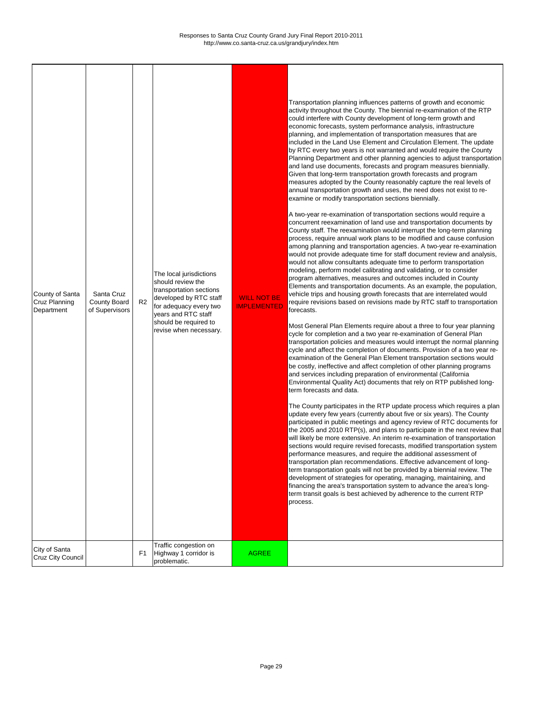$\mathsf{r}$ 

٦

| City of Santa<br>Cruz City Council | Traffic congestion on<br>Highway 1 corridor is<br>problematic. | <b>AGREE</b> |
|------------------------------------|----------------------------------------------------------------|--------------|

| County of Santa<br>Cruz Planning<br>Department | Santa Cruz<br><b>County Board</b><br>of Supervisors | R <sub>2</sub> | The local jurisdictions<br>should review the<br>transportation sections<br>developed by RTC staff<br>for adequacy every two<br>years and RTC staff<br>should be required to<br>revise when necessary. | <b>WILL NOT BE</b><br><b>IMPLEMENTED</b> | Transportation planning influences patterns of growth and economic<br>activity throughout the County. The biennial re-examination of the RTP<br>could interfere with County development of long-term growth and<br>economic forecasts, system performance analysis, infrastructure<br>planning, and implementation of transportation measures that are<br>included in the Land Use Element and Circulation Element. The update<br>by RTC every two years is not warranted and would require the County<br>Planning Department and other planning agencies to adjust transportation<br>and land use documents, forecasts and program measures biennially.<br>Given that long-term transportation growth forecasts and program<br>measures adopted by the County reasonably capture the real levels of<br>annual transportation growth and uses, the need does not exist to re-<br>examine or modify transportation sections biennially.<br>A two-year re-examination of transportation sections would require a<br>concurrent reexamination of land use and transportation documents by<br>County staff. The reexamination would interrupt the long-term planning<br>process, require annual work plans to be modified and cause confusion<br>among planning and transportation agencies. A two-year re-examination<br>would not provide adequate time for staff document review and analysis,<br>would not allow consultants adequate time to perform transportation<br>modeling, perform model calibrating and validating, or to consider<br>program alternatives, measures and outcomes included in County<br>Elements and transportation documents. As an example, the population,<br>vehicle trips and housing growth forecasts that are interrelated would<br>require revisions based on revisions made by RTC staff to transportation<br>forecasts.<br>Most General Plan Elements require about a three to four year planning<br>cycle for completion and a two year re-examination of General Plan<br>transportation policies and measures would interrupt the normal planning<br>cycle and affect the completion of documents. Provision of a two year re-<br>examination of the General Plan Element transportation sections would<br>be costly, ineffective and affect completion of other planning programs<br>and services including preparation of environmental (California<br>Environmental Quality Act) documents that rely on RTP published long-<br>term forecasts and data.<br>The County participates in the RTP update process which requires a plan<br>update every few years (currently about five or six years). The County<br>participated in public meetings and agency review of RTC documents for<br>the 2005 and 2010 RTP(s), and plans to participate in the next review that<br>will likely be more extensive. An interim re-examination of transportation<br>sections would require revised forecasts, modified transportation system<br>performance measures, and require the additional assessment of<br>transportation plan recommendations. Effective advancement of long-<br>term transportation goals will not be provided by a biennial review. The<br>development of strategies for operating, managing, maintaining, and<br>financing the area's transportation system to advance the area's long-<br>term transit goals is best achieved by adherence to the current RTP<br>process. |
|------------------------------------------------|-----------------------------------------------------|----------------|-------------------------------------------------------------------------------------------------------------------------------------------------------------------------------------------------------|------------------------------------------|--------------------------------------------------------------------------------------------------------------------------------------------------------------------------------------------------------------------------------------------------------------------------------------------------------------------------------------------------------------------------------------------------------------------------------------------------------------------------------------------------------------------------------------------------------------------------------------------------------------------------------------------------------------------------------------------------------------------------------------------------------------------------------------------------------------------------------------------------------------------------------------------------------------------------------------------------------------------------------------------------------------------------------------------------------------------------------------------------------------------------------------------------------------------------------------------------------------------------------------------------------------------------------------------------------------------------------------------------------------------------------------------------------------------------------------------------------------------------------------------------------------------------------------------------------------------------------------------------------------------------------------------------------------------------------------------------------------------------------------------------------------------------------------------------------------------------------------------------------------------------------------------------------------------------------------------------------------------------------------------------------------------------------------------------------------------------------------------------------------------------------------------------------------------------------------------------------------------------------------------------------------------------------------------------------------------------------------------------------------------------------------------------------------------------------------------------------------------------------------------------------------------------------------------------------------------------------------------------------------------------------------------------------------------------------------------------------------------------------------------------------------------------------------------------------------------------------------------------------------------------------------------------------------------------------------------------------------------------------------------------------------------------------------------------------------------------------------------------------------------------------------------------------------------------------------------------------------------------------------------------------------------------------------------------------------------------------------------------------------------------------------------------------------------------------|
|------------------------------------------------|-----------------------------------------------------|----------------|-------------------------------------------------------------------------------------------------------------------------------------------------------------------------------------------------------|------------------------------------------|--------------------------------------------------------------------------------------------------------------------------------------------------------------------------------------------------------------------------------------------------------------------------------------------------------------------------------------------------------------------------------------------------------------------------------------------------------------------------------------------------------------------------------------------------------------------------------------------------------------------------------------------------------------------------------------------------------------------------------------------------------------------------------------------------------------------------------------------------------------------------------------------------------------------------------------------------------------------------------------------------------------------------------------------------------------------------------------------------------------------------------------------------------------------------------------------------------------------------------------------------------------------------------------------------------------------------------------------------------------------------------------------------------------------------------------------------------------------------------------------------------------------------------------------------------------------------------------------------------------------------------------------------------------------------------------------------------------------------------------------------------------------------------------------------------------------------------------------------------------------------------------------------------------------------------------------------------------------------------------------------------------------------------------------------------------------------------------------------------------------------------------------------------------------------------------------------------------------------------------------------------------------------------------------------------------------------------------------------------------------------------------------------------------------------------------------------------------------------------------------------------------------------------------------------------------------------------------------------------------------------------------------------------------------------------------------------------------------------------------------------------------------------------------------------------------------------------------------------------------------------------------------------------------------------------------------------------------------------------------------------------------------------------------------------------------------------------------------------------------------------------------------------------------------------------------------------------------------------------------------------------------------------------------------------------------------------------------------------------------------------------------------------------------------------------|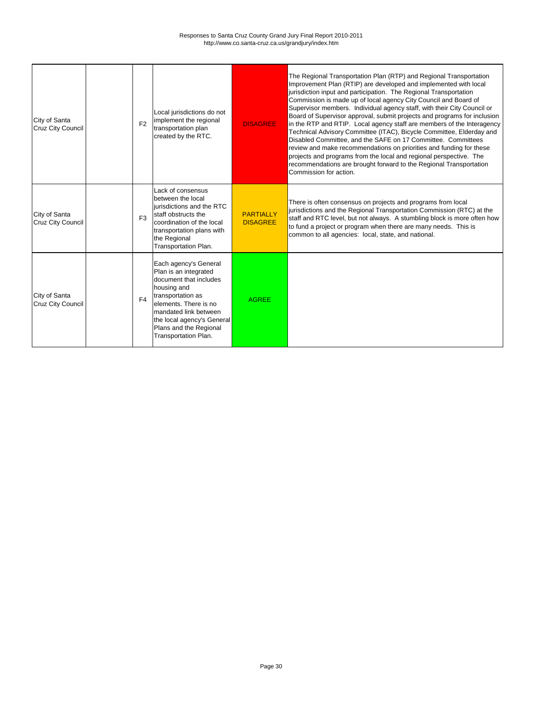| City of Santa<br><b>Cruz City Council</b> | F2             | Local jurisdictions do not<br>implement the regional<br>transportation plan<br>created by the RTC.                                                                                                                                             | <b>DISAGREE</b>                     | The Regional Transportation Plan (RTP) and Regional Transportation<br>Improvement Plan (RTIP) are developed and implemented with local<br>jurisdiction input and participation. The Regional Transportation<br>Commission is made up of local agency City Council and Board of<br>Supervisor members. Individual agency staff, with their City Council or<br>Board of Supervisor approval, submit projects and programs for inclusion<br>in the RTP and RTIP. Local agency staff are members of the Interagency<br>Technical Advisory Committee (ITAC), Bicycle Committee, Elderday and<br>Disabled Committee, and the SAFE on 17 Committee. Committees<br>review and make recommendations on priorities and funding for these<br>projects and programs from the local and regional perspective. The<br>recommendations are brought forward to the Regional Transportation<br>Commission for action. |
|-------------------------------------------|----------------|------------------------------------------------------------------------------------------------------------------------------------------------------------------------------------------------------------------------------------------------|-------------------------------------|------------------------------------------------------------------------------------------------------------------------------------------------------------------------------------------------------------------------------------------------------------------------------------------------------------------------------------------------------------------------------------------------------------------------------------------------------------------------------------------------------------------------------------------------------------------------------------------------------------------------------------------------------------------------------------------------------------------------------------------------------------------------------------------------------------------------------------------------------------------------------------------------------|
| City of Santa<br><b>Cruz City Council</b> | F <sub>3</sub> | Lack of consensus<br>between the local<br>jurisdictions and the RTC<br>staff obstructs the<br>coordination of the local<br>transportation plans with<br>the Regional<br>Transportation Plan.                                                   | <b>PARTIALLY</b><br><b>DISAGREE</b> | There is often consensus on projects and programs from local<br>jurisdictions and the Regional Transportation Commission (RTC) at the<br>staff and RTC level, but not always. A stumbling block is more often how<br>to fund a project or program when there are many needs. This is<br>common to all agencies: local, state, and national.                                                                                                                                                                                                                                                                                                                                                                                                                                                                                                                                                          |
| City of Santa<br><b>Cruz City Council</b> | F4             | Each agency's General<br>Plan is an integrated<br>document that includes<br>housing and<br>transportation as<br>elements. There is no<br>mandated link between<br>the local agency's General<br>Plans and the Regional<br>Transportation Plan. | <b>AGREE</b>                        |                                                                                                                                                                                                                                                                                                                                                                                                                                                                                                                                                                                                                                                                                                                                                                                                                                                                                                      |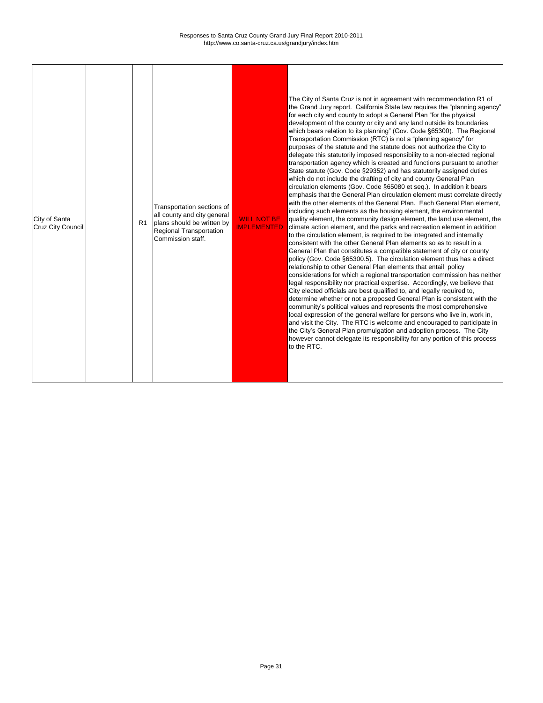٦

| City of Santa<br><b>Cruz City Council</b> |  | R <sub>1</sub> | Transportation sections of<br>all county and city general<br>plans should be written by<br><b>Regional Transportation</b><br>Commission staff. | <b>WILL NOT BE</b><br><b>IMPLEMENTED</b> | The City of Santa Cruz is not in agreement with recommendation R1 of<br>the Grand Jury report. California State law requires the "planning agency"<br>for each city and county to adopt a General Plan "for the physical<br>development of the county or city and any land outside its boundaries<br>which bears relation to its planning" (Gov. Code §65300). The Regional<br>Transportation Commission (RTC) is not a "planning agency" for<br>purposes of the statute and the statute does not authorize the City to<br>delegate this statutorily imposed responsibility to a non-elected regional<br>transportation agency which is created and functions pursuant to another<br>State statute (Gov. Code §29352) and has statutorily assigned duties<br>which do not include the drafting of city and county General Plan<br>circulation elements (Gov. Code §65080 et seq.). In addition it bears<br>emphasis that the General Plan circulation element must correlate directly<br>with the other elements of the General Plan. Each General Plan element,<br>including such elements as the housing element, the environmental<br>quality element, the community design element, the land use element, the<br>climate action element, and the parks and recreation element in addition<br>to the circulation element, is required to be integrated and internally<br>consistent with the other General Plan elements so as to result in a<br>General Plan that constitutes a compatible statement of city or county<br>policy (Gov. Code §65300.5). The circulation element thus has a direct<br>relationship to other General Plan elements that entail policy<br>considerations for which a regional transportation commission has neither<br>legal responsibility nor practical expertise. Accordingly, we believe that<br>City elected officials are best qualified to, and legally required to,<br>determine whether or not a proposed General Plan is consistent with the<br>community's political values and represents the most comprehensive<br>local expression of the general welfare for persons who live in, work in,<br>and visit the City. The RTC is welcome and encouraged to participate in<br>the City's General Plan promulgation and adoption process. The City<br>however cannot delegate its responsibility for any portion of this process<br>to the RTC. |
|-------------------------------------------|--|----------------|------------------------------------------------------------------------------------------------------------------------------------------------|------------------------------------------|------------------------------------------------------------------------------------------------------------------------------------------------------------------------------------------------------------------------------------------------------------------------------------------------------------------------------------------------------------------------------------------------------------------------------------------------------------------------------------------------------------------------------------------------------------------------------------------------------------------------------------------------------------------------------------------------------------------------------------------------------------------------------------------------------------------------------------------------------------------------------------------------------------------------------------------------------------------------------------------------------------------------------------------------------------------------------------------------------------------------------------------------------------------------------------------------------------------------------------------------------------------------------------------------------------------------------------------------------------------------------------------------------------------------------------------------------------------------------------------------------------------------------------------------------------------------------------------------------------------------------------------------------------------------------------------------------------------------------------------------------------------------------------------------------------------------------------------------------------------------------------------------------------------------------------------------------------------------------------------------------------------------------------------------------------------------------------------------------------------------------------------------------------------------------------------------------------------------------------------------------------------------------------------------------------------------------------------------------------------------------------------|
|-------------------------------------------|--|----------------|------------------------------------------------------------------------------------------------------------------------------------------------|------------------------------------------|------------------------------------------------------------------------------------------------------------------------------------------------------------------------------------------------------------------------------------------------------------------------------------------------------------------------------------------------------------------------------------------------------------------------------------------------------------------------------------------------------------------------------------------------------------------------------------------------------------------------------------------------------------------------------------------------------------------------------------------------------------------------------------------------------------------------------------------------------------------------------------------------------------------------------------------------------------------------------------------------------------------------------------------------------------------------------------------------------------------------------------------------------------------------------------------------------------------------------------------------------------------------------------------------------------------------------------------------------------------------------------------------------------------------------------------------------------------------------------------------------------------------------------------------------------------------------------------------------------------------------------------------------------------------------------------------------------------------------------------------------------------------------------------------------------------------------------------------------------------------------------------------------------------------------------------------------------------------------------------------------------------------------------------------------------------------------------------------------------------------------------------------------------------------------------------------------------------------------------------------------------------------------------------------------------------------------------------------------------------------------------------|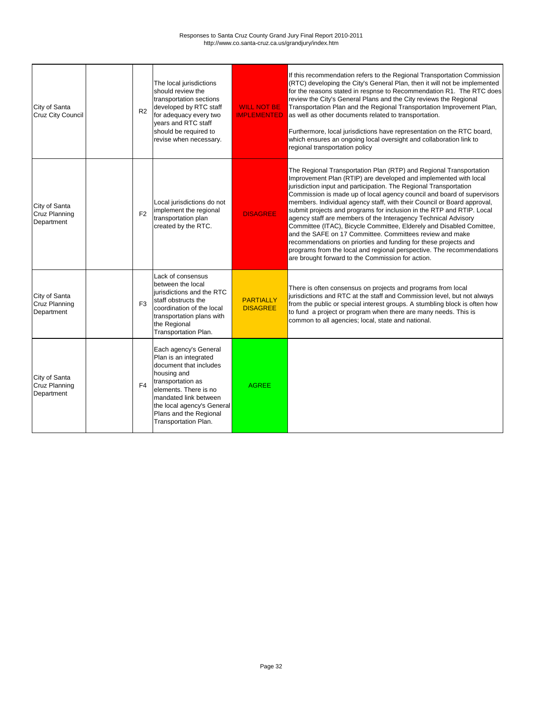| City of Santa<br><b>Cruz City Council</b>           | R <sub>2</sub> | The local jurisdictions<br>should review the<br>transportation sections<br>developed by RTC staff<br>for adequacy every two<br>years and RTC staff<br>should be required to<br>revise when necessary.                                          | <b>WILL NOT BE</b><br><b>IMPLEMENTED</b> | If this recommendation refers to the Regional Transportation Commission<br>(RTC) developing the City's General Plan, then it will not be implemented<br>for the reasons stated in respnse to Recommendation R1. The RTC does<br>review the City's General Plans and the City reviews the Regional<br>Transportation Plan and the Regional Transportation Improvement Plan,<br>as well as other documents related to transportation.<br>Furthermore, local jurisdictions have representation on the RTC board,<br>which ensures an ongoing local oversight and collaboration link to<br>regional transportation policy                                                                                                                                                                                                                            |
|-----------------------------------------------------|----------------|------------------------------------------------------------------------------------------------------------------------------------------------------------------------------------------------------------------------------------------------|------------------------------------------|--------------------------------------------------------------------------------------------------------------------------------------------------------------------------------------------------------------------------------------------------------------------------------------------------------------------------------------------------------------------------------------------------------------------------------------------------------------------------------------------------------------------------------------------------------------------------------------------------------------------------------------------------------------------------------------------------------------------------------------------------------------------------------------------------------------------------------------------------|
| City of Santa<br><b>Cruz Planning</b><br>Department | F <sub>2</sub> | Local jurisdictions do not<br>implement the regional<br>transportation plan<br>created by the RTC.                                                                                                                                             | <b>DISAGREE</b>                          | The Regional Transportation Plan (RTP) and Regional Transportation<br>Improvement Plan (RTIP) are developed and implemented with local<br>jurisdiction input and participation. The Regional Transportation<br>Commission is made up of local agency council and board of supervisors<br>members. Individual agency staff, with their Council or Board approval,<br>submit projects and programs for inclusion in the RTP and RTIP. Local<br>agency staff are members of the Interagency Technical Advisory<br>Committee (ITAC), Bicycle Committee, Elderely and Disabled Comittee,<br>and the SAFE on 17 Committee. Committees review and make<br>recommendations on priorties and funding for these projects and<br>programs from the local and regional perspective. The recommendations<br>are brought forward to the Commission for action. |
| City of Santa<br><b>Cruz Planning</b><br>Department | F <sub>3</sub> | Lack of consensus<br>between the local<br>jurisdictions and the RTC<br>staff obstructs the<br>coordination of the local<br>transportation plans with<br>the Regional<br>Transportation Plan.                                                   | <b>PARTIALLY</b><br><b>DISAGREE</b>      | There is often consensus on projects and programs from local<br>jurisdictions and RTC at the staff and Commission level, but not always<br>from the public or special interest groups. A stumbling block is often how<br>to fund a project or program when there are many needs. This is<br>common to all agencies; local, state and national.                                                                                                                                                                                                                                                                                                                                                                                                                                                                                                   |
| City of Santa<br><b>Cruz Planning</b><br>Department | F <sub>4</sub> | Each agency's General<br>Plan is an integrated<br>document that includes<br>housing and<br>transportation as<br>elements. There is no<br>mandated link between<br>the local agency's General<br>Plans and the Regional<br>Transportation Plan. | <b>AGREE</b>                             |                                                                                                                                                                                                                                                                                                                                                                                                                                                                                                                                                                                                                                                                                                                                                                                                                                                  |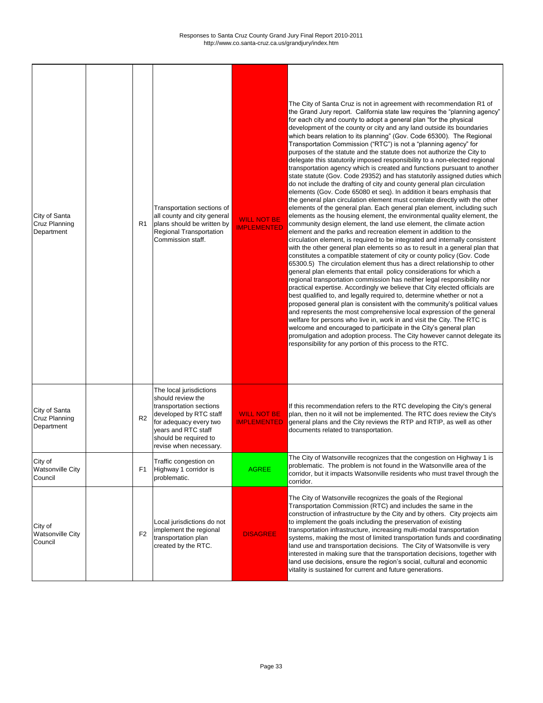Г

 $\mathbf{I}$ 

 $\mathbf{I}$ 

 $\mathbf I$ 

┑

| City of Santa<br>Cruz Planning<br>Department  | R <sub>1</sub> | Transportation sections of<br>all county and city general<br>plans should be written by<br><b>Regional Transportation</b><br>Commission staff.                                                        | <b>WILL NOT BE</b><br><b>IMPLEMENTED</b> | The City of Santa Cruz is not in agreement with recommendation R1 of<br>the Grand Jury report. California state law requires the "planning agency"<br>for each city and county to adopt a general plan "for the physical<br>development of the county or city and any land outside its boundaries<br>which bears relation to its planning" (Gov. Code 65300). The Regional<br>Transportation Commission ("RTC") is not a "planning agency" for<br>purposes of the statute and the statute does not authorize the City to<br>delegate this statutorily imposed responsibility to a non-elected regional<br>transportation agency which is created and functions pursuant to another<br>state statute (Gov. Code 29352) and has statutorily assigned duties which<br>do not include the drafting of city and county general plan circulation<br>elements (Gov. Code 65080 et seq). In addition it bears emphasis that<br>the general plan circulation element must correlate directly with the other<br>elements of the general plan. Each general plan element, including such<br>elements as the housing element, the environmental quality element, the<br>community design element, the land use element, the climate action<br>element and the parks and recreation element in addition to the<br>circulation element, is required to be integrated and internally consistent<br>with the other general plan elements so as to result in a general plan that<br>constitutes a compatible statement of city or county policy (Gov. Code<br>65300.5) The circulation element thus has a direct relationship to other<br>general plan elements that entail policy considerations for which a<br>regional transportation commission has neither legal responsibility nor<br>practical expertise. Accordingly we believe that City elected officials are<br>best qualified to, and legally required to, determine whether or not a<br>proposed general plan is consistent with the community's political values<br>and represents the most comprehensive local expression of the general<br>welfare for persons who live in, work in and visit the City. The RTC is<br>welcome and encouraged to participate in the City's general plan<br>promulgation and adoption process. The City however cannot delegate its<br>responsibility for any portion of this process to the RTC. |
|-----------------------------------------------|----------------|-------------------------------------------------------------------------------------------------------------------------------------------------------------------------------------------------------|------------------------------------------|--------------------------------------------------------------------------------------------------------------------------------------------------------------------------------------------------------------------------------------------------------------------------------------------------------------------------------------------------------------------------------------------------------------------------------------------------------------------------------------------------------------------------------------------------------------------------------------------------------------------------------------------------------------------------------------------------------------------------------------------------------------------------------------------------------------------------------------------------------------------------------------------------------------------------------------------------------------------------------------------------------------------------------------------------------------------------------------------------------------------------------------------------------------------------------------------------------------------------------------------------------------------------------------------------------------------------------------------------------------------------------------------------------------------------------------------------------------------------------------------------------------------------------------------------------------------------------------------------------------------------------------------------------------------------------------------------------------------------------------------------------------------------------------------------------------------------------------------------------------------------------------------------------------------------------------------------------------------------------------------------------------------------------------------------------------------------------------------------------------------------------------------------------------------------------------------------------------------------------------------------------------------------------------------------------------------------------------------------------------------------------|
| City of Santa<br>Cruz Planning<br>Department  | R <sub>2</sub> | The local jurisdictions<br>should review the<br>transportation sections<br>developed by RTC staff<br>for adequacy every two<br>years and RTC staff<br>should be required to<br>revise when necessary. | <b>WILL NOT BE</b><br><b>IMPLEMENTED</b> | If this recommendation refers to the RTC developing the City's general<br>plan, then no it will not be implemented. The RTC does review the City's<br>general plans and the City reviews the RTP and RTIP, as well as other<br>documents related to transportation.                                                                                                                                                                                                                                                                                                                                                                                                                                                                                                                                                                                                                                                                                                                                                                                                                                                                                                                                                                                                                                                                                                                                                                                                                                                                                                                                                                                                                                                                                                                                                                                                                                                                                                                                                                                                                                                                                                                                                                                                                                                                                                            |
| City of<br><b>Watsonville City</b><br>Council | F <sub>1</sub> | Traffic congestion on<br>Highway 1 corridor is<br>problematic.                                                                                                                                        | <b>AGREE</b>                             | The City of Watsonville recognizes that the congestion on Highway 1 is<br>problematic. The problem is not found in the Watsonville area of the<br>corridor, but it impacts Watsonville residents who must travel through the<br>corridor.                                                                                                                                                                                                                                                                                                                                                                                                                                                                                                                                                                                                                                                                                                                                                                                                                                                                                                                                                                                                                                                                                                                                                                                                                                                                                                                                                                                                                                                                                                                                                                                                                                                                                                                                                                                                                                                                                                                                                                                                                                                                                                                                      |
| City of<br><b>Watsonville City</b><br>Council | F <sub>2</sub> | Local jurisdictions do not<br>implement the regional<br>transportation plan<br>created by the RTC.                                                                                                    | <b>DISAGREE</b>                          | The City of Watsonville recognizes the goals of the Regional<br>Transportation Commission (RTC) and includes the same in the<br>construction of infrastructure by the City and by others. City projects aim<br>to implement the goals including the preservation of existing<br>transportation infrastructure, increasing multi-modal transportation<br>systems, making the most of limited transportation funds and coordinating<br>land use and transportation decisions. The City of Watsonville is very<br>interested in making sure that the transportation decisions, together with<br>land use decisions, ensure the region's social, cultural and economic<br>vitality is sustained for current and future generations.                                                                                                                                                                                                                                                                                                                                                                                                                                                                                                                                                                                                                                                                                                                                                                                                                                                                                                                                                                                                                                                                                                                                                                                                                                                                                                                                                                                                                                                                                                                                                                                                                                                |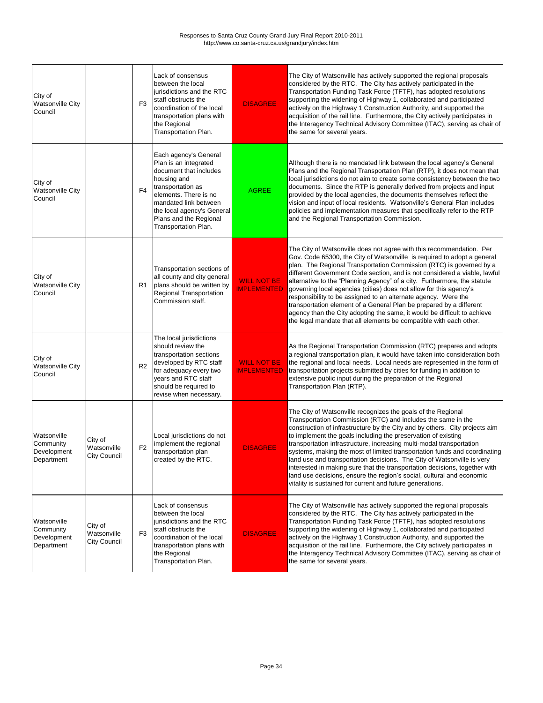| City of<br><b>Watsonville City</b><br>Council         |                                               | F <sub>3</sub> | Lack of consensus<br>between the local<br>jurisdictions and the RTC<br>staff obstructs the<br>coordination of the local<br>transportation plans with<br>the Regional<br>Transportation Plan.                                                   | <b>DISAGREE</b>                          | The City of Watsonville has actively supported the regional proposals<br>considered by the RTC. The City has actively participated in the<br>Transportation Funding Task Force (TFTF), has adopted resolutions<br>supporting the widening of Highway 1, collaborated and participated<br>actively on the Highway 1 Construction Authority, and supported the<br>acquisition of the rail line. Furthermore, the City actively participates in<br>the Interagency Technical Advisory Committee (ITAC), serving as chair of<br>the same for several years.                                                                                                                                                                                          |
|-------------------------------------------------------|-----------------------------------------------|----------------|------------------------------------------------------------------------------------------------------------------------------------------------------------------------------------------------------------------------------------------------|------------------------------------------|--------------------------------------------------------------------------------------------------------------------------------------------------------------------------------------------------------------------------------------------------------------------------------------------------------------------------------------------------------------------------------------------------------------------------------------------------------------------------------------------------------------------------------------------------------------------------------------------------------------------------------------------------------------------------------------------------------------------------------------------------|
| City of<br><b>Watsonville City</b><br>Council         |                                               | F4             | Each agency's General<br>Plan is an integrated<br>document that includes<br>housing and<br>transportation as<br>elements. There is no<br>mandated link between<br>the local agency's General<br>Plans and the Regional<br>Transportation Plan. | <b>AGREE</b>                             | Although there is no mandated link between the local agency's General<br>Plans and the Regional Transportation Plan (RTP), it does not mean that<br>local jurisdictions do not aim to create some consistency between the two<br>documents. Since the RTP is generally derived from projects and input<br>provided by the local agencies, the documents themselves reflect the<br>vision and input of local residents. Watsonville's General Plan includes<br>policies and implementation measures that specifically refer to the RTP<br>and the Regional Transportation Commission.                                                                                                                                                             |
| City of<br><b>Watsonville City</b><br>Council         |                                               | R1             | Transportation sections of<br>all county and city general<br>plans should be written by<br><b>Regional Transportation</b><br>Commission staff.                                                                                                 | <b>WILL NOT BE</b><br><b>IMPLEMENTED</b> | The City of Watsonville does not agree with this recommendation. Per<br>Gov. Code 65300, the City of Watsonville is required to adopt a general<br>plan. The Regional Transportation Commission (RTC) is governed by a<br>different Government Code section, and is not considered a viable, lawful<br>alternative to the "Planning Agency" of a city. Furthermore, the statute<br>governing local agencies (cities) does not allow for this agency's<br>responsibility to be assigned to an alternate agency. Were the<br>transportation element of a General Plan be prepared by a different<br>agency than the City adopting the same, it would be difficult to achieve<br>the legal mandate that all elements be compatible with each other. |
| City of<br><b>Watsonville City</b><br>Council         |                                               | R <sub>2</sub> | The local jurisdictions<br>should review the<br>transportation sections<br>developed by RTC staff<br>for adequacy every two<br>years and RTC staff<br>should be required to<br>revise when necessary.                                          | <b>WILL NOT BE</b><br><b>IMPLEMENTED</b> | As the Regional Transportation Commission (RTC) prepares and adopts<br>a regional transportation plan, it would have taken into consideration both<br>the regional and local needs. Local needs are represented in the form of<br>transportation projects submitted by cities for funding in addition to<br>extensive public input during the preparation of the Regional<br>Transportation Plan (RTP).                                                                                                                                                                                                                                                                                                                                          |
| Watsonville<br>Community<br>Development<br>Department | City of<br>Watsonville<br><b>City Council</b> | F <sub>2</sub> | Local jurisdictions do not<br>implement the regional<br>transportation plan<br>created by the RTC.                                                                                                                                             | <b>DISAGREE</b>                          | The City of Watsonville recognizes the goals of the Regional<br>Transportation Commission (RTC) and includes the same in the<br>construction of infrastructure by the City and by others. City projects aim<br>to implement the goals including the preservation of existing<br>transportation infrastructure, increasing multi-modal transportation<br>systems, making the most of limited transportation funds and coordinating<br>land use and transportation decisions. The City of Watsonville is very<br>interested in making sure that the transportation decisions, together with<br>land use decisions, ensure the region's social, cultural and economic<br>vitality is sustained for current and future generations.                  |
| Watsonville<br>Community<br>Development<br>Department | City of<br>Watsonville<br><b>City Council</b> | F <sub>3</sub> | Lack of consensus<br>between the local<br>jurisdictions and the RTC<br>staff obstructs the<br>coordination of the local<br>transportation plans with<br>the Regional<br>Transportation Plan.                                                   | <b>DISAGREE</b>                          | The City of Watsonville has actively supported the regional proposals<br>considered by the RTC. The City has actively participated in the<br>Transportation Funding Task Force (TFTF), has adopted resolutions<br>supporting the widening of Highway 1, collaborated and participated<br>actively on the Highway 1 Construction Authority, and supported the<br>acquisition of the rail line. Furthermore, the City actively participates in<br>the Interagency Technical Advisory Committee (ITAC), serving as chair of<br>the same for several years.                                                                                                                                                                                          |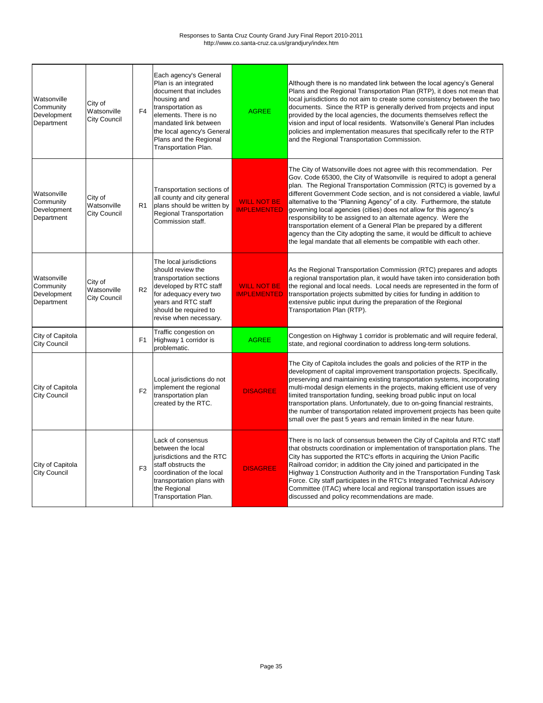| Watsonville<br>Community<br>Development<br>Department | City of<br>Watsonville<br><b>City Council</b> | F <sub>4</sub> | Each agency's General<br>Plan is an integrated<br>document that includes<br>housing and<br>transportation as<br>elements. There is no<br>mandated link between<br>the local agency's General<br>Plans and the Regional<br>Transportation Plan. | <b>AGREE</b>                             | Although there is no mandated link between the local agency's General<br>Plans and the Regional Transportation Plan (RTP), it does not mean that<br>local jurisdictions do not aim to create some consistency between the two<br>documents. Since the RTP is generally derived from projects and input<br>provided by the local agencies, the documents themselves reflect the<br>vision and input of local residents. Watsonville's General Plan includes<br>policies and implementation measures that specifically refer to the RTP<br>and the Regional Transportation Commission.                                                                                                                                                             |
|-------------------------------------------------------|-----------------------------------------------|----------------|------------------------------------------------------------------------------------------------------------------------------------------------------------------------------------------------------------------------------------------------|------------------------------------------|--------------------------------------------------------------------------------------------------------------------------------------------------------------------------------------------------------------------------------------------------------------------------------------------------------------------------------------------------------------------------------------------------------------------------------------------------------------------------------------------------------------------------------------------------------------------------------------------------------------------------------------------------------------------------------------------------------------------------------------------------|
| Watsonville<br>Community<br>Development<br>Department | City of<br>Watsonville<br><b>City Council</b> | R <sub>1</sub> | Transportation sections of<br>all county and city general<br>plans should be written by<br><b>Regional Transportation</b><br>Commission staff.                                                                                                 | <b>WILL NOT BE</b><br><b>IMPLEMENTED</b> | The City of Watsonville does not agree with this recommendation. Per<br>Gov. Code 65300, the City of Watsonville is required to adopt a general<br>plan. The Regional Transportation Commission (RTC) is governed by a<br>different Government Code section, and is not considered a viable, lawful<br>alternative to the "Planning Agency" of a city. Furthermore, the statute<br>governing local agencies (cities) does not allow for this agency's<br>responsibility to be assigned to an alternate agency. Were the<br>transportation element of a General Plan be prepared by a different<br>agency than the City adopting the same, it would be difficult to achieve<br>the legal mandate that all elements be compatible with each other. |
| Watsonville<br>Community<br>Development<br>Department | City of<br>Watsonville<br><b>City Council</b> | R <sub>2</sub> | The local jurisdictions<br>should review the<br>transportation sections<br>developed by RTC staff<br>for adequacy every two<br>years and RTC staff<br>should be required to<br>revise when necessary.                                          | <b>WILL NOT BE</b><br><b>IMPLEMENTED</b> | As the Regional Transportation Commission (RTC) prepares and adopts<br>a regional transportation plan, it would have taken into consideration both<br>the regional and local needs. Local needs are represented in the form of<br>transportation projects submitted by cities for funding in addition to<br>extensive public input during the preparation of the Regional<br>Transportation Plan (RTP).                                                                                                                                                                                                                                                                                                                                          |
| City of Capitola<br><b>City Council</b>               |                                               | F <sub>1</sub> | Traffic congestion on<br>Highway 1 corridor is<br>problematic.                                                                                                                                                                                 | <b>AGREE</b>                             | Congestion on Highway 1 corridor is problematic and will require federal,<br>state, and regional coordination to address long-term solutions.                                                                                                                                                                                                                                                                                                                                                                                                                                                                                                                                                                                                    |
| City of Capitola<br><b>City Council</b>               |                                               | F <sub>2</sub> | Local jurisdictions do not<br>implement the regional<br>transportation plan<br>created by the RTC.                                                                                                                                             | <b>DISAGREE</b>                          | The City of Capitola includes the goals and policies of the RTP in the<br>development of capital improvement transportation projects. Specifically,<br>preserving and maintaining existing transportation systems, incorporating<br>multi-modal design elements in the projects, making efficient use of very<br>limited transportation funding, seeking broad public input on local<br>transportation plans. Unfortunately, due to on-going financial restraints,<br>the number of transportation related improvement projects has been quite<br>small over the past 5 years and remain limited in the near future.                                                                                                                             |
| City of Capitola<br><b>City Council</b>               |                                               | F <sub>3</sub> | Lack of consensus<br>between the local<br>jurisdictions and the RTC<br>staff obstructs the<br>coordination of the local<br>transportation plans with<br>the Regional<br>Transportation Plan.                                                   | <b>DISAGREE</b>                          | There is no lack of consensus between the City of Capitola and RTC staff<br>that obstructs coordination or implementation of transportation plans. The<br>City has supported the RTC's efforts in acquiring the Union Pacific<br>Railroad corridor; in addition the City joined and participated in the<br>Highway 1 Construction Authority and in the Transportation Funding Task<br>Force. City staff participates in the RTC's Integrated Technical Advisory<br>Committee (ITAC) where local and regional transportation issues are<br>discussed and policy recommendations are made.                                                                                                                                                         |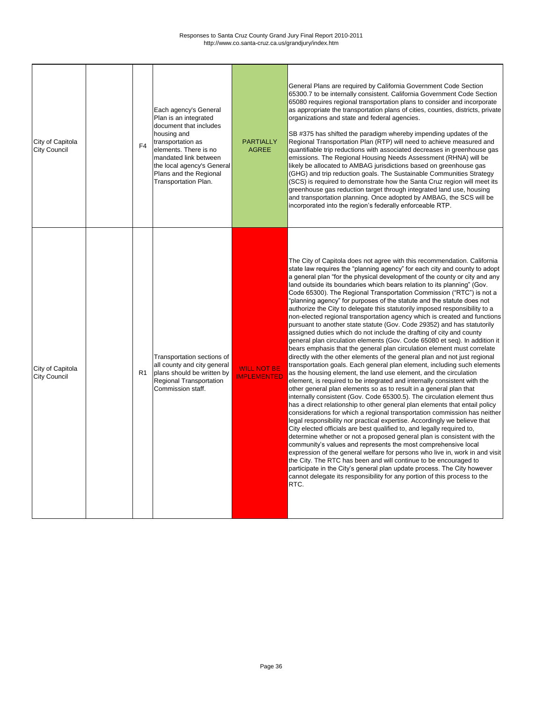| City of Capitola<br><b>City Council</b> | F <sub>4</sub> | Each agency's General<br>Plan is an integrated<br>document that includes<br>housing and<br>transportation as<br>elements. There is no<br>mandated link between<br>the local agency's General<br>Plans and the Regional<br>Transportation Plan. | <b>PARTIALLY</b><br><b>AGREE</b>         | General Plans are required by California Government Code Section<br>65300.7 to be internally consistent. California Government Code Section<br>65080 requires regional transportation plans to consider and incorporate<br>as appropriate the transportation plans of cities, counties, districts, private<br>organizations and state and federal agencies.<br>SB #375 has shifted the paradigm whereby impending updates of the<br>Regional Transportation Plan (RTP) will need to achieve measured and<br>quantifiable trip reductions with associated decreases in greenhouse gas<br>emissions. The Regional Housing Needs Assessment (RHNA) will be<br>likely be allocated to AMBAG jurisdictions based on greenhouse gas<br>(GHG) and trip reduction goals. The Sustainable Communities Strategy<br>(SCS) is required to demonstrate how the Santa Cruz region will meet its<br>greenhouse gas reduction target through integrated land use, housing<br>and transportation planning. Once adopted by AMBAG, the SCS will be<br>incorporated into the region's federally enforceable RTP.                                                                                                                                                                                                                                                                                                                                                                                                                                                                                                                                                                                                                                                                                                                                                                                                                                                                                                                                                                                                                                                                                             |
|-----------------------------------------|----------------|------------------------------------------------------------------------------------------------------------------------------------------------------------------------------------------------------------------------------------------------|------------------------------------------|-------------------------------------------------------------------------------------------------------------------------------------------------------------------------------------------------------------------------------------------------------------------------------------------------------------------------------------------------------------------------------------------------------------------------------------------------------------------------------------------------------------------------------------------------------------------------------------------------------------------------------------------------------------------------------------------------------------------------------------------------------------------------------------------------------------------------------------------------------------------------------------------------------------------------------------------------------------------------------------------------------------------------------------------------------------------------------------------------------------------------------------------------------------------------------------------------------------------------------------------------------------------------------------------------------------------------------------------------------------------------------------------------------------------------------------------------------------------------------------------------------------------------------------------------------------------------------------------------------------------------------------------------------------------------------------------------------------------------------------------------------------------------------------------------------------------------------------------------------------------------------------------------------------------------------------------------------------------------------------------------------------------------------------------------------------------------------------------------------------------------------------------------------------------------------------------|
| City of Capitola<br><b>City Council</b> | R <sub>1</sub> | Transportation sections of<br>all county and city general<br>plans should be written by<br><b>Regional Transportation</b><br>Commission staff.                                                                                                 | <b>WILL NOT BE</b><br><b>IMPLEMENTED</b> | The City of Capitola does not agree with this recommendation. California<br>state law requires the "planning agency" for each city and county to adopt<br>a general plan "for the physical development of the county or city and any<br>land outside its boundaries which bears relation to its planning" (Gov.<br>Code 65300). The Regional Transportation Commission ("RTC") is not a<br>"planning agency" for purposes of the statute and the statute does not<br>authorize the City to delegate this statutorily imposed responsibility to a<br>non-elected regional transportation agency which is created and functions<br>pursuant to another state statute (Gov. Code 29352) and has statutorily<br>assigned duties which do not include the drafting of city and county<br>general plan circulation elements (Gov. Code 65080 et seq). In addition it<br>bears emphasis that the general plan circulation element must correlate<br>directly with the other elements of the general plan and not just regional<br>transportation goals. Each general plan element, including such elements<br>as the housing element, the land use element, and the circulation<br>element, is required to be integrated and internally consistent with the<br>other general plan elements so as to result in a general plan that<br>internally consistent (Gov. Code 65300.5). The circulation element thus<br>has a direct relationship to other general plan elements that entail policy<br>considerations for which a regional transportation commission has neither<br>legal responsibility nor practical expertise. Accordingly we believe that<br>City elected officials are best qualified to, and legally required to,<br>determine whether or not a proposed general plan is consistent with the<br>community's values and represents the most comprehensive local<br>expression of the general welfare for persons who live in, work in and visit<br>the City. The RTC has been and will continue to be encouraged to<br>participate in the City's general plan update process. The City however<br>cannot delegate its responsibility for any portion of this process to the<br>RTC. |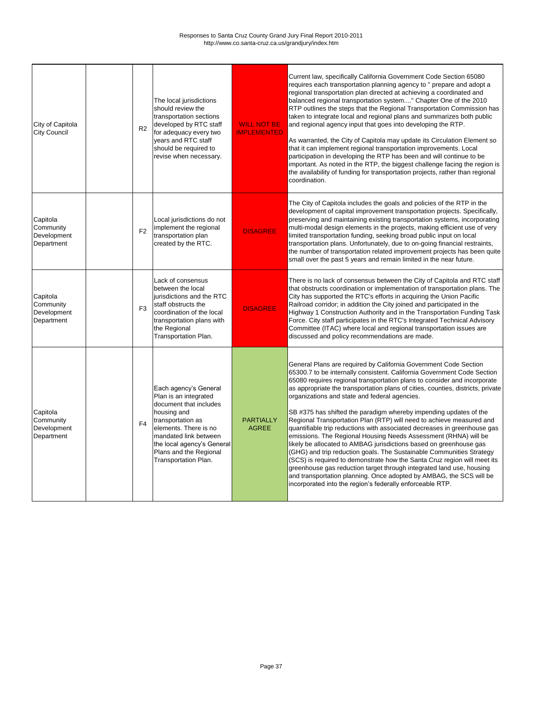| City of Capitola<br><b>City Council</b>            | R <sub>2</sub> | The local jurisdictions<br>should review the<br>transportation sections<br>developed by RTC staff<br>for adequacy every two<br>years and RTC staff<br>should be required to<br>revise when necessary.                                          | <b>WILL NOT BE</b><br><b>IMPLEMENTED</b> | Current law, specifically California Government Code Section 65080<br>requires each transportation planning agency to " prepare and adopt a<br>regional transportation plan directed at achieving a coordinated and<br>balanced regional transportation system" Chapter One of the 2010<br>RTP outlines the steps that the Regional Transportation Commission has<br>taken to integrate local and regional plans and summarizes both public<br>and regional agency input that goes into developing the RTP.<br>As warranted, the City of Capitola may update its Circulation Element so<br>that it can implement regional transportation improvements. Local<br>participation in developing the RTP has been and will continue to be<br>important. As noted in the RTP, the biggest challenge facing the region is<br>the availability of funding for transportation projects, rather than regional<br>coordination.                                                                                                                                                                          |
|----------------------------------------------------|----------------|------------------------------------------------------------------------------------------------------------------------------------------------------------------------------------------------------------------------------------------------|------------------------------------------|-----------------------------------------------------------------------------------------------------------------------------------------------------------------------------------------------------------------------------------------------------------------------------------------------------------------------------------------------------------------------------------------------------------------------------------------------------------------------------------------------------------------------------------------------------------------------------------------------------------------------------------------------------------------------------------------------------------------------------------------------------------------------------------------------------------------------------------------------------------------------------------------------------------------------------------------------------------------------------------------------------------------------------------------------------------------------------------------------|
| Capitola<br>Community<br>Development<br>Department | F <sub>2</sub> | Local jurisdictions do not<br>implement the regional<br>transportation plan<br>created by the RTC.                                                                                                                                             | <b>DISAGREE</b>                          | The City of Capitola includes the goals and policies of the RTP in the<br>development of capital improvement transportation projects. Specifically,<br>preserving and maintaining existing transportation systems, incorporating<br>multi-modal design elements in the projects, making efficient use of very<br>limited transportation funding, seeking broad public input on local<br>transportation plans. Unfortunately, due to on-going financial restraints,<br>the number of transportation related improvement projects has been quite<br>small over the past 5 years and remain limited in the near future.                                                                                                                                                                                                                                                                                                                                                                                                                                                                          |
| Capitola<br>Community<br>Development<br>Department | F <sub>3</sub> | Lack of consensus<br>between the local<br>jurisdictions and the RTC<br>staff obstructs the<br>coordination of the local<br>transportation plans with<br>the Regional<br>Transportation Plan.                                                   | <b>DISAGREE</b>                          | There is no lack of consensus between the City of Capitola and RTC staff<br>that obstructs coordination or implementation of transportation plans. The<br>City has supported the RTC's efforts in acquiring the Union Pacific<br>Railroad corridor; in addition the City joined and participated in the<br>Highway 1 Construction Authority and in the Transportation Funding Task<br>Force. City staff participates in the RTC's Integrated Technical Advisory<br>Committee (ITAC) where local and regional transportation issues are<br>discussed and policy recommendations are made.                                                                                                                                                                                                                                                                                                                                                                                                                                                                                                      |
| Capitola<br>Community<br>Development<br>Department | F <sub>4</sub> | Each agency's General<br>Plan is an integrated<br>document that includes<br>housing and<br>transportation as<br>elements. There is no<br>mandated link between<br>the local agency's General<br>Plans and the Regional<br>Transportation Plan. | <b>PARTIALLY</b><br><b>AGREE</b>         | General Plans are required by California Government Code Section<br>65300.7 to be internally consistent. California Government Code Section<br>65080 requires regional transportation plans to consider and incorporate<br>as appropriate the transportation plans of cities, counties, districts, private<br>organizations and state and federal agencies.<br>SB #375 has shifted the paradigm whereby impending updates of the<br>Regional Transportation Plan (RTP) will need to achieve measured and<br>quantifiable trip reductions with associated decreases in greenhouse gas<br>emissions. The Regional Housing Needs Assessment (RHNA) will be<br>likely be allocated to AMBAG jurisdictions based on greenhouse gas<br>(GHG) and trip reduction goals. The Sustainable Communities Strategy<br>(SCS) is required to demonstrate how the Santa Cruz region will meet its<br>greenhouse gas reduction target through integrated land use, housing<br>and transportation planning. Once adopted by AMBAG, the SCS will be<br>incorporated into the region's federally enforceable RTP. |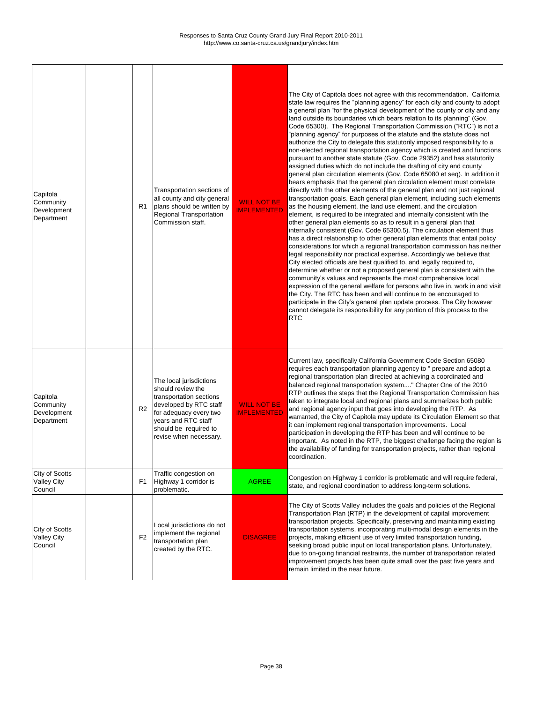| Capitola<br>Community<br>Development<br>Department | R1             | Transportation sections of<br>all county and city general<br>plans should be written by<br><b>Regional Transportation</b><br>Commission staff.                                                        | <b>WILL NOT BE</b><br><b>IMPLEMENTED</b> | The City of Capitola does not agree with this recommendation. California<br>state law requires the "planning agency" for each city and county to adopt<br>a general plan "for the physical development of the county or city and any<br>land outside its boundaries which bears relation to its planning" (Gov.<br>Code 65300). The Regional Transportation Commission ("RTC") is not a<br>"planning agency" for purposes of the statute and the statute does not<br>authorize the City to delegate this statutorily imposed responsibility to a<br>non-elected regional transportation agency which is created and functions<br>pursuant to another state statute (Gov. Code 29352) and has statutorily<br>assigned duties which do not include the drafting of city and county<br>general plan circulation elements (Gov. Code 65080 et seq). In addition it<br>bears emphasis that the general plan circulation element must correlate<br>directly with the other elements of the general plan and not just regional<br>transportation goals. Each general plan element, including such elements<br>as the housing element, the land use element, and the circulation<br>element, is required to be integrated and internally consistent with the<br>other general plan elements so as to result in a general plan that<br>internally consistent (Gov. Code 65300.5). The circulation element thus<br>has a direct relationship to other general plan elements that entail policy<br>considerations for which a regional transportation commission has neither<br>legal responsibility nor practical expertise. Accordingly we believe that<br>City elected officials are best qualified to, and legally required to,<br>determine whether or not a proposed general plan is consistent with the<br>community's values and represents the most comprehensive local<br>expression of the general welfare for persons who live in, work in and visit<br>the City. The RTC has been and will continue to be encouraged to<br>participate in the City's general plan update process. The City however<br>cannot delegate its responsibility for any portion of this process to the<br><b>RTC</b> |
|----------------------------------------------------|----------------|-------------------------------------------------------------------------------------------------------------------------------------------------------------------------------------------------------|------------------------------------------|-------------------------------------------------------------------------------------------------------------------------------------------------------------------------------------------------------------------------------------------------------------------------------------------------------------------------------------------------------------------------------------------------------------------------------------------------------------------------------------------------------------------------------------------------------------------------------------------------------------------------------------------------------------------------------------------------------------------------------------------------------------------------------------------------------------------------------------------------------------------------------------------------------------------------------------------------------------------------------------------------------------------------------------------------------------------------------------------------------------------------------------------------------------------------------------------------------------------------------------------------------------------------------------------------------------------------------------------------------------------------------------------------------------------------------------------------------------------------------------------------------------------------------------------------------------------------------------------------------------------------------------------------------------------------------------------------------------------------------------------------------------------------------------------------------------------------------------------------------------------------------------------------------------------------------------------------------------------------------------------------------------------------------------------------------------------------------------------------------------------------------------------------------------------------------------------------|
| Capitola<br>Community<br>Development<br>Department | R <sub>2</sub> | The local jurisdictions<br>should review the<br>transportation sections<br>developed by RTC staff<br>for adequacy every two<br>years and RTC staff<br>should be required to<br>revise when necessary. | <b>WILL NOT BE</b><br><b>IMPLEMENTED</b> | Current law, specifically California Government Code Section 65080<br>requires each transportation planning agency to " prepare and adopt a<br>regional transportation plan directed at achieving a coordinated and<br>balanced regional transportation system" Chapter One of the 2010<br>RTP outlines the steps that the Regional Transportation Commission has<br>taken to integrate local and regional plans and summarizes both public<br>and regional agency input that goes into developing the RTP. As<br>warranted, the City of Capitola may update its Circulation Element so that<br>it can implement regional transportation improvements. Local<br>participation in developing the RTP has been and will continue to be<br>important. As noted in the RTP, the biggest challenge facing the region is<br>the availability of funding for transportation projects, rather than regional<br>coordination.                                                                                                                                                                                                                                                                                                                                                                                                                                                                                                                                                                                                                                                                                                                                                                                                                                                                                                                                                                                                                                                                                                                                                                                                                                                                            |
| City of Scotts<br><b>Valley City</b><br>Council    | F <sub>1</sub> | Traffic congestion on<br>Highway 1 corridor is<br>problematic.                                                                                                                                        | <b>AGREE</b>                             | Congestion on Highway 1 corridor is problematic and will require federal,<br>state, and regional coordination to address long-term solutions.                                                                                                                                                                                                                                                                                                                                                                                                                                                                                                                                                                                                                                                                                                                                                                                                                                                                                                                                                                                                                                                                                                                                                                                                                                                                                                                                                                                                                                                                                                                                                                                                                                                                                                                                                                                                                                                                                                                                                                                                                                                   |
| City of Scotts<br><b>Valley City</b><br>Council    | F <sub>2</sub> | Local jurisdictions do not<br>implement the regional<br>transportation plan<br>created by the RTC.                                                                                                    | <b>DISAGREE</b>                          | The City of Scotts Valley includes the goals and policies of the Regional<br>Transportation Plan (RTP) in the development of capital improvement<br>transportation projects. Specifically, preserving and maintaining existing<br>transportation systems, incorporating multi-modal design elements in the<br>projects, making efficient use of very limited transportation funding,<br>seeking broad public input on local transportation plans. Unfortunately,<br>due to on-going financial restraints, the number of transportation related<br>improvement projects has been quite small over the past five years and<br>remain limited in the near future.                                                                                                                                                                                                                                                                                                                                                                                                                                                                                                                                                                                                                                                                                                                                                                                                                                                                                                                                                                                                                                                                                                                                                                                                                                                                                                                                                                                                                                                                                                                                  |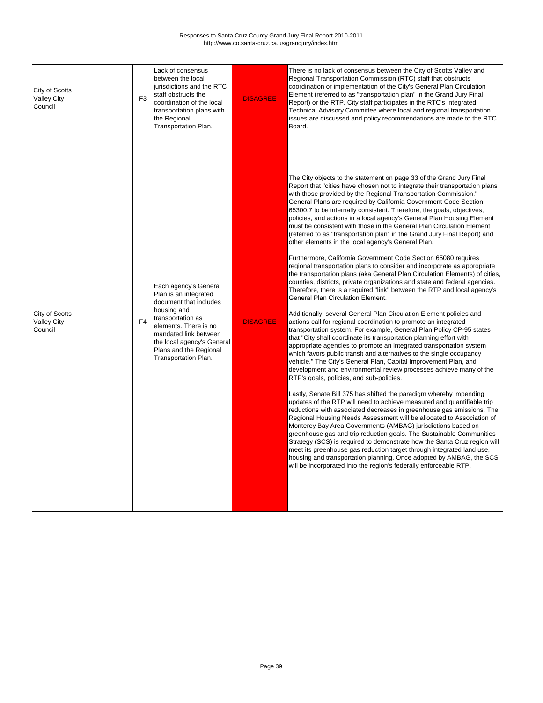| <b>City of Scotts</b><br><b>Valley City</b><br>Council | F <sub>3</sub> | Lack of consensus<br>between the local<br>jurisdictions and the RTC<br>staff obstructs the<br>coordination of the local<br>transportation plans with<br>the Regional<br><b>Transportation Plan.</b>                                                   | <b>DISAGREE</b> | There is no lack of consensus between the City of Scotts Valley and<br>Regional Transportation Commission (RTC) staff that obstructs<br>coordination or implementation of the City's General Plan Circulation<br>Element (referred to as "transportation plan" in the Grand Jury Final<br>Report) or the RTP. City staff participates in the RTC's Integrated<br>Technical Advisory Committee where local and regional transportation<br>issues are discussed and policy recommendations are made to the RTC<br>Board.                                                                                                                                                                                                                                                                                                                                                                                                                                                                                                                                                                                                                                                                                                                                                                                                                                                                                                                                                                                                                                                                                                                                                                                                                                                                                                                                                                                                                                                                                                                                                                                                                                                                                                                                                                                                                                                                                                                                                 |
|--------------------------------------------------------|----------------|-------------------------------------------------------------------------------------------------------------------------------------------------------------------------------------------------------------------------------------------------------|-----------------|------------------------------------------------------------------------------------------------------------------------------------------------------------------------------------------------------------------------------------------------------------------------------------------------------------------------------------------------------------------------------------------------------------------------------------------------------------------------------------------------------------------------------------------------------------------------------------------------------------------------------------------------------------------------------------------------------------------------------------------------------------------------------------------------------------------------------------------------------------------------------------------------------------------------------------------------------------------------------------------------------------------------------------------------------------------------------------------------------------------------------------------------------------------------------------------------------------------------------------------------------------------------------------------------------------------------------------------------------------------------------------------------------------------------------------------------------------------------------------------------------------------------------------------------------------------------------------------------------------------------------------------------------------------------------------------------------------------------------------------------------------------------------------------------------------------------------------------------------------------------------------------------------------------------------------------------------------------------------------------------------------------------------------------------------------------------------------------------------------------------------------------------------------------------------------------------------------------------------------------------------------------------------------------------------------------------------------------------------------------------------------------------------------------------------------------------------------------------|
| <b>City of Scotts</b><br><b>Valley City</b><br>Council | F <sub>4</sub> | Each agency's General<br>Plan is an integrated<br>document that includes<br>housing and<br>transportation as<br>elements. There is no<br>mandated link between<br>the local agency's General<br>Plans and the Regional<br><b>Transportation Plan.</b> | <b>DISAGREE</b> | The City objects to the statement on page 33 of the Grand Jury Final<br>Report that "cities have chosen not to integrate their transportation plans<br>with those provided by the Regional Transportation Commission."<br>General Plans are required by California Government Code Section<br>65300.7 to be internally consistent. Therefore, the goals, objectives,<br>policies, and actions in a local agency's General Plan Housing Element<br>must be consistent with those in the General Plan Circulation Element<br>(referred to as "transportation plan" in the Grand Jury Final Report) and<br>other elements in the local agency's General Plan.<br>Furthermore, California Government Code Section 65080 requires<br>regional transportation plans to consider and incorporate as appropriate<br>the transportation plans (aka General Plan Circulation Elements) of cities,<br>counties, districts, private organizations and state and federal agencies.<br>Therefore, there is a required "link" between the RTP and local agency's<br><b>General Plan Circulation Element.</b><br>Additionally, several General Plan Circulation Element policies and<br>actions call for regional coordination to promote an integrated<br>transportation system. For example, General Plan Policy CP-95 states<br>that "City shall coordinate its transportation planning effort with<br>appropriate agencies to promote an integrated transportation system<br>which favors public transit and alternatives to the single occupancy<br>vehicle." The City's General Plan, Capital Improvement Plan, and<br>development and environmental review processes achieve many of the<br>RTP's goals, policies, and sub-policies.<br>Lastly, Senate Bill 375 has shifted the paradigm whereby impending<br>updates of the RTP will need to achieve measured and quantifiable trip<br>reductions with associated decreases in greenhouse gas emissions. The<br>Regional Housing Needs Assessment will be allocated to Association of<br>Monterey Bay Area Governments (AMBAG) jurisdictions based on<br>greenhouse gas and trip reduction goals. The Sustainable Communities<br>Strategy (SCS) is required to demonstrate how the Santa Cruz region will<br>meet its greenhouse gas reduction target through integrated land use,<br>housing and transportation planning. Once adopted by AMBAG, the SCS<br>will be incorporated into the region's federally enforceable RTP. |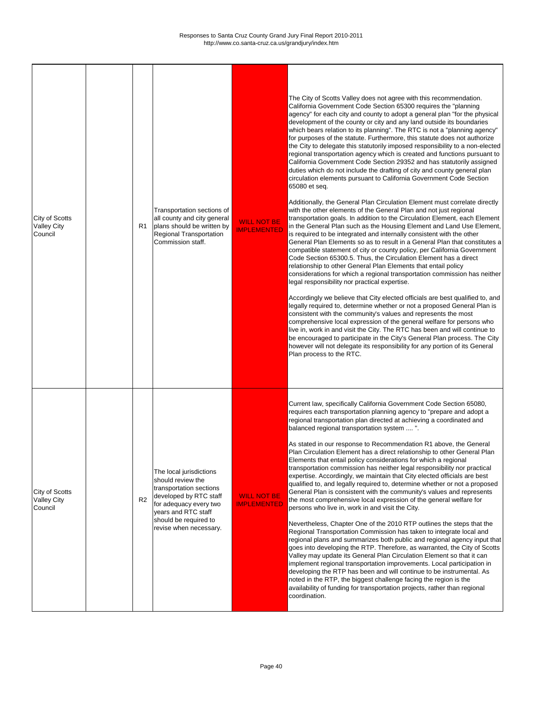Г

 $\mathbf{I}$ 

 $\mathbf{I}$ 

 $\mathbf I$ 

| <b>City of Scotts</b><br><b>Valley City</b><br>Council | R <sub>1</sub> | Transportation sections of<br>all county and city general<br>plans should be written by<br><b>Regional Transportation</b><br>Commission staff.                                                        | <b>WILL NOT BE</b><br><b>IMPLEMENTED</b> | The City of Scotts Valley does not agree with this recommendation.<br>California Government Code Section 65300 requires the "planning<br>agency" for each city and county to adopt a general plan "for the physical<br>development of the county or city and any land outside its boundaries<br>which bears relation to its planning". The RTC is not a "planning agency"<br>for purposes of the statute. Furthermore, this statute does not authorize<br>the City to delegate this statutorily imposed responsibility to a non-elected<br>regional transportation agency which is created and functions pursuant to<br>California Government Code Section 29352 and has statutorily assigned<br>duties which do not include the drafting of city and county general plan<br>circulation elements pursuant to California Government Code Section<br>65080 et seq.<br>Additionally, the General Plan Circulation Element must correlate directly<br>with the other elements of the General Plan and not just regional<br>transportation goals. In addition to the Circulation Element, each Element<br>in the General Plan such as the Housing Element and Land Use Element,<br>is required to be integrated and internally consistent with the other<br>General Plan Elements so as to result in a General Plan that constitutes a<br>compatible statement of city or county policy, per California Government<br>Code Section 65300.5. Thus, the Circulation Element has a direct<br>relationship to other General Plan Elements that entail policy<br>considerations for which a regional transportation commission has neither<br>legal responsibility nor practical expertise.<br>Accordingly we believe that City elected officials are best qualified to, and<br>legally required to, determine whether or not a proposed General Plan is<br>consistent with the community's values and represents the most<br>comprehensive local expression of the general welfare for persons who<br>live in, work in and visit the City. The RTC has been and will continue to<br>be encouraged to participate in the City's General Plan process. The City<br>however will not delegate its responsibility for any portion of its General<br>Plan process to the RTC. |
|--------------------------------------------------------|----------------|-------------------------------------------------------------------------------------------------------------------------------------------------------------------------------------------------------|------------------------------------------|------------------------------------------------------------------------------------------------------------------------------------------------------------------------------------------------------------------------------------------------------------------------------------------------------------------------------------------------------------------------------------------------------------------------------------------------------------------------------------------------------------------------------------------------------------------------------------------------------------------------------------------------------------------------------------------------------------------------------------------------------------------------------------------------------------------------------------------------------------------------------------------------------------------------------------------------------------------------------------------------------------------------------------------------------------------------------------------------------------------------------------------------------------------------------------------------------------------------------------------------------------------------------------------------------------------------------------------------------------------------------------------------------------------------------------------------------------------------------------------------------------------------------------------------------------------------------------------------------------------------------------------------------------------------------------------------------------------------------------------------------------------------------------------------------------------------------------------------------------------------------------------------------------------------------------------------------------------------------------------------------------------------------------------------------------------------------------------------------------------------------------------------------------------------------------------------------------------------------------------------------------------|
| <b>City of Scotts</b><br><b>Valley City</b><br>Council | R <sub>2</sub> | The local jurisdictions<br>should review the<br>transportation sections<br>developed by RTC staff<br>for adequacy every two<br>years and RTC staff<br>should be required to<br>revise when necessary. | <b>WILL NOT BE</b><br><b>IMPLEMENTED</b> | Current law, specifically California Government Code Section 65080,<br>requires each transportation planning agency to "prepare and adopt a<br>regional transportation plan directed at achieving a coordinated and<br>balanced regional transportation system ".<br>As stated in our response to Recommendation R1 above, the General<br>Plan Circulation Element has a direct relationship to other General Plan<br>Elements that entail policy considerations for which a regional<br>transportation commission has neither legal responsibility nor practical<br>expertise. Accordingly, we maintain that City elected officials are best<br>qualified to, and legally required to, determine whether or not a proposed<br>General Plan is consistent with the community's values and represents<br>the most comprehensive local expression of the general welfare for<br>persons who live in, work in and visit the City.<br>Nevertheless, Chapter One of the 2010 RTP outlines the steps that the<br>Regional Transportation Commission has taken to integrate local and<br>regional plans and summarizes both public and regional agency input that<br>goes into developing the RTP. Therefore, as warranted, the City of Scotts<br>Valley may update its General Plan Circulation Element so that it can<br>implement regional transportation improvements. Local participation in<br>developing the RTP has been and will continue to be instrumental. As<br>noted in the RTP, the biggest challenge facing the region is the<br>availability of funding for transportation projects, rather than regional<br>coordination.                                                                                                                                                                                                                                                                                                                                                                                                                                                                                                                                                                                                                             |

┑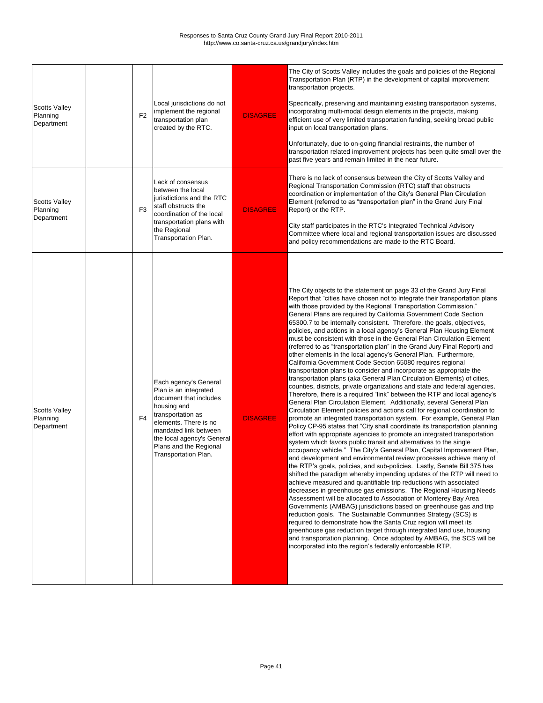| <b>Scotts Valley</b><br>Planning<br>Department | F <sub>2</sub> | Local jurisdictions do not<br>implement the regional<br>transportation plan<br>created by the RTC.                                                                                                                                             | <b>DISAGREE</b> | The City of Scotts Valley includes the goals and policies of the Regional<br>Transportation Plan (RTP) in the development of capital improvement<br>transportation projects.<br>Specifically, preserving and maintaining existing transportation systems,<br>incorporating multi-modal design elements in the projects, making<br>efficient use of very limited transportation funding, seeking broad public<br>input on local transportation plans.<br>Unfortunately, due to on-going financial restraints, the number of<br>transportation related improvement projects has been quite small over the<br>past five years and remain limited in the near future.                                                                                                                                                                                                                                                                                                                                                                                                                                                                                                                                                                                                                                                                                                                                                                                                                                                                                                                                                                                                                                                                                                                                                                                                                                                                                                                                                                                                                                                                                                                                                                                                                                                                                                                                                                                            |
|------------------------------------------------|----------------|------------------------------------------------------------------------------------------------------------------------------------------------------------------------------------------------------------------------------------------------|-----------------|--------------------------------------------------------------------------------------------------------------------------------------------------------------------------------------------------------------------------------------------------------------------------------------------------------------------------------------------------------------------------------------------------------------------------------------------------------------------------------------------------------------------------------------------------------------------------------------------------------------------------------------------------------------------------------------------------------------------------------------------------------------------------------------------------------------------------------------------------------------------------------------------------------------------------------------------------------------------------------------------------------------------------------------------------------------------------------------------------------------------------------------------------------------------------------------------------------------------------------------------------------------------------------------------------------------------------------------------------------------------------------------------------------------------------------------------------------------------------------------------------------------------------------------------------------------------------------------------------------------------------------------------------------------------------------------------------------------------------------------------------------------------------------------------------------------------------------------------------------------------------------------------------------------------------------------------------------------------------------------------------------------------------------------------------------------------------------------------------------------------------------------------------------------------------------------------------------------------------------------------------------------------------------------------------------------------------------------------------------------------------------------------------------------------------------------------------------------|
| <b>Scotts Valley</b><br>Planning<br>Department | F <sub>3</sub> | Lack of consensus<br>between the local<br>jurisdictions and the RTC<br>staff obstructs the<br>coordination of the local<br>transportation plans with<br>the Regional<br>Transportation Plan.                                                   | <b>DISAGREE</b> | There is no lack of consensus between the City of Scotts Valley and<br>Regional Transportation Commission (RTC) staff that obstructs<br>coordination or implementation of the City's General Plan Circulation<br>Element (referred to as "transportation plan" in the Grand Jury Final<br>Report) or the RTP.<br>City staff participates in the RTC's Integrated Technical Advisory<br>Committee where local and regional transportation issues are discussed<br>and policy recommendations are made to the RTC Board.                                                                                                                                                                                                                                                                                                                                                                                                                                                                                                                                                                                                                                                                                                                                                                                                                                                                                                                                                                                                                                                                                                                                                                                                                                                                                                                                                                                                                                                                                                                                                                                                                                                                                                                                                                                                                                                                                                                                       |
| <b>Scotts Valley</b><br>Planning<br>Department | F <sub>4</sub> | Each agency's General<br>Plan is an integrated<br>document that includes<br>housing and<br>transportation as<br>elements. There is no<br>mandated link between<br>the local agency's General<br>Plans and the Regional<br>Transportation Plan. | <b>DISAGREE</b> | The City objects to the statement on page 33 of the Grand Jury Final<br>Report that "cities have chosen not to integrate their transportation plans<br>with those provided by the Regional Transportation Commission."<br>General Plans are required by California Government Code Section<br>65300.7 to be internally consistent. Therefore, the goals, objectives,<br>policies, and actions in a local agency's General Plan Housing Element<br>must be consistent with those in the General Plan Circulation Element<br>(referred to as "transportation plan" in the Grand Jury Final Report) and<br>other elements in the local agency's General Plan. Furthermore,<br>California Government Code Section 65080 requires regional<br>transportation plans to consider and incorporate as appropriate the<br>transportation plans (aka General Plan Circulation Elements) of cities,<br>counties, districts, private organizations and state and federal agencies.<br>Therefore, there is a required "link" between the RTP and local agency's<br>General Plan Circulation Element. Additionally, several General Plan<br>Circulation Element policies and actions call for regional coordination to<br>promote an integrated transportation system. For example, General Plan<br>Policy CP-95 states that "City shall coordinate its transportation planning<br>effort with appropriate agencies to promote an integrated transportation<br>system which favors public transit and alternatives to the single<br>occupancy vehicle." The City's General Plan, Capital Improvement Plan,<br>and development and environmental review processes achieve many of<br>the RTP's goals, policies, and sub-policies. Lastly, Senate Bill 375 has<br>shifted the paradigm whereby impending updates of the RTP will need to<br>achieve measured and quantifiable trip reductions with associated<br>decreases in greenhouse gas emissions. The Regional Housing Needs<br>Assessment will be allocated to Association of Monterey Bay Area<br>Governments (AMBAG) jurisdictions based on greenhouse gas and trip<br>reduction goals. The Sustainable Communities Strategy (SCS) is<br>required to demonstrate how the Santa Cruz region will meet its<br>greenhouse gas reduction target through integrated land use, housing<br>and transportation planning. Once adopted by AMBAG, the SCS will be<br>incorporated into the region's federally enforceable RTP. |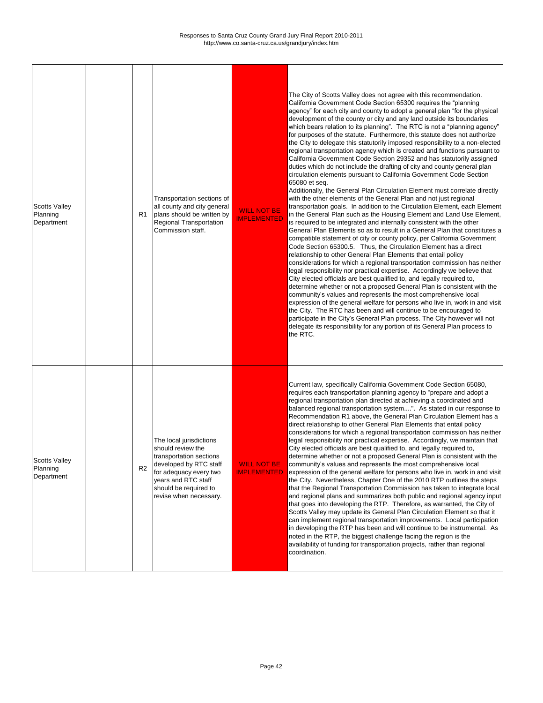noted in the RTP, the biggest challenge facing the region is the availability of funding for transportation projects, rather than regional coordination.

| <b>Scotts Valley</b><br>Planning<br>Department | R <sub>1</sub> | Transportation sections of<br>all county and city general<br>plans should be written by<br><b>Regional Transportation</b><br>Commission staff.                                                        | <b>WILL NOT BE</b><br><b>IMPLEMENTED</b> | The City of Scotts Valley does not agree with this recommendation.<br>California Government Code Section 65300 requires the "planning<br>agency" for each city and county to adopt a general plan "for the physical<br>development of the county or city and any land outside its boundaries<br>which bears relation to its planning". The RTC is not a "planning agency"<br>for purposes of the statute. Furthermore, this statute does not authorize<br>the City to delegate this statutorily imposed responsibility to a non-elected<br>regional transportation agency which is created and functions pursuant to<br>California Government Code Section 29352 and has statutorily assigned<br>duties which do not include the drafting of city and county general plan<br>circulation elements pursuant to California Government Code Section<br>65080 et seq.<br>Additionally, the General Plan Circulation Element must correlate directly<br>with the other elements of the General Plan and not just regional<br>transportation goals. In addition to the Circulation Element, each Element<br>in the General Plan such as the Housing Element and Land Use Element,<br>is required to be integrated and internally consistent with the other<br>General Plan Elements so as to result in a General Plan that constitutes a<br>compatible statement of city or county policy, per California Government<br>Code Section 65300.5. Thus, the Circulation Element has a direct<br>relationship to other General Plan Elements that entail policy<br>considerations for which a regional transportation commission has neither<br>legal responsibility nor practical expertise. Accordingly we believe that<br>City elected officials are best qualified to, and legally required to,<br>determine whether or not a proposed General Plan is consistent with the<br>community's values and represents the most comprehensive local<br>expression of the general welfare for persons who live in, work in and visit<br>the City. The RTC has been and will continue to be encouraged to<br>participate in the City's General Plan process. The City however will not<br>delegate its responsibility for any portion of its General Plan process to<br>the RTC. |
|------------------------------------------------|----------------|-------------------------------------------------------------------------------------------------------------------------------------------------------------------------------------------------------|------------------------------------------|------------------------------------------------------------------------------------------------------------------------------------------------------------------------------------------------------------------------------------------------------------------------------------------------------------------------------------------------------------------------------------------------------------------------------------------------------------------------------------------------------------------------------------------------------------------------------------------------------------------------------------------------------------------------------------------------------------------------------------------------------------------------------------------------------------------------------------------------------------------------------------------------------------------------------------------------------------------------------------------------------------------------------------------------------------------------------------------------------------------------------------------------------------------------------------------------------------------------------------------------------------------------------------------------------------------------------------------------------------------------------------------------------------------------------------------------------------------------------------------------------------------------------------------------------------------------------------------------------------------------------------------------------------------------------------------------------------------------------------------------------------------------------------------------------------------------------------------------------------------------------------------------------------------------------------------------------------------------------------------------------------------------------------------------------------------------------------------------------------------------------------------------------------------------------------------------------------------------------------------------------------------|
| <b>Scotts Valley</b><br>Planning<br>Department | R <sub>2</sub> | The local jurisdictions<br>should review the<br>transportation sections<br>developed by RTC staff<br>for adequacy every two<br>years and RTC staff<br>should be required to<br>revise when necessary. | <b>WILL NOT BE</b><br><b>IMPLEMENTED</b> | Current law, specifically California Government Code Section 65080,<br>requires each transportation planning agency to "prepare and adopt a<br>regional transportation plan directed at achieving a coordinated and<br>balanced regional transportation system". As stated in our response to<br>Recommendation R1 above, the General Plan Circulation Element has a<br>direct relationship to other General Plan Elements that entail policy<br>considerations for which a regional transportation commission has neither<br>legal responsibility nor practical expertise. Accordingly, we maintain that<br>City elected officials are best qualified to, and legally required to,<br>determine whether or not a proposed General Plan is consistent with the<br>community's values and represents the most comprehensive local<br>expression of the general welfare for persons who live in, work in and visit<br>the City. Nevertheless, Chapter One of the 2010 RTP outlines the steps<br>that the Regional Transportation Commission has taken to integrate local<br>and regional plans and summarizes both public and regional agency input<br>that goes into developing the RTP. Therefore, as warranted, the City of<br>Scotts Valley may update its General Plan Circulation Element so that it<br>can implement regional transportation improvements. Local participation<br>in developing the RTP has been and will continue to be instrumental. As                                                                                                                                                                                                                                                                                                                                                                                                                                                                                                                                                                                                                                                                                                                                                                                                   |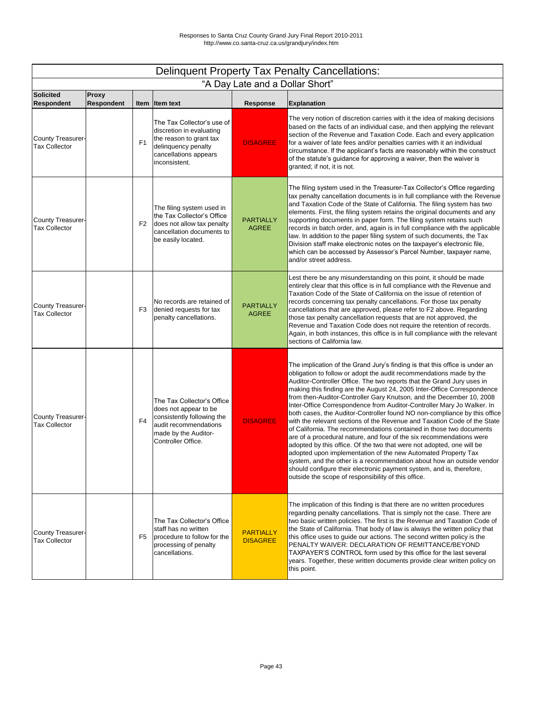| <b>Delinquent Property Tax Penalty Cancellations:</b> |                                   |                |                                                                                                                                                          |                                     |                                                                                                                                                                                                                                                                                                                                                                                                                                                                                                                                                                                                                                                                                                                                                                                                                                                                                                                                                                                                                                                                                                                     |  |  |  |
|-------------------------------------------------------|-----------------------------------|----------------|----------------------------------------------------------------------------------------------------------------------------------------------------------|-------------------------------------|---------------------------------------------------------------------------------------------------------------------------------------------------------------------------------------------------------------------------------------------------------------------------------------------------------------------------------------------------------------------------------------------------------------------------------------------------------------------------------------------------------------------------------------------------------------------------------------------------------------------------------------------------------------------------------------------------------------------------------------------------------------------------------------------------------------------------------------------------------------------------------------------------------------------------------------------------------------------------------------------------------------------------------------------------------------------------------------------------------------------|--|--|--|
|                                                       |                                   |                |                                                                                                                                                          | "A Day Late and a Dollar Short"     |                                                                                                                                                                                                                                                                                                                                                                                                                                                                                                                                                                                                                                                                                                                                                                                                                                                                                                                                                                                                                                                                                                                     |  |  |  |
| <b>Solicited</b><br><b>Respondent</b>                 | <b>Proxy</b><br><b>Respondent</b> |                | Item Item text                                                                                                                                           | <b>Response</b>                     | <b>Explanation</b>                                                                                                                                                                                                                                                                                                                                                                                                                                                                                                                                                                                                                                                                                                                                                                                                                                                                                                                                                                                                                                                                                                  |  |  |  |
| County Treasurer-<br><b>Tax Collector</b>             |                                   | F <sub>1</sub> | The Tax Collector's use of<br>discretion in evaluating<br>the reason to grant tax<br>delinquency penalty<br>cancellations appears<br>inconsistent.       | <b>DISAGREE</b>                     | The very notion of discretion carries with it the idea of making decisions<br>based on the facts of an individual case, and then applying the relevant<br>section of the Revenue and Taxation Code. Each and every application<br>for a waiver of late fees and/or penalties carries with it an individual<br>circumstance. If the applicant's facts are reasonably within the construct<br>of the statute's guidance for approving a waiver, then the waiver is<br>granted; if not, it is not.                                                                                                                                                                                                                                                                                                                                                                                                                                                                                                                                                                                                                     |  |  |  |
| <b>County Treasurer-</b><br><b>Tax Collector</b>      |                                   | F <sub>2</sub> | The filing system used in<br>the Tax Collector's Office<br>does not allow tax penalty<br>cancellation documents to<br>be easily located.                 | <b>PARTIALLY</b><br><b>AGREE</b>    | The filing system used in the Treasurer-Tax Collector's Office regarding<br>tax penalty cancellation documents is in full compliance with the Revenue<br>and Taxation Code of the State of California. The filing system has two<br>elements. First, the filing system retains the original documents and any<br>supporting documents in paper form. The filing system retains such<br>records in batch order, and, again is in full compliance with the applicable<br>law. In addition to the paper filing system of such documents, the Tax<br>Division staff make electronic notes on the taxpayer's electronic file,<br>which can be accessed by Assessor's Parcel Number, taxpayer name,<br>and/or street address.                                                                                                                                                                                                                                                                                                                                                                                             |  |  |  |
| <b>County Treasurer-</b><br><b>Tax Collector</b>      |                                   | F <sub>3</sub> | No records are retained of<br>denied requests for tax<br>penalty cancellations.                                                                          | <b>PARTIALLY</b><br><b>AGREE</b>    | Lest there be any misunderstanding on this point, it should be made<br>entirely clear that this office is in full compliance with the Revenue and<br>Taxation Code of the State of California on the issue of retention of<br>records concerning tax penalty cancellations. For those tax penalty<br>cancellations that are approved, please refer to F2 above. Regarding<br>those tax penalty cancellation requests that are not approved, the<br>Revenue and Taxation Code does not require the retention of records.<br>Again, in both instances, this office is in full compliance with the relevant<br>sections of California law.                                                                                                                                                                                                                                                                                                                                                                                                                                                                             |  |  |  |
| County Treasurer-<br><b>Tax Collector</b>             |                                   | F <sub>4</sub> | The Tax Collector's Office<br>does not appear to be<br>consistently following the<br>audit recommendations<br>made by the Auditor-<br>Controller Office. | <b>DISAGREE</b>                     | The implication of the Grand Jury's finding is that this office is under an<br>obligation to follow or adopt the audit recommendations made by the<br>Auditor-Controller Office. The two reports that the Grand Jury uses in<br>making this finding are the August 24, 2005 Inter-Office Correspondence<br>from then-Auditor-Controller Gary Knutson, and the December 10, 2008<br>Inter-Office Correspondence from Auditor-Controller Mary Jo Walker. In<br>both cases, the Auditor-Controller found NO non-compliance by this office<br>with the relevant sections of the Revenue and Taxation Code of the State<br>of California. The recommendations contained in those two documents<br>are of a procedural nature, and four of the six recommendations were<br>adopted by this office. Of the two that were not adopted, one will be<br>adopted upon implementation of the new Automated Property Tax<br>system, and the other is a recommendation about how an outside vendor<br>should configure their electronic payment system, and is, therefore,<br>outside the scope of responsibility of this office. |  |  |  |
| County Treasurer-<br><b>Tax Collector</b>             |                                   | F <sub>5</sub> | The Tax Collector's Office<br>staff has no written<br>procedure to follow for the<br>processing of penalty<br>cancellations.                             | <b>PARTIALLY</b><br><b>DISAGREE</b> | The implication of this finding is that there are no written procedures<br>regarding penalty cancellations. That is simply not the case. There are<br>two basic written policies. The first is the Revenue and Taxation Code of<br>the State of California. That body of law is always the written policy that<br>this office uses to guide our actions. The second written policy is the<br>PENALTY WAIVER: DECLARATION OF REMITTANCE/BEYOND<br>TAXPAYER'S CONTROL form used by this office for the last several<br>years. Together, these written documents provide clear written policy on<br>this point.                                                                                                                                                                                                                                                                                                                                                                                                                                                                                                        |  |  |  |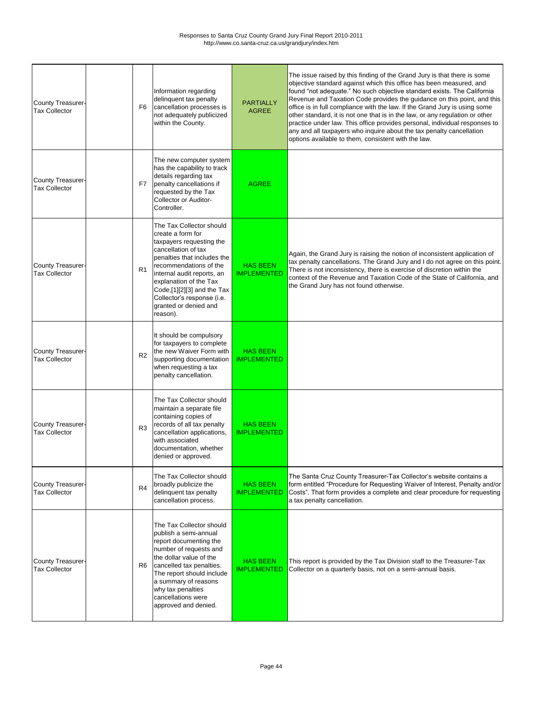| <b>County Treasurer-</b><br><b>Tax Collector</b> | F6             | Information regarding<br>delinquent tax penalty<br>cancellation processes is<br>not adequately publicized<br>within the County.                                                                                                                                                                                    | <b>PARTIALLY</b><br><b>AGREE</b>      | The issue raised by this finding of the Grand Jury is that there is some<br>objective standard against which this office has been measured, and<br>found "not adequate." No such objective standard exists. The California<br>Revenue and Taxation Code provides the guidance on this point, and this<br>office is in full compliance with the law. If the Grand Jury is using some<br>other standard, it is not one that is in the law, or any regulation or other<br>practice under law. This office provides personal, individual responses to<br>any and all taxpayers who inquire about the tax penalty cancellation<br>options available to them, consistent with the law. |
|--------------------------------------------------|----------------|--------------------------------------------------------------------------------------------------------------------------------------------------------------------------------------------------------------------------------------------------------------------------------------------------------------------|---------------------------------------|----------------------------------------------------------------------------------------------------------------------------------------------------------------------------------------------------------------------------------------------------------------------------------------------------------------------------------------------------------------------------------------------------------------------------------------------------------------------------------------------------------------------------------------------------------------------------------------------------------------------------------------------------------------------------------|
| <b>County Treasurer-</b><br><b>Tax Collector</b> | F7             | The new computer system<br>has the capability to track<br>details regarding tax<br>penalty cancellations if<br>requested by the Tax<br><b>Collector or Auditor-</b><br>Controller.                                                                                                                                 | <b>AGREE</b>                          |                                                                                                                                                                                                                                                                                                                                                                                                                                                                                                                                                                                                                                                                                  |
| <b>County Treasurer-</b><br><b>Tax Collector</b> | R <sub>1</sub> | The Tax Collector should<br>create a form for<br>taxpayers requesting the<br>cancellation of tax<br>penalties that includes the<br>recommendations of the<br>internal audit reports, an<br>explanation of the Tax<br>Code,[1][2][3] and the Tax<br>Collector's response (i.e.<br>granted or denied and<br>reason). | <b>HAS BEEN</b><br><b>IMPLEMENTED</b> | Again, the Grand Jury is raising the notion of inconsistent application of<br>tax penalty cancellations. The Grand Jury and I do not agree on this point.<br>There is not inconsistency, there is exercise of discretion within the<br>context of the Revenue and Taxation Code of the State of California, and<br>the Grand Jury has not found otherwise.                                                                                                                                                                                                                                                                                                                       |
| <b>County Treasurer-</b><br><b>Tax Collector</b> | R <sub>2</sub> | It should be compulsory<br>for taxpayers to complete<br>the new Waiver Form with<br>supporting documentation<br>when requesting a tax<br>penalty cancellation.                                                                                                                                                     | <b>HAS BEEN</b><br><b>IMPLEMENTED</b> |                                                                                                                                                                                                                                                                                                                                                                                                                                                                                                                                                                                                                                                                                  |
| County Treasurer-<br><b>Tax Collector</b>        | R <sub>3</sub> | The Tax Collector should<br>maintain a separate file<br>containing copies of<br>records of all tax penalty<br>cancellation applications,<br>with associated<br>documentation, whether<br>denied or approved.                                                                                                       | <b>HAS BEEN</b><br><b>IMPLEMENTED</b> |                                                                                                                                                                                                                                                                                                                                                                                                                                                                                                                                                                                                                                                                                  |
| <b>County Treasurer-</b><br><b>Tax Collector</b> | R4             | The Tax Collector should<br>broadly publicize the<br>delinquent tax penalty<br>cancellation process.                                                                                                                                                                                                               | <b>HAS BEEN</b><br><b>IMPLEMENTED</b> | The Santa Cruz County Treasurer-Tax Collector's website contains a<br>form entitled "Procedure for Requesting Waiver of Interest, Penalty and/or<br>Costs". That form provides a complete and clear procedure for requesting<br>a tax penalty cancellation.                                                                                                                                                                                                                                                                                                                                                                                                                      |
| <b>County Treasurer-</b><br><b>Tax Collector</b> | R <sub>6</sub> | The Tax Collector should<br>publish a semi-annual<br>report documenting the<br>number of requests and<br>the dollar value of the<br>cancelled tax penalties.<br>The report should include<br>a summary of reasons<br>why tax penalties<br>cancellations were<br>approved and denied.                               | <b>HAS BEEN</b><br><b>IMPLEMENTED</b> | This report is provided by the Tax Division staff to the Treasurer-Tax<br>Collector on a quarterly basis, not on a semi-annual basis.                                                                                                                                                                                                                                                                                                                                                                                                                                                                                                                                            |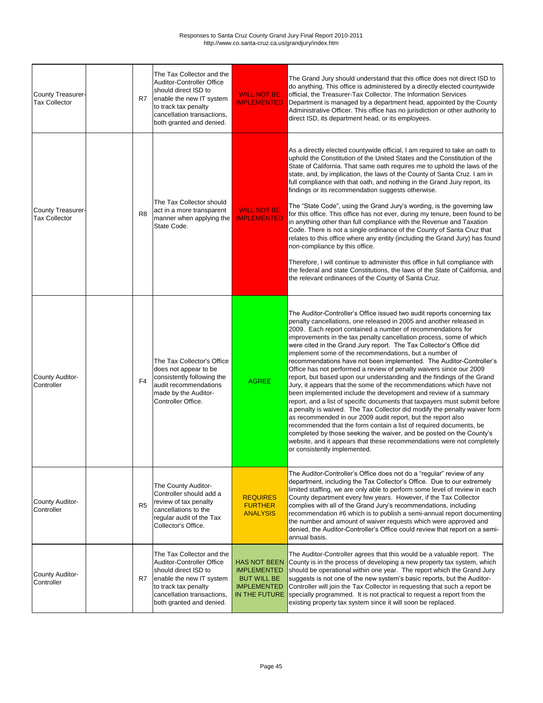| County Treasurer-<br><b>Tax Collector</b>        | R7             | The Tax Collector and the<br><b>Auditor-Controller Office</b><br>should direct ISD to<br>enable the new IT system<br>to track tax penalty<br>cancellation transactions,<br>both granted and denied. | <b>WILL NOT BE</b><br><b>IMPLEMENTED</b>                                                               | The Grand Jury should understand that this office does not direct ISD to<br>do anything. This office is administered by a directly elected countywide<br>official, the Treasurer-Tax Collector. The Information Services<br>Department is managed by a department head, appointed by the County<br>Administrative Officer. This office has no jurisdiction or other authority to<br>direct ISD, its department head, or its employees.                                                                                                                                                                                                                                                                                                                                                                                                                                                                                                                                                                                                                                                                                                                                                                                                                                       |
|--------------------------------------------------|----------------|-----------------------------------------------------------------------------------------------------------------------------------------------------------------------------------------------------|--------------------------------------------------------------------------------------------------------|------------------------------------------------------------------------------------------------------------------------------------------------------------------------------------------------------------------------------------------------------------------------------------------------------------------------------------------------------------------------------------------------------------------------------------------------------------------------------------------------------------------------------------------------------------------------------------------------------------------------------------------------------------------------------------------------------------------------------------------------------------------------------------------------------------------------------------------------------------------------------------------------------------------------------------------------------------------------------------------------------------------------------------------------------------------------------------------------------------------------------------------------------------------------------------------------------------------------------------------------------------------------------|
| <b>County Treasurer-</b><br><b>Tax Collector</b> | R <sub>8</sub> | The Tax Collector should<br>act in a more transparent<br>manner when applying the<br>State Code.                                                                                                    | <b>WILL NOT BE</b><br><b>IMPLEMENTED</b>                                                               | As a directly elected countywide official, I am required to take an oath to<br>uphold the Constitution of the United States and the Constitution of the<br>State of California. That same oath requires me to uphold the laws of the<br>state, and, by implication, the laws of the County of Santa Cruz. I am in<br>full compliance with that oath, and nothing in the Grand Jury report, its<br>findings or its recommendation suggests otherwise.<br>The "State Code", using the Grand Jury's wording, is the governing law<br>for this office. This office has not ever, during my tenure, been found to be<br>in anything other than full compliance with the Revenue and Taxation<br>Code. There is not a single ordinance of the County of Santa Cruz that<br>relates to this office where any entity (including the Grand Jury) has found<br>non-compliance by this office.<br>Therefore, I will continue to administer this office in full compliance with<br>the federal and state Constitutions, the laws of the State of California, and<br>the relevant ordinances of the County of Santa Cruz.                                                                                                                                                                 |
| County Auditor-<br>Controller                    | F <sub>4</sub> | The Tax Collector's Office<br>does not appear to be<br>consistently following the<br>audit recommendations<br>made by the Auditor-<br>Controller Office.                                            | <b>AGREE</b>                                                                                           | The Auditor-Controller's Office issued two audit reports concerning tax<br>penalty cancellations, one released in 2005 and another released in<br>2009. Each report contained a number of recommendations for<br>improvements in the tax penalty cancellation process, some of which<br>were cited in the Grand Jury report. The Tax Collector's Office did<br>implement some of the recommendations, but a number of<br>recommendations have not been implemented. The Auditor-Controller's<br>Office has not performed a review of penalty waivers since our 2009<br>report, but based upon our understanding and the findings of the Grand<br>Jury, it appears that the some of the recommendations which have not<br>been implemented include the development and review of a summary<br>report, and a list of specific documents that taxpayers must submit before<br>a penalty is waived. The Tax Collector did modify the penalty waiver form<br>as recommended in our 2009 audit report, but the report also<br>recommended that the form contain a list of required documents, be<br>completed by those seeking the waiver, and be posted on the County's<br>website, and it appears that these recommendations were not completely<br>or consistently implemented. |
| County Auditor-<br>Controller                    | R <sub>5</sub> | The County Auditor-<br>Controller should add a<br>review of tax penalty<br>cancellations to the<br>regular audit of the Tax<br>Collector's Office.                                                  | <b>REQUIRES</b><br><b>FURTHER</b><br><b>ANALYSIS</b>                                                   | The Auditor-Controller's Office does not do a "regular" review of any<br>department, including the Tax Collector's Office. Due to our extremely<br>limited staffing, we are only able to perform some level of review in each<br>County department every few years. However, if the Tax Collector<br>complies with all of the Grand Jury's recommendations, including<br>recommendation #6 which is to publish a semi-annual report documenting<br>the number and amount of waiver requests which were approved and<br>denied, the Auditor-Controller's Office could review that report on a semi-<br>annual basis.                                                                                                                                                                                                                                                                                                                                                                                                                                                                                                                                                                                                                                                          |
| County Auditor-<br>Controller                    | R7             | The Tax Collector and the<br>Auditor-Controller Office<br>should direct ISD to<br>enable the new IT system<br>to track tax penalty<br>cancellation transactions,<br>both granted and denied.        | <b>HAS NOT BEEN</b><br><b>IMPLEMENTED</b><br><b>BUT WILL BE</b><br><b>IMPLEMENTED</b><br>IN THE FUTURE | The Auditor-Controller agrees that this would be a valuable report. The<br>County is in the process of developing a new property tax system, which<br>should be operational within one year. The report which the Grand Jury<br>suggests is not one of the new system's basic reports, but the Auditor-<br>Controller will join the Tax Collector in requesting that such a report be<br>specially programmed. It is not practical to request a report from the<br>existing property tax system since it will soon be replaced.                                                                                                                                                                                                                                                                                                                                                                                                                                                                                                                                                                                                                                                                                                                                              |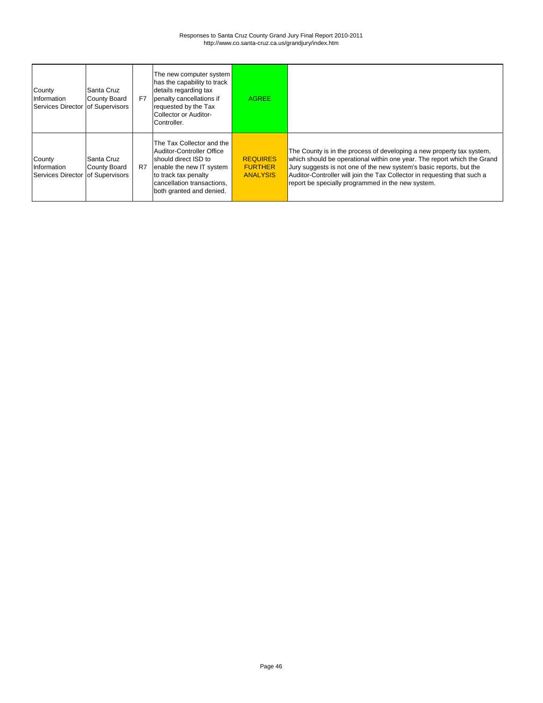| County<br>Information<br>Services Director of Supervisors | Santa Cruz<br>County Board | F7 | The new computer system<br>has the capability to track<br>details regarding tax<br>penalty cancellations if<br>requested by the Tax<br>Collector or Auditor-<br>Controller.                  | <b>AGREE</b>                                         |                                                                                                                                                                                                                                                                                                                                                          |
|-----------------------------------------------------------|----------------------------|----|----------------------------------------------------------------------------------------------------------------------------------------------------------------------------------------------|------------------------------------------------------|----------------------------------------------------------------------------------------------------------------------------------------------------------------------------------------------------------------------------------------------------------------------------------------------------------------------------------------------------------|
| County<br>Information<br>Services Director of Supervisors | Santa Cruz<br>County Board | R7 | The Tax Collector and the<br>Auditor-Controller Office<br>should direct ISD to<br>enable the new IT system<br>to track tax penalty<br>cancellation transactions,<br>both granted and denied. | <b>REQUIRES</b><br><b>FURTHER</b><br><b>ANALYSIS</b> | The County is in the process of developing a new property tax system,<br>which should be operational within one year. The report which the Grand<br>Jury suggests is not one of the new system's basic reports, but the<br>Auditor-Controller will join the Tax Collector in requesting that such a<br>report be specially programmed in the new system. |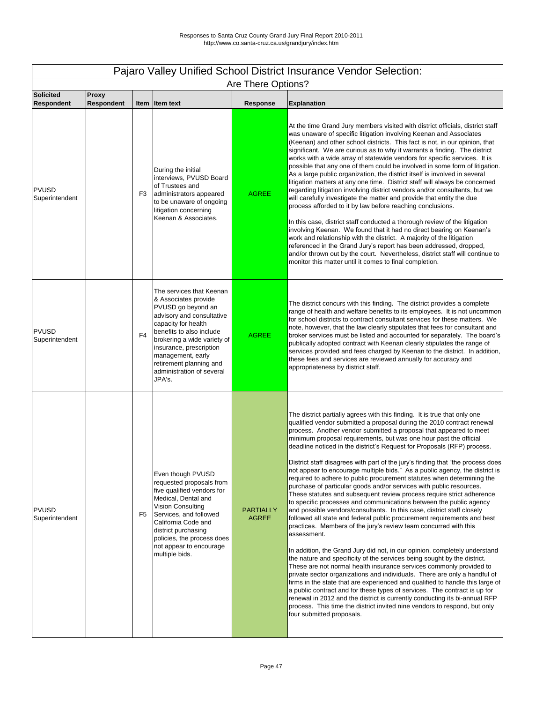|                                       | Pajaro Valley Unified School District Insurance Vendor Selection: |                |                                                                                                                                                                                                                                                                                                         |                                  |                                                                                                                                                                                                                                                                                                                                                                                                                                                                                                                                                                                                                                                                                                                                                                                                                                                                                                                                                                                                                                                                                                                                                                                                                                                                                                                                                                                                                                                                                                                                                                                                                                                                                                                                                         |  |  |  |
|---------------------------------------|-------------------------------------------------------------------|----------------|---------------------------------------------------------------------------------------------------------------------------------------------------------------------------------------------------------------------------------------------------------------------------------------------------------|----------------------------------|---------------------------------------------------------------------------------------------------------------------------------------------------------------------------------------------------------------------------------------------------------------------------------------------------------------------------------------------------------------------------------------------------------------------------------------------------------------------------------------------------------------------------------------------------------------------------------------------------------------------------------------------------------------------------------------------------------------------------------------------------------------------------------------------------------------------------------------------------------------------------------------------------------------------------------------------------------------------------------------------------------------------------------------------------------------------------------------------------------------------------------------------------------------------------------------------------------------------------------------------------------------------------------------------------------------------------------------------------------------------------------------------------------------------------------------------------------------------------------------------------------------------------------------------------------------------------------------------------------------------------------------------------------------------------------------------------------------------------------------------------------|--|--|--|
|                                       |                                                                   |                |                                                                                                                                                                                                                                                                                                         | Are There Options?               |                                                                                                                                                                                                                                                                                                                                                                                                                                                                                                                                                                                                                                                                                                                                                                                                                                                                                                                                                                                                                                                                                                                                                                                                                                                                                                                                                                                                                                                                                                                                                                                                                                                                                                                                                         |  |  |  |
| <b>Solicited</b><br><b>Respondent</b> | <b>Proxy</b><br><b>Respondent</b>                                 |                | Item Item text                                                                                                                                                                                                                                                                                          | <b>Response</b>                  | <b>Explanation</b>                                                                                                                                                                                                                                                                                                                                                                                                                                                                                                                                                                                                                                                                                                                                                                                                                                                                                                                                                                                                                                                                                                                                                                                                                                                                                                                                                                                                                                                                                                                                                                                                                                                                                                                                      |  |  |  |
| <b>PVUSD</b><br>Superintendent        |                                                                   | F <sub>3</sub> | During the initial<br>interviews, PVUSD Board<br>of Trustees and<br>administrators appeared<br>to be unaware of ongoing<br>litigation concerning<br>Keenan & Associates.                                                                                                                                | <b>AGREE</b>                     | At the time Grand Jury members visited with district officials, district staff<br>was unaware of specific litigation involving Keenan and Associates<br>(Keenan) and other school districts. This fact is not, in our opinion, that<br>significant. We are curious as to why it warrants a finding. The district<br>works with a wide array of statewide vendors for specific services. It is<br>possible that any one of them could be involved in some form of litigation.<br>As a large public organization, the district itself is involved in several<br>litigation matters at any one time. District staff will always be concerned<br>regarding litigation involving district vendors and/or consultants, but we<br>will carefully investigate the matter and provide that entity the due<br>process afforded to it by law before reaching conclusions.<br>In this case, district staff conducted a thorough review of the litigation<br>involving Keenan. We found that it had no direct bearing on Keenan's<br>work and relationship with the district. A majority of the litigation<br>referenced in the Grand Jury's report has been addressed, dropped,<br>and/or thrown out by the court. Nevertheless, district staff will continue to<br>monitor this matter until it comes to final completion.                                                                                                                                                                                                                                                                                                                                                                                                                                         |  |  |  |
| <b>PVUSD</b><br>Superintendent        |                                                                   | F <sub>4</sub> | The services that Keenan<br>& Associates provide<br>PVUSD go beyond an<br>advisory and consultative<br>capacity for health<br>benefits to also include<br>brokering a wide variety of<br>insurance, prescription<br>management, early<br>retirement planning and<br>administration of several<br>JPA's. | <b>AGREE</b>                     | The district concurs with this finding. The district provides a complete<br>range of health and welfare benefits to its employees. It is not uncommon<br>for school districts to contract consultant services for these matters. We<br>note, however, that the law clearly stipulates that fees for consultant and<br>broker services must be listed and accounted for separately. The board's<br>publically adopted contract with Keenan clearly stipulates the range of<br>services provided and fees charged by Keenan to the district. In addition,<br>these fees and services are reviewed annually for accuracy and<br>appropriateness by district staff.                                                                                                                                                                                                                                                                                                                                                                                                                                                                                                                                                                                                                                                                                                                                                                                                                                                                                                                                                                                                                                                                                         |  |  |  |
| <b>PVUSD</b><br>Superintendent        |                                                                   | F <sub>5</sub> | Even though PVUSD<br>requested proposals from<br>five qualified vendors for<br>Medical, Dental and<br><b>Vision Consulting</b><br>Services, and followed<br>California Code and<br>district purchasing<br>policies, the process does<br>not appear to encourage<br>multiple bids.                       | <b>PARTIALLY</b><br><b>AGREE</b> | The district partially agrees with this finding. It is true that only one<br>qualified vendor submitted a proposal during the 2010 contract renewal<br>process. Another vendor submitted a proposal that appeared to meet<br>minimum proposal requirements, but was one hour past the official<br>deadline noticed in the district's Request for Proposals (RFP) process.<br>District staff disagrees with part of the jury's finding that "the process does<br>not appear to encourage multiple bids." As a public agency, the district is<br>required to adhere to public procurement statutes when determining the<br>purchase of particular goods and/or services with public resources.<br>These statutes and subsequent review process require strict adherence<br>to specific processes and communications between the public agency<br>and possible vendors/consultants. In this case, district staff closely<br>followed all state and federal public procurement requirements and best<br>practices. Members of the jury's review team concurred with this<br>assessment.<br>In addition, the Grand Jury did not, in our opinion, completely understand<br>the nature and specificity of the services being sought by the district.<br>These are not normal health insurance services commonly provided to<br>private sector organizations and individuals. There are only a handful of<br>firms in the state that are experienced and qualified to handle this large of<br>a public contract and for these types of services. The contract is up for<br>renewal in 2012 and the district is currently conducting its bi-annual RFP<br>process. This time the district invited nine vendors to respond, but only<br>four submitted proposals. |  |  |  |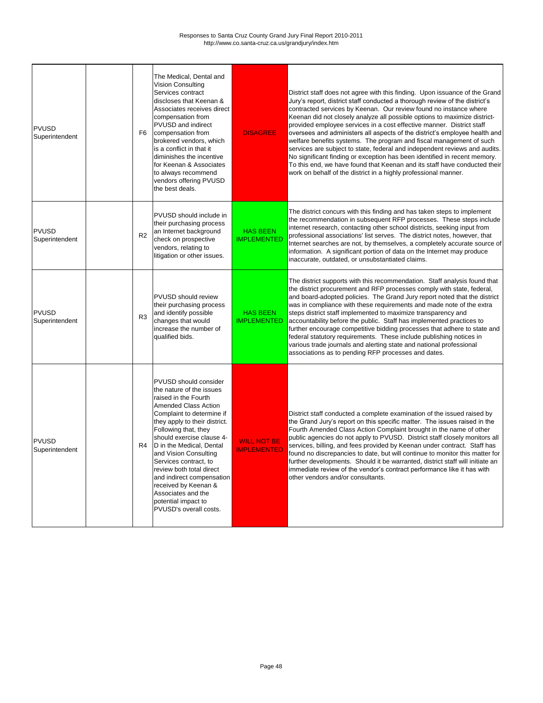| <b>PVUSD</b><br>Superintendent | F <sub>6</sub> | The Medical, Dental and<br><b>Vision Consulting</b><br>Services contract<br>discloses that Keenan &<br>Associates receives direct<br>compensation from<br><b>PVUSD</b> and indirect<br>compensation from<br>brokered vendors, which<br>is a conflict in that it<br>diminishes the incentive<br>for Keenan & Associates<br>to always recommend<br>vendors offering PVUSD<br>the best deals.                                                                                    | <b>DISAGREE</b>                          | District staff does not agree with this finding. Upon issuance of the Grand<br>Jury's report, district staff conducted a thorough review of the district's<br>contracted services by Keenan. Our review found no instance where<br>Keenan did not closely analyze all possible options to maximize district-<br>provided employee services in a cost effective manner. District staff<br>oversees and administers all aspects of the district's employee health and<br>welfare benefits systems. The program and fiscal management of such<br>services are subject to state, federal and independent reviews and audits.<br>No significant finding or exception has been identified in recent memory.<br>To this end, we have found that Keenan and its staff have conducted their<br>work on behalf of the district in a highly professional manner. |
|--------------------------------|----------------|-------------------------------------------------------------------------------------------------------------------------------------------------------------------------------------------------------------------------------------------------------------------------------------------------------------------------------------------------------------------------------------------------------------------------------------------------------------------------------|------------------------------------------|-------------------------------------------------------------------------------------------------------------------------------------------------------------------------------------------------------------------------------------------------------------------------------------------------------------------------------------------------------------------------------------------------------------------------------------------------------------------------------------------------------------------------------------------------------------------------------------------------------------------------------------------------------------------------------------------------------------------------------------------------------------------------------------------------------------------------------------------------------|
| <b>PVUSD</b><br>Superintendent | R <sub>2</sub> | <b>PVUSD</b> should include in<br>their purchasing process<br>an Internet background<br>check on prospective<br>vendors, relating to<br>litigation or other issues.                                                                                                                                                                                                                                                                                                           | <b>HAS BEEN</b><br><b>IMPLEMENTED</b>    | The district concurs with this finding and has taken steps to implement<br>the recommendation in subsequent RFP processes. These steps include<br>internet research, contacting other school districts, seeking input from<br>professional associations' list serves. The district notes, however, that<br>Internet searches are not, by themselves, a completely accurate source of<br>information. A significant portion of data on the Internet may produce<br>inaccurate, outdated, or unsubstantiated claims.                                                                                                                                                                                                                                                                                                                                    |
| <b>PVUSD</b><br>Superintendent | R <sub>3</sub> | <b>PVUSD should review</b><br>their purchasing process<br>and identify possible<br>changes that would<br>increase the number of<br>qualified bids.                                                                                                                                                                                                                                                                                                                            | <b>HAS BEEN</b><br><b>IMPLEMENTED</b>    | The district supports with this recommendation. Staff analysis found that<br>the district procurement and RFP processes comply with state, federal,<br>and board-adopted policies. The Grand Jury report noted that the district<br>was in compliance with these requirements and made note of the extra<br>steps district staff implemented to maximize transparency and<br>accountability before the public. Staff has implemented practices to<br>further encourage competitive bidding processes that adhere to state and<br>federal statutory requirements. These include publishing notices in<br>various trade journals and alerting state and national professional<br>associations as to pending RFP processes and dates.                                                                                                                    |
| <b>PVUSD</b><br>Superintendent |                | <b>PVUSD should consider</b><br>the nature of the issues<br>raised in the Fourth<br><b>Amended Class Action</b><br>Complaint to determine if<br>they apply to their district.<br>Following that, they<br>should exercise clause 4-<br>R4   D in the Medical, Dental<br>and Vision Consulting<br>Services contract, to<br>review both total direct<br>and indirect compensation<br>received by Keenan &<br>Associates and the<br>potential impact to<br>PVUSD's overall costs. | <b>WILL NOT BE</b><br><b>IMPLEMENTED</b> | District staff conducted a complete examination of the issued raised by<br>the Grand Jury's report on this specific matter. The issues raised in the<br>Fourth Amended Class Action Complaint brought in the name of other<br>public agencies do not apply to PVUSD. District staff closely monitors all<br>services, billing, and fees provided by Keenan under contract. Staff has<br>found no discrepancies to date, but will continue to monitor this matter for<br>further developments. Should it be warranted, district staff will initiate an<br>immediate review of the vendor's contract performance like it has with<br>other vendors and/or consultants.                                                                                                                                                                                  |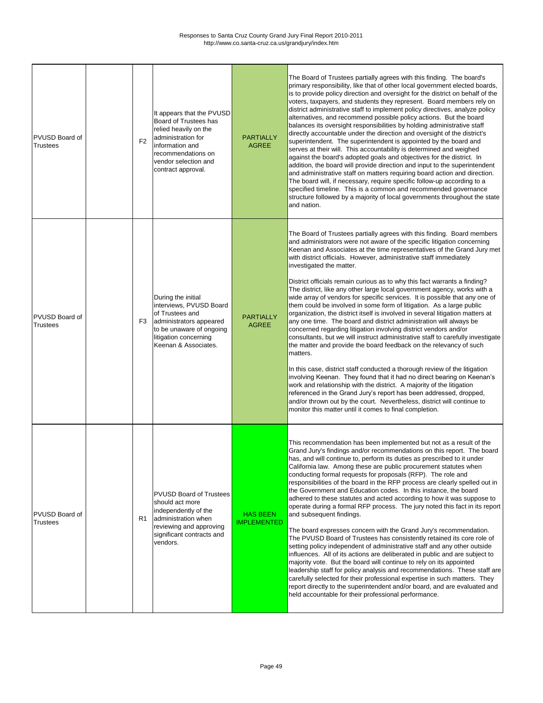| <b>PVUSD Board of</b><br><b>Trustees</b> | F <sub>2</sub> | It appears that the PVUSD<br><b>Board of Trustees has</b><br>relied heavily on the<br>administration for<br>information and<br>recommendations on<br>vendor selection and<br>contract approval. | <b>PARTIALLY</b><br><b>AGREE</b>      | The Board of Trustees partially agrees with this finding. The board's<br>primary responsibility, like that of other local government elected boards,<br>is to provide policy direction and oversight for the district on behalf of the<br>voters, taxpayers, and students they represent. Board members rely on<br>district administrative staff to implement policy directives, analyze policy<br>alternatives, and recommend possible policy actions. But the board<br>balances its oversight responsibilities by holding administrative staff<br>directly accountable under the direction and oversight of the district's<br>superintendent. The superintendent is appointed by the board and<br>serves at their will. This accountability is determined and weighed<br>against the board's adopted goals and objectives for the district. In<br>addition, the board will provide direction and input to the superintendent<br>and administrative staff on matters requiring board action and direction.<br>The board will, if necessary, require specific follow-up according to a<br>specified timeline. This is a common and recommended governance<br>structure followed by a majority of local governments throughout the state<br>and nation.                                                                                                                                                                                                                                        |
|------------------------------------------|----------------|-------------------------------------------------------------------------------------------------------------------------------------------------------------------------------------------------|---------------------------------------|-----------------------------------------------------------------------------------------------------------------------------------------------------------------------------------------------------------------------------------------------------------------------------------------------------------------------------------------------------------------------------------------------------------------------------------------------------------------------------------------------------------------------------------------------------------------------------------------------------------------------------------------------------------------------------------------------------------------------------------------------------------------------------------------------------------------------------------------------------------------------------------------------------------------------------------------------------------------------------------------------------------------------------------------------------------------------------------------------------------------------------------------------------------------------------------------------------------------------------------------------------------------------------------------------------------------------------------------------------------------------------------------------------------------------------------------------------------------------------------------------|
| <b>PVUSD Board of</b><br><b>Trustees</b> | F <sub>3</sub> | During the initial<br>interviews, PVUSD Board<br>of Trustees and<br>administrators appeared<br>to be unaware of ongoing<br>litigation concerning<br>Keenan & Associates.                        | <b>PARTIALLY</b><br><b>AGREE</b>      | The Board of Trustees partially agrees with this finding. Board members<br>and administrators were not aware of the specific litigation concerning<br>Keenan and Associates at the time representatives of the Grand Jury met<br>with district officials. However, administrative staff immediately<br>investigated the matter.<br>District officials remain curious as to why this fact warrants a finding?<br>The district, like any other large local government agency, works with a<br>wide array of vendors for specific services. It is possible that any one of<br>them could be involved in some form of litigation. As a large public<br>organization, the district itself is involved in several litigation matters at<br>any one time. The board and district administration will always be<br>concerned regarding litigation involving district vendors and/or<br>consultants, but we will instruct administrative staff to carefully investigate<br>the matter and provide the board feedback on the relevancy of such<br>matters.<br>In this case, district staff conducted a thorough review of the litigation<br>involving Keenan. They found that it had no direct bearing on Keenan's<br>work and relationship with the district. A majority of the litigation<br>referenced in the Grand Jury's report has been addressed, dropped,<br>and/or thrown out by the court. Nevertheless, district will continue to<br>monitor this matter until it comes to final completion. |
| <b>PVUSD Board of</b><br><b>Trustees</b> | R <sub>1</sub> | <b>PVUSD Board of Trustees</b><br>should act more<br>independently of the<br>administration when<br>reviewing and approving<br>significant contracts and<br>vendors.                            | <b>HAS BEEN</b><br><b>IMPLEMENTED</b> | This recommendation has been implemented but not as a result of the<br>Grand Jury's findings and/or recommendations on this report. The board<br>has, and will continue to, perform its duties as prescribed to it under<br>California law. Among these are public procurement statutes when<br>conducting formal requests for proposals (RFP). The role and<br>responsibilities of the board in the RFP process are clearly spelled out in<br>the Government and Education codes. In this instance, the board<br>adhered to these statutes and acted according to how it was suppose to<br>operate during a formal RFP process. The jury noted this fact in its report<br>and subsequent findings.<br>The board expresses concern with the Grand Jury's recommendation.<br>The PVUSD Board of Trustees has consistently retained its core role of<br>setting policy independent of administrative staff and any other outside<br>influences. All of its actions are deliberated in public and are subject to<br>majority vote. But the board will continue to rely on its appointed<br>leadership staff for policy analysis and recommendations. These staff are<br>carefully selected for their professional expertise in such matters. They<br>report directly to the superintendent and/or board, and are evaluated and<br>held accountable for their professional performance.                                                                                                           |

٦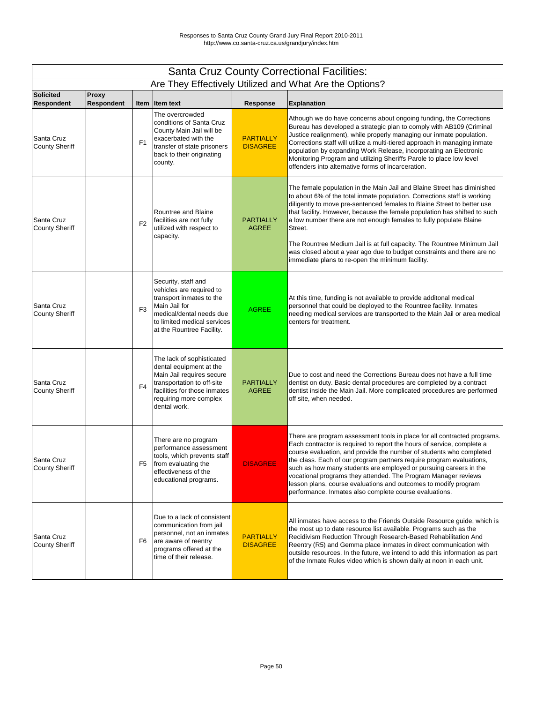|                                       | <b>Santa Cruz County Correctional Facilities:</b> |                |                                                                                                                                                                                           |                                     |                                                                                                                                                                                                                                                                                                                                                                                                                                                                                                                                                                                                       |  |  |  |
|---------------------------------------|---------------------------------------------------|----------------|-------------------------------------------------------------------------------------------------------------------------------------------------------------------------------------------|-------------------------------------|-------------------------------------------------------------------------------------------------------------------------------------------------------------------------------------------------------------------------------------------------------------------------------------------------------------------------------------------------------------------------------------------------------------------------------------------------------------------------------------------------------------------------------------------------------------------------------------------------------|--|--|--|
|                                       |                                                   |                |                                                                                                                                                                                           |                                     | Are They Effectively Utilized and What Are the Options?                                                                                                                                                                                                                                                                                                                                                                                                                                                                                                                                               |  |  |  |
| <b>Solicited</b><br><b>Respondent</b> | <b>Proxy</b><br><b>Respondent</b>                 |                | Item Item text                                                                                                                                                                            | <b>Response</b>                     | <b>Explanation</b>                                                                                                                                                                                                                                                                                                                                                                                                                                                                                                                                                                                    |  |  |  |
| Santa Cruz<br><b>County Sheriff</b>   |                                                   | F <sub>1</sub> | The overcrowded<br>conditions of Santa Cruz<br>County Main Jail will be<br>exacerbated with the<br>transfer of state prisoners<br>back to their originating<br>county.                    | <b>PARTIALLY</b><br><b>DISAGREE</b> | Athough we do have concerns about ongoing funding, the Corrections<br>Bureau has developed a strategic plan to comply with AB109 (Criminal<br>Justice realignment), while properly managing our inmate population.<br>Corrections staff will utilize a multi-tiered approach in managing inmate<br>population by expanding Work Release, incorporating an Electronic<br>Monitoring Program and utilizing Sheriffs Parole to place low level<br>offenders into alternative forms of incarceration.                                                                                                     |  |  |  |
| Santa Cruz<br><b>County Sheriff</b>   |                                                   | F <sub>2</sub> | <b>Rountree and Blaine</b><br>facilities are not fully<br>utilized with respect to<br>capacity.                                                                                           | <b>PARTIALLY</b><br><b>AGREE</b>    | The female population in the Main Jail and Blaine Street has diminished<br>to about 6% of the total inmate population. Corrections staff is working<br>diligently to move pre-sentenced females to Blaine Street to better use<br>that facility. However, because the female population has shifted to such<br>a low number there are not enough females to fully populate Blaine<br>Street.<br>The Rountree Medium Jail is at full capacity. The Rountree Minimum Jail<br>was closed about a year ago due to budget constraints and there are no<br>immediate plans to re-open the minimum facility. |  |  |  |
| Santa Cruz<br><b>County Sheriff</b>   |                                                   | F <sub>3</sub> | Security, staff and<br>vehicles are required to<br>transport inmates to the<br>Main Jail for<br>medical/dental needs due<br>to limited medical services<br>at the Rountree Facility.      | <b>AGREE</b>                        | At this time, funding is not available to provide additonal medical<br>personnel that could be deployed to the Rountree facility. Inmates<br>needing medical services are transported to the Main Jail or area medical<br>centers for treatment.                                                                                                                                                                                                                                                                                                                                                      |  |  |  |
| Santa Cruz<br><b>County Sheriff</b>   |                                                   | F <sub>4</sub> | The lack of sophisticated<br>dental equipment at the<br>Main Jail requires secure<br>transportation to off-site<br>facilities for those inmates<br>requiring more complex<br>dental work. | <b>PARTIALLY</b><br><b>AGREE</b>    | Due to cost and need the Corrections Bureau does not have a full time<br>dentist on duty. Basic dental procedures are completed by a contract<br>dentist inside the Main Jail. More complicated procedures are performed<br>off site, when needed.                                                                                                                                                                                                                                                                                                                                                    |  |  |  |
| Santa Cruz<br><b>County Sheriff</b>   |                                                   | F <sub>5</sub> | There are no program<br>performance assessment<br>tools, which prevents staff<br>from evaluating the<br>effectiveness of the<br>educational programs.                                     | <b>DISAGREE</b>                     | There are program assessment tools in place for all contracted programs.<br>Each contractor is required to report the hours of service, complete a<br>course evaluation, and provide the number of students who completed<br>the class. Each of our program partners require program evaluations,<br>such as how many students are employed or pursuing careers in the<br>vocational programs they attended. The Program Manager reviews<br>lesson plans, course evaluations and outcomes to modify program<br>performance. Inmates also complete course evaluations.                                 |  |  |  |
| Santa Cruz<br><b>County Sheriff</b>   |                                                   | F <sub>6</sub> | Due to a lack of consistent<br>communication from jail<br>personnel, not an inmates<br>are aware of reentry<br>programs offered at the<br>time of their release.                          | <b>PARTIALLY</b><br><b>DISAGREE</b> | All inmates have access to the Friends Outside Resource guide, which is<br>the most up to date resource list available. Programs such as the<br>Recidivism Reduction Through Research-Based Rehabilitation And<br>Reentry (R5) and Gemma place inmates in direct communication with<br>outside resources. In the future, we intend to add this information as part<br>of the Inmate Rules video which is shown daily at noon in each unit.                                                                                                                                                            |  |  |  |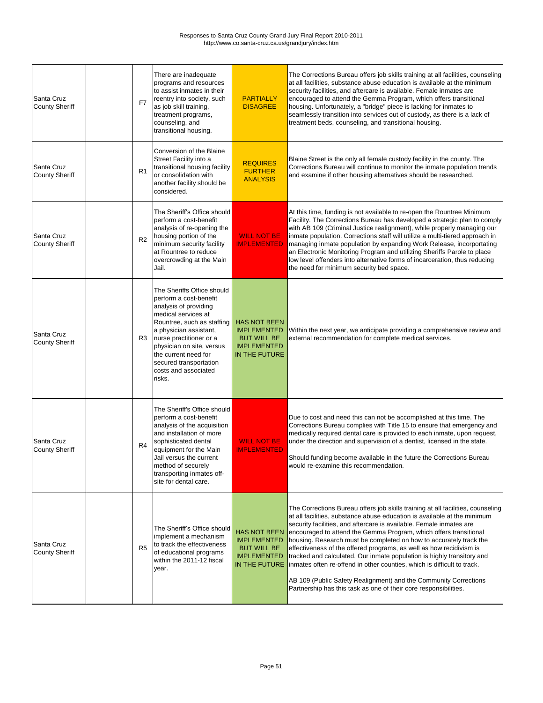| Santa Cruz<br><b>County Sheriff</b> | F7             | There are inadequate<br>programs and resources<br>to assist inmates in their<br>reentry into society, such<br>as job skill training,<br>treatment programs,<br>counseling, and<br>transitional housing.                                                                                                  | <b>PARTIALLY</b><br><b>DISAGREE</b>                                                                    | The Corrections Bureau offers job skills training at all facilities, counseling<br>at all facilities, substance abuse education is available at the minimum<br>security facilities, and aftercare is available. Female inmates are<br>encouraged to attend the Gemma Program, which offers transitional<br>housing. Unfortunately, a "bridge" piece is lacking for inmates to<br>seamlessly transition into services out of custody, as there is a lack of<br>treatment beds, counseling, and transitional housing.                                                                                                                                                                                                                               |
|-------------------------------------|----------------|----------------------------------------------------------------------------------------------------------------------------------------------------------------------------------------------------------------------------------------------------------------------------------------------------------|--------------------------------------------------------------------------------------------------------|---------------------------------------------------------------------------------------------------------------------------------------------------------------------------------------------------------------------------------------------------------------------------------------------------------------------------------------------------------------------------------------------------------------------------------------------------------------------------------------------------------------------------------------------------------------------------------------------------------------------------------------------------------------------------------------------------------------------------------------------------|
| Santa Cruz<br><b>County Sheriff</b> | R <sub>1</sub> | Conversion of the Blaine<br>Street Facility into a<br>transitional housing facility<br>or consolidation with<br>another facility should be<br>considered.                                                                                                                                                | <b>REQUIRES</b><br><b>FURTHER</b><br><b>ANALYSIS</b>                                                   | Blaine Street is the only all female custody facility in the county. The<br>Corrections Bureau will continue to monitor the inmate population trends<br>and examine if other housing alternatives should be researched.                                                                                                                                                                                                                                                                                                                                                                                                                                                                                                                           |
| Santa Cruz<br><b>County Sheriff</b> | R2             | The Sheriff's Office should<br>perform a cost-benefit<br>analysis of re-opening the<br>housing portion of the<br>minimum security facility<br>at Rountree to reduce<br>overcrowding at the Main<br>Jail.                                                                                                 | <b>WILL NOT BE</b><br><b>IMPLEMENTED</b>                                                               | At this time, funding is not available to re-open the Rountree Minimum<br>Facility. The Corrections Bureau has developed a strategic plan to comply<br>with AB 109 (Criminal Justice realignment), while properly managing our<br>inmate population. Corrections staff will utilize a multi-tiered approach in<br>managing inmate population by expanding Work Release, incorportating<br>an Electronic Monitoring Program and utilizing Sheriffs Parole to place<br>low level offenders into alternative forms of incarceration, thus reducing<br>the need for minimum security bed space.                                                                                                                                                       |
| Santa Cruz<br><b>County Sheriff</b> | R <sub>3</sub> | The Sheriffs Office should<br>perform a cost-benefit<br>analysis of providing<br>medical services at<br>Rountree, such as staffing<br>a physician assistant,<br>nurse practitioner or a<br>physician on site, versus<br>the current need for<br>secured transportation<br>costs and associated<br>risks. | <b>HAS NOT BEEN</b><br><b>BUT WILL BE</b><br><b>IMPLEMENTED</b><br>IN THE FUTURE                       | <b>IMPLEMENTED</b> Within the next year, we anticipate providing a comprehensive review and<br>external recommendation for complete medical services.                                                                                                                                                                                                                                                                                                                                                                                                                                                                                                                                                                                             |
| Santa Cruz<br><b>County Sheriff</b> | R <sub>4</sub> | The Sheriff's Office should<br>perform a cost-benefit<br>analysis of the acquisition<br>and installation of more<br>sophisticated dental<br>equipment for the Main<br>Jail versus the current<br>method of securely<br>transporting inmates off-<br>site for dental care.                                | <b>WILL NOT BE</b><br><b>IMPLEMENTED</b>                                                               | Due to cost and need this can not be accomplished at this time. The<br>Corrections Bureau complies with Title 15 to ensure that emergency and<br>medically required dental care is provided to each inmate, upon request,<br>under the direction and supervision of a dentist, licensed in the state.<br>Should funding become available in the future the Corrections Bureau<br>would re-examine this recommendation.                                                                                                                                                                                                                                                                                                                            |
| Santa Cruz<br><b>County Sheriff</b> | R <sub>5</sub> | The Sheriff's Office should<br>implement a mechanism<br>to track the effectiveness<br>of educational programs<br>within the 2011-12 fiscal<br>year.                                                                                                                                                      | <b>HAS NOT BEEN</b><br><b>IMPLEMENTED</b><br><b>BUT WILL BE</b><br><b>IMPLEMENTED</b><br>IN THE FUTURE | The Corrections Bureau offers job skills training at all facilities, counseling<br>at all facilities, substance abuse education is available at the minimum<br>security facilities, and aftercare is available. Female inmates are<br>encouraged to attend the Gemma Program, which offers transitional<br>housing. Research must be completed on how to accurately track the<br>effectiveness of the offered programs, as well as how recidivism is<br>tracked and calculated. Our inmate population is highly transitory and<br>inmates often re-offend in other counties, which is difficult to track.<br>AB 109 (Public Safety Realignment) and the Community Corrections<br>Partnership has this task as one of their core responsibilities. |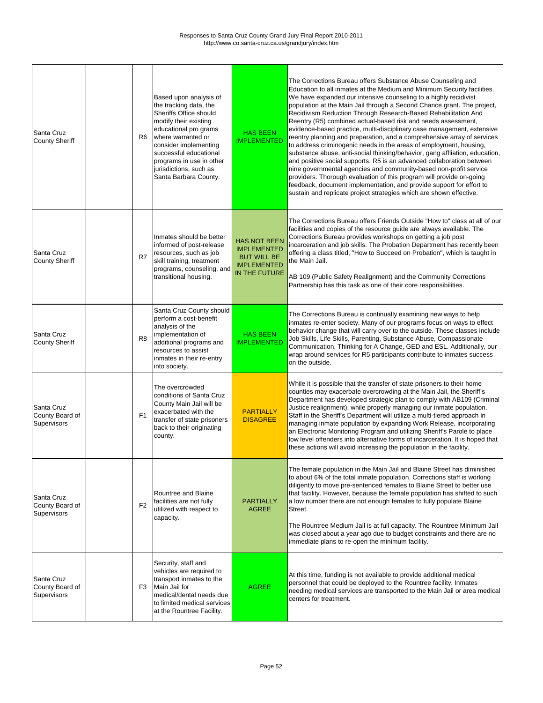$\blacksquare$ 

٦

| Santa Cruz<br><b>County Sheriff</b>                 | R <sub>6</sub> | Based upon analysis of<br>the tracking data, the<br><b>Sheriffs Office should</b><br>modify their existing<br>educational pro grams<br>where warranted or<br>consider implementing<br>successful educational<br>programs in use in other<br>jurisdictions, such as<br>Santa Barbara County. | <b>HAS BEEN</b><br><b>IMPLEMENTED</b>                                                                  | The Corrections Bureau offers Substance Abuse Counseling and<br>Education to all inmates at the Medium and Minimum Security facilities.<br>We have expanded our intensive counseling to a highly recidivist<br>population at the Main Jail through a Second Chance grant. The project,<br>Recidivism Reduction Through Research-Based Rehabilitation And<br>Reentry (R5) combined actual-based risk and needs assessment,<br>evidence-based practice, multi-disciplinary case management, extensive<br>reentry planning and preparation, and a comprehensive array of services<br>to address criminogenic needs in the areas of employment, housing,<br>substance abuse, anti-social thinking/behavior, gang affliation, education,<br>and positive social supports. R5 is an advanced collaboration between<br>nine governmental agencies and community-based non-profit service<br>providers. Thorough evaluation of this program will provide on-going<br>feedback, document implementation, and provide support for effort to<br>sustain and replicate project strategies which are shown effective. |
|-----------------------------------------------------|----------------|---------------------------------------------------------------------------------------------------------------------------------------------------------------------------------------------------------------------------------------------------------------------------------------------|--------------------------------------------------------------------------------------------------------|----------------------------------------------------------------------------------------------------------------------------------------------------------------------------------------------------------------------------------------------------------------------------------------------------------------------------------------------------------------------------------------------------------------------------------------------------------------------------------------------------------------------------------------------------------------------------------------------------------------------------------------------------------------------------------------------------------------------------------------------------------------------------------------------------------------------------------------------------------------------------------------------------------------------------------------------------------------------------------------------------------------------------------------------------------------------------------------------------------|
| Santa Cruz<br><b>County Sheriff</b>                 | R <sub>7</sub> | Inmates should be better<br>informed of post-release<br>resources, such as job<br>skill training, treatment<br>programs, counseling, and<br>transitional housing.                                                                                                                           | <b>HAS NOT BEEN</b><br><b>IMPLEMENTED</b><br><b>BUT WILL BE</b><br><b>IMPLEMENTED</b><br>IN THE FUTURE | The Corrections Bureau offers Friends Outside "How to" class at all of our<br>facilities and copies of the resource guide are always available. The<br>Corrections Bureau provides workshops on getting a job post<br>incarceration and job skills. The Probation Department has recently been<br>offering a class titled, "How to Succeed on Probation", which is taught in<br>the Main Jail.<br>AB 109 (Public Safety Realignment) and the Community Corrections<br>Partnership has this task as one of their core responsibilities.                                                                                                                                                                                                                                                                                                                                                                                                                                                                                                                                                                   |
| Santa Cruz<br><b>County Sheriff</b>                 | R <sub>8</sub> | Santa Cruz County should<br>perform a cost-benefit<br>analysis of the<br>implementation of<br>additional programs and<br>resources to assist<br>inmates in their re-entry<br>into society.                                                                                                  | <b>HAS BEEN</b><br><b>IMPLEMENTED</b>                                                                  | The Corrections Bureau is continually examining new ways to help<br>inmates re-enter society. Many of our programs focus on ways to effect<br>behavior change that will carry over to the outside. These classes include<br>Job Skills, Life Skills, Parenting, Substance Abuse, Compassionate<br>Communication, Thinking for A Change, GED and ESL. Additionally, our<br>wrap around services for R5 participants contribute to inmates success<br>on the outside.                                                                                                                                                                                                                                                                                                                                                                                                                                                                                                                                                                                                                                      |
| Santa Cruz<br>County Board of<br>Supervisors        | F1             | The overcrowded<br>conditions of Santa Cruz<br>County Main Jail will be<br>exacerbated with the<br>transfer of state prisoners<br>back to their originating<br>county.                                                                                                                      | <b>PARTIALLY</b><br><b>DISAGREE</b>                                                                    | While it is possible that the transfer of state prisoners to their home<br>counties may exacerbate overcrowding at the Main Jail, the Sheriff's<br>Department has developed strategic plan to comply with AB109 (Criminal<br>Justice realignment), while properly managing our inmate population.<br>Staff in the Sheriff's Department will utilize a multi-tiered approach in<br>managing inmate population by expanding Work Release, incorporating<br>an Electronic Monitoring Program and utilizing Sheriff's Parole to place<br>low level offenders into alternative forms of incarceration. It is hoped that<br>these actions will avoid increasing the population in the facility.                                                                                                                                                                                                                                                                                                                                                                                                                |
| Santa Cruz<br>County Board of<br>Supervisors        | F2             | Rountree and Blaine<br>facilities are not fully<br>utilized with respect to<br>capacity.                                                                                                                                                                                                    | <b>PARTIALLY</b><br><b>AGREE</b>                                                                       | The female population in the Main Jail and Blaine Street has diminished<br>to about 6% of the total inmate population. Corrections staff is working<br>diligently to move pre-sentenced females to Blaine Street to better use<br>that facility. However, because the female population has shifted to such<br>a low number there are not enough females to fully populate Blaine<br>Street.<br>The Rountree Medium Jail is at full capacity. The Rountree Minimum Jail<br>was closed about a year ago due to budget constraints and there are no<br>immediate plans to re-open the minimum facility.                                                                                                                                                                                                                                                                                                                                                                                                                                                                                                    |
| Santa Cruz<br>County Board of<br><b>Supervisors</b> | F <sub>3</sub> | Security, staff and<br>vehicles are required to<br>transport inmates to the<br>Main Jail for<br>medical/dental needs due<br>to limited medical services<br>at the Rountree Facility.                                                                                                        | <b>AGREE</b>                                                                                           | At this time, funding is not available to provide additional medical<br>personnel that could be deployed to the Rountree facility. Inmates<br>needing medical services are transported to the Main Jail or area medical<br>centers for treatment.                                                                                                                                                                                                                                                                                                                                                                                                                                                                                                                                                                                                                                                                                                                                                                                                                                                        |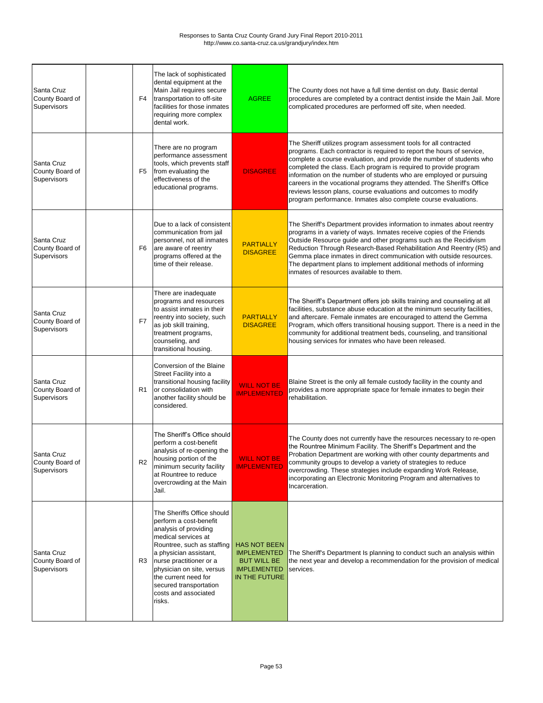| Santa Cruz<br>County Board of<br>Supervisors | F4             | The lack of sophisticated<br>dental equipment at the<br>Main Jail requires secure<br>transportation to off-site<br>facilities for those inmates<br>requiring more complex<br>dental work.                                                                                                                | <b>AGREE</b>                                                                                           | The County does not have a full time dentist on duty. Basic dental<br>procedures are completed by a contract dentist inside the Main Jail. More<br>complicated procedures are performed off site, when needed.                                                                                                                                                                                                                                                                                                                                                             |
|----------------------------------------------|----------------|----------------------------------------------------------------------------------------------------------------------------------------------------------------------------------------------------------------------------------------------------------------------------------------------------------|--------------------------------------------------------------------------------------------------------|----------------------------------------------------------------------------------------------------------------------------------------------------------------------------------------------------------------------------------------------------------------------------------------------------------------------------------------------------------------------------------------------------------------------------------------------------------------------------------------------------------------------------------------------------------------------------|
| Santa Cruz<br>County Board of<br>Supervisors | F5             | There are no program<br>performance assessment<br>tools, which prevents staff<br>from evaluating the<br>effectiveness of the<br>educational programs.                                                                                                                                                    | <b>DISAGREE</b>                                                                                        | The Sheriff utilizes program assessment tools for all contracted<br>programs. Each contractor is required to report the hours of service,<br>complete a course evaluation, and provide the number of students who<br>completed the class. Each program is required to provide program<br>information on the number of students who are employed or pursuing<br>careers in the vocational programs they attended. The Sheriff's Office<br>reviews lesson plans, course evaluations and outcomes to modify<br>program performance. Inmates also complete course evaluations. |
| Santa Cruz<br>County Board of<br>Supervisors | F <sub>6</sub> | Due to a lack of consistent<br>communication from jail<br>personnel, not all inmates<br>are aware of reentry<br>programs offered at the<br>time of their release.                                                                                                                                        | <b>PARTIALLY</b><br><b>DISAGREE</b>                                                                    | The Sheriff's Department provides information to inmates about reentry<br>programs in a variety of ways. Inmates receive copies of the Friends<br>Outside Resource guide and other programs such as the Recidivism<br>Reduction Through Research-Based Rehabilitation And Reentry (R5) and<br>Gemma place inmates in direct communication with outside resources.<br>The department plans to implement additional methods of informing<br>inmates of resources available to them.                                                                                          |
| Santa Cruz<br>County Board of<br>Supervisors | F <sub>7</sub> | There are inadequate<br>programs and resources<br>to assist inmates in their<br>reentry into society, such<br>as job skill training,<br>treatment programs,<br>counseling, and<br>transitional housing.                                                                                                  | <b>PARTIALLY</b><br><b>DISAGREE</b>                                                                    | The Sheriff's Department offers job skills training and counseling at all<br>facilities, substance abuse education at the minimum security facilities,<br>and aftercare. Female inmates are encouraged to attend the Gemma<br>Program, which offers transitional housing support. There is a need in the<br>community for additional treatment beds, counseling, and transitional<br>housing services for inmates who have been released.                                                                                                                                  |
| Santa Cruz<br>County Board of<br>Supervisors | R <sub>1</sub> | Conversion of the Blaine<br>Street Facility into a<br>transitional housing facility<br>or consolidation with<br>another facility should be<br>considered.                                                                                                                                                | <b>WILL NOT BE</b><br><b>IMPLEMENTED</b>                                                               | Blaine Street is the only all female custody facility in the county and<br>provides a more appropriate space for female inmates to begin their<br>rehabilitation.                                                                                                                                                                                                                                                                                                                                                                                                          |
| Santa Cruz<br>County Board of<br>Supervisors | R <sub>2</sub> | The Sheriff's Office should<br>perform a cost-benefit<br>analysis of re-opening the<br>housing portion of the<br>minimum security facility<br>at Rountree to reduce<br>overcrowding at the Main<br>Jail.                                                                                                 | <b>WILL NOT BE</b><br><b>IMPLEMENTED</b>                                                               | The County does not currently have the resources necessary to re-open<br>the Rountree Minimum Facility. The Sheriff's Department and the<br>Probation Department are working with other county departments and<br>community groups to develop a variety of strategies to reduce<br>overcrowding. These strategies include expanding Work Release,<br>incorporating an Electronic Monitoring Program and alternatives to<br>Incarceration.                                                                                                                                  |
| Santa Cruz<br>County Board of<br>Supervisors | R <sub>3</sub> | The Sheriffs Office should<br>perform a cost-benefit<br>analysis of providing<br>medical services at<br>Rountree, such as staffing<br>a physician assistant,<br>nurse practitioner or a<br>physician on site, versus<br>the current need for<br>secured transportation<br>costs and associated<br>risks. | <b>HAS NOT BEEN</b><br><b>IMPLEMENTED</b><br><b>BUT WILL BE</b><br><b>IMPLEMENTED</b><br>IN THE FUTURE | The Sheriff's Department Is planning to conduct such an analysis within<br>the next year and develop a recommendation for the provision of medical<br>services.                                                                                                                                                                                                                                                                                                                                                                                                            |